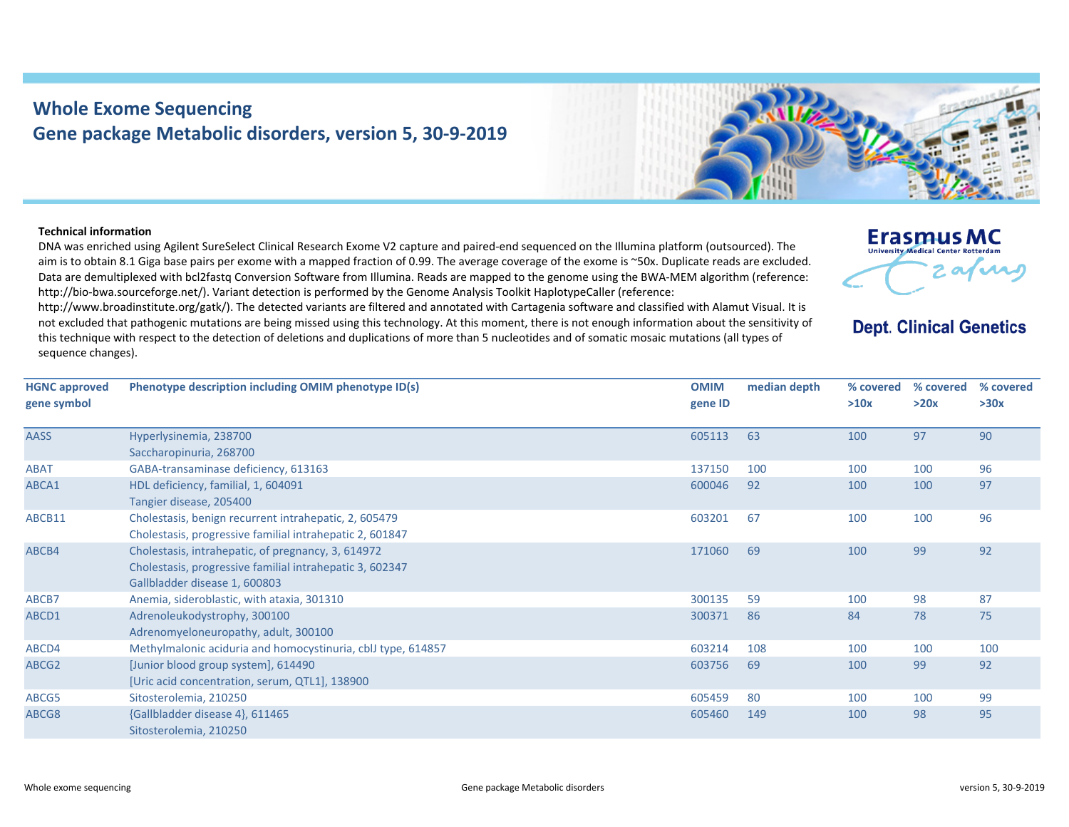## **Whole Exome Sequencing Gene package Metabolic disorders, version 5, 30‐9‐2019**

## **Technical information**

DNA was enriched using Agilent SureSelect Clinical Research Exome V2 capture and paired‐end sequenced on the Illumina platform (outsourced). The aim is to obtain 8.1 Giga base pairs per exome with a mapped fraction of 0.99. The average coverage of the exome is ~50x. Duplicate reads are excluded. Data are demultiplexed with bcl2fastg Conversion Software from Illumina. Reads are mapped to the genome using the BWA-MEM algorithm (reference: http://bio-bwa.sourceforge.net/). Variant detection is performed by the Genome Analysis Toolkit HaplotypeCaller (reference:

http://www.broadinstitute.org/gatk/). The detected variants are filtered and annotated with Cartagenia software and classified with Alamut Visual. It is not excluded that pathogenic mutations are being missed using this technology. At this moment, there is not enough information about the sensitivity of this technique with respect to the detection of deletions and duplications of more than 5 nucleotides and of somatic mosaic mutations (all types of sequence changes).



## **Dept. Clinical Genetics**

| <b>HGNC approved</b><br>gene symbol | Phenotype description including OMIM phenotype ID(s)         | <b>OMIM</b><br>gene ID | median depth | % covered<br>>10x | % covered<br>>20x | % covered<br>>30x |
|-------------------------------------|--------------------------------------------------------------|------------------------|--------------|-------------------|-------------------|-------------------|
|                                     |                                                              |                        |              |                   |                   |                   |
| <b>AASS</b>                         | Hyperlysinemia, 238700                                       | 605113                 | 63           | 100               | 97                | 90                |
|                                     | Saccharopinuria, 268700                                      |                        |              |                   |                   |                   |
| <b>ABAT</b>                         | GABA-transaminase deficiency, 613163                         | 137150                 | 100          | 100               | 100               | 96                |
| ABCA1                               | HDL deficiency, familial, 1, 604091                          | 600046                 | 92           | 100               | 100               | 97                |
|                                     | Tangier disease, 205400                                      |                        |              |                   |                   |                   |
| ABCB11                              | Cholestasis, benign recurrent intrahepatic, 2, 605479        | 603201                 | 67           | 100               | 100               | 96                |
|                                     | Cholestasis, progressive familial intrahepatic 2, 601847     |                        |              |                   |                   |                   |
| ABCB4                               | Cholestasis, intrahepatic, of pregnancy, 3, 614972           | 171060                 | 69           | 100               | 99                | 92                |
|                                     | Cholestasis, progressive familial intrahepatic 3, 602347     |                        |              |                   |                   |                   |
|                                     | Gallbladder disease 1, 600803                                |                        |              |                   |                   |                   |
| ABCB7                               | Anemia, sideroblastic, with ataxia, 301310                   | 300135                 | 59           | 100               | 98                | 87                |
| ABCD1                               | Adrenoleukodystrophy, 300100                                 | 300371                 | 86           | 84                | 78                | 75                |
|                                     | Adrenomyeloneuropathy, adult, 300100                         |                        |              |                   |                   |                   |
| ABCD4                               | Methylmalonic aciduria and homocystinuria, cblJ type, 614857 | 603214                 | 108          | 100               | 100               | 100               |
| ABCG <sub>2</sub>                   | [Junior blood group system], 614490                          | 603756                 | 69           | 100               | 99                | 92                |
|                                     | [Uric acid concentration, serum, QTL1], 138900               |                        |              |                   |                   |                   |
| ABCG5                               | Sitosterolemia, 210250                                       | 605459                 | 80           | 100               | 100               | 99                |
| ABCG8                               | {Gallbladder disease 4}, 611465                              | 605460                 | 149          | 100               | 98                | 95                |
|                                     | Sitosterolemia, 210250                                       |                        |              |                   |                   |                   |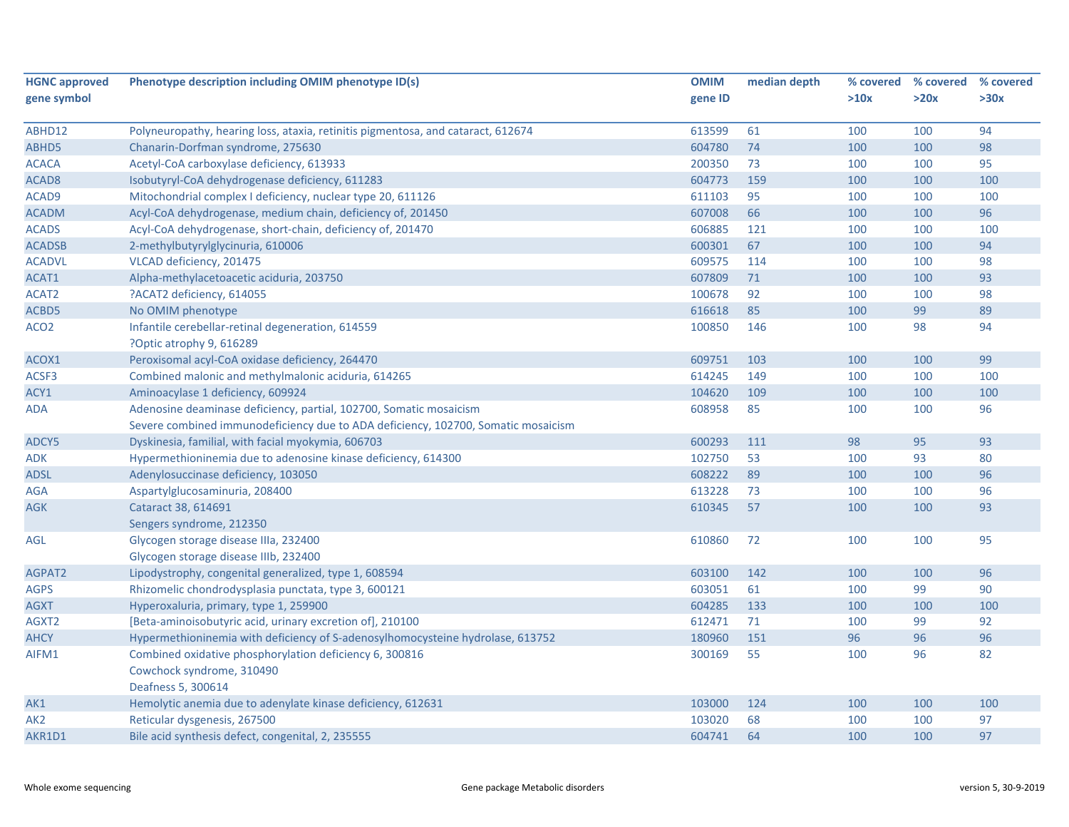| <b>HGNC approved</b> | Phenotype description including OMIM phenotype ID(s)                              | <b>OMIM</b> | median depth |      | % covered % covered | % covered |
|----------------------|-----------------------------------------------------------------------------------|-------------|--------------|------|---------------------|-----------|
| gene symbol          |                                                                                   | gene ID     |              | >10x | >20x                | >30x      |
|                      |                                                                                   |             |              |      |                     |           |
| ABHD12               | Polyneuropathy, hearing loss, ataxia, retinitis pigmentosa, and cataract, 612674  | 613599      | 61           | 100  | 100                 | 94        |
| ABHD5                | Chanarin-Dorfman syndrome, 275630                                                 | 604780      | 74           | 100  | 100                 | 98        |
| <b>ACACA</b>         | Acetyl-CoA carboxylase deficiency, 613933                                         | 200350      | 73           | 100  | 100                 | 95        |
| ACAD <sub>8</sub>    | Isobutyryl-CoA dehydrogenase deficiency, 611283                                   | 604773      | 159          | 100  | 100                 | 100       |
| ACAD9                | Mitochondrial complex I deficiency, nuclear type 20, 611126                       | 611103      | 95           | 100  | 100                 | 100       |
| <b>ACADM</b>         | Acyl-CoA dehydrogenase, medium chain, deficiency of, 201450                       | 607008      | 66           | 100  | 100                 | 96        |
| <b>ACADS</b>         | Acyl-CoA dehydrogenase, short-chain, deficiency of, 201470                        | 606885      | 121          | 100  | 100                 | 100       |
| <b>ACADSB</b>        | 2-methylbutyrylglycinuria, 610006                                                 | 600301      | 67           | 100  | 100                 | 94        |
| <b>ACADVL</b>        | VLCAD deficiency, 201475                                                          | 609575      | 114          | 100  | 100                 | 98        |
| ACAT1                | Alpha-methylacetoacetic aciduria, 203750                                          | 607809      | 71           | 100  | 100                 | 93        |
| ACAT2                | ?ACAT2 deficiency, 614055                                                         | 100678      | 92           | 100  | 100                 | 98        |
| ACBD5                | No OMIM phenotype                                                                 | 616618      | 85           | 100  | 99                  | 89        |
| ACO <sub>2</sub>     | Infantile cerebellar-retinal degeneration, 614559                                 | 100850      | 146          | 100  | 98                  | 94        |
|                      | ?Optic atrophy 9, 616289                                                          |             |              |      |                     |           |
| ACOX1                | Peroxisomal acyl-CoA oxidase deficiency, 264470                                   | 609751      | 103          | 100  | 100                 | 99        |
| ACSF3                | Combined malonic and methylmalonic aciduria, 614265                               | 614245      | 149          | 100  | 100                 | 100       |
| ACY1                 | Aminoacylase 1 deficiency, 609924                                                 | 104620      | 109          | 100  | 100                 | 100       |
| ADA                  | Adenosine deaminase deficiency, partial, 102700, Somatic mosaicism                | 608958      | 85           | 100  | 100                 | 96        |
|                      | Severe combined immunodeficiency due to ADA deficiency, 102700, Somatic mosaicism |             |              |      |                     |           |
| ADCY5                | Dyskinesia, familial, with facial myokymia, 606703                                | 600293      | 111          | 98   | 95                  | 93        |
| ADK                  | Hypermethioninemia due to adenosine kinase deficiency, 614300                     | 102750      | 53           | 100  | 93                  | 80        |
| ADSL                 | Adenylosuccinase deficiency, 103050                                               | 608222      | 89           | 100  | 100                 | 96        |
| AGA                  | Aspartylglucosaminuria, 208400                                                    | 613228      | 73           | 100  | 100                 | 96        |
| <b>AGK</b>           | Cataract 38, 614691                                                               | 610345      | 57           | 100  | 100                 | 93        |
|                      | Sengers syndrome, 212350                                                          |             |              |      |                     |           |
| AGL                  | Glycogen storage disease IIIa, 232400                                             | 610860      | 72           | 100  | 100                 | 95        |
|                      | Glycogen storage disease IIIb, 232400                                             |             |              |      |                     |           |
| AGPAT2               | Lipodystrophy, congenital generalized, type 1, 608594                             | 603100      | 142          | 100  | 100                 | 96        |
| <b>AGPS</b>          | Rhizomelic chondrodysplasia punctata, type 3, 600121                              | 603051      | 61           | 100  | 99                  | 90        |
| <b>AGXT</b>          | Hyperoxaluria, primary, type 1, 259900                                            | 604285      | 133          | 100  | 100                 | 100       |
| AGXT2                | [Beta-aminoisobutyric acid, urinary excretion of], 210100                         | 612471      | 71           | 100  | 99                  | 92        |
| <b>AHCY</b>          | Hypermethioninemia with deficiency of S-adenosylhomocysteine hydrolase, 613752    | 180960      | 151          | 96   | 96                  | 96        |
| AIFM1                | Combined oxidative phosphorylation deficiency 6, 300816                           | 300169      | 55           | 100  | 96                  | 82        |
|                      | Cowchock syndrome, 310490                                                         |             |              |      |                     |           |
|                      | Deafness 5, 300614                                                                |             |              |      |                     |           |
| AK1                  | Hemolytic anemia due to adenylate kinase deficiency, 612631                       | 103000      | 124          | 100  | 100                 | 100       |
| AK <sub>2</sub>      | Reticular dysgenesis, 267500                                                      | 103020      | 68           | 100  | 100                 | 97        |
| AKR1D1               | Bile acid synthesis defect, congenital, 2, 235555                                 | 604741      | 64           | 100  | 100                 | 97        |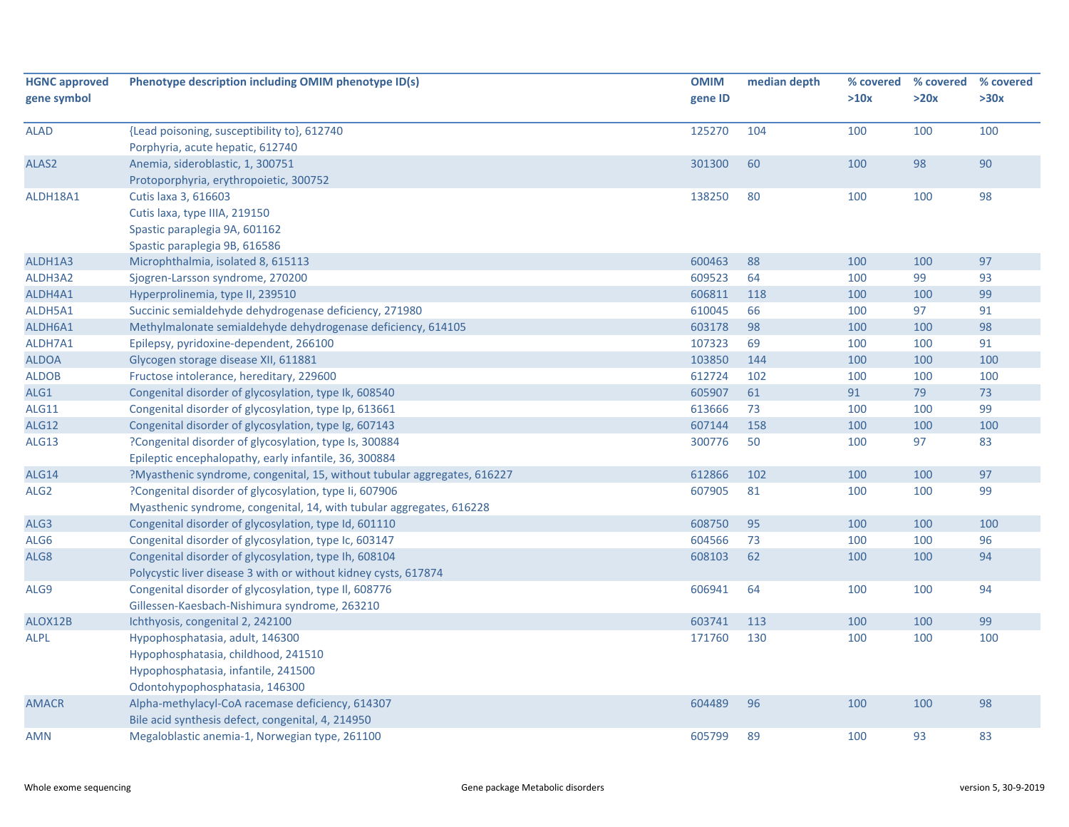| <b>HGNC approved</b><br>gene symbol | Phenotype description including OMIM phenotype ID(s)                     | <b>OMIM</b><br>gene ID | median depth | % covered<br>>10x | % covered<br>>20x | % covered<br>>30x |
|-------------------------------------|--------------------------------------------------------------------------|------------------------|--------------|-------------------|-------------------|-------------------|
|                                     |                                                                          |                        |              |                   |                   |                   |
| <b>ALAD</b>                         | {Lead poisoning, susceptibility to}, 612740                              | 125270                 | 104          | 100               | 100               | 100               |
|                                     | Porphyria, acute hepatic, 612740                                         |                        |              |                   |                   |                   |
| ALAS2                               | Anemia, sideroblastic, 1, 300751                                         | 301300                 | 60           | 100               | 98                | 90                |
|                                     | Protoporphyria, erythropoietic, 300752                                   |                        |              |                   |                   |                   |
| ALDH18A1                            | Cutis laxa 3, 616603                                                     | 138250                 | 80           | 100               | 100               | 98                |
|                                     | Cutis laxa, type IIIA, 219150                                            |                        |              |                   |                   |                   |
|                                     | Spastic paraplegia 9A, 601162                                            |                        |              |                   |                   |                   |
|                                     | Spastic paraplegia 9B, 616586                                            |                        |              |                   |                   |                   |
| ALDH1A3                             | Microphthalmia, isolated 8, 615113                                       | 600463                 | 88           | 100               | 100               | 97                |
| ALDH3A2                             | Sjogren-Larsson syndrome, 270200                                         | 609523                 | 64           | 100               | 99                | 93                |
| ALDH4A1                             | Hyperprolinemia, type II, 239510                                         | 606811                 | 118          | 100               | 100               | 99                |
| ALDH5A1                             | Succinic semialdehyde dehydrogenase deficiency, 271980                   | 610045                 | 66           | 100               | 97                | 91                |
| ALDH6A1                             | Methylmalonate semialdehyde dehydrogenase deficiency, 614105             | 603178                 | 98           | 100               | 100               | 98                |
| ALDH7A1                             | Epilepsy, pyridoxine-dependent, 266100                                   | 107323                 | 69           | 100               | 100               | 91                |
| <b>ALDOA</b>                        | Glycogen storage disease XII, 611881                                     | 103850                 | 144          | 100               | 100               | 100               |
| <b>ALDOB</b>                        | Fructose intolerance, hereditary, 229600                                 | 612724                 | 102          | 100               | 100               | 100               |
| ALG1                                | Congenital disorder of glycosylation, type Ik, 608540                    | 605907                 | 61           | 91                | 79                | 73                |
| <b>ALG11</b>                        | Congenital disorder of glycosylation, type Ip, 613661                    | 613666                 | 73           | 100               | 100               | 99                |
| <b>ALG12</b>                        | Congenital disorder of glycosylation, type Ig, 607143                    | 607144                 | 158          | 100               | 100               | 100               |
| <b>ALG13</b>                        | ?Congenital disorder of glycosylation, type Is, 300884                   | 300776                 | 50           | 100               | 97                | 83                |
|                                     | Epileptic encephalopathy, early infantile, 36, 300884                    |                        |              |                   |                   |                   |
| <b>ALG14</b>                        | ?Myasthenic syndrome, congenital, 15, without tubular aggregates, 616227 | 612866                 | 102          | 100               | 100               | 97                |
| ALG <sub>2</sub>                    | ?Congenital disorder of glycosylation, type Ii, 607906                   | 607905                 | 81           | 100               | 100               | 99                |
|                                     | Myasthenic syndrome, congenital, 14, with tubular aggregates, 616228     |                        |              |                   |                   |                   |
| ALG3                                | Congenital disorder of glycosylation, type Id, 601110                    | 608750                 | 95           | 100               | 100               | 100               |
| ALG6                                | Congenital disorder of glycosylation, type Ic, 603147                    | 604566                 | 73           | 100               | 100               | 96                |
| ALG8                                | Congenital disorder of glycosylation, type Ih, 608104                    | 608103                 | 62           | 100               | 100               | 94                |
|                                     | Polycystic liver disease 3 with or without kidney cysts, 617874          |                        |              |                   |                   |                   |
| ALG9                                | Congenital disorder of glycosylation, type II, 608776                    | 606941                 | 64           | 100               | 100               | 94                |
|                                     | Gillessen-Kaesbach-Nishimura syndrome, 263210                            |                        |              |                   |                   |                   |
| ALOX12B                             | Ichthyosis, congenital 2, 242100                                         | 603741                 | 113          | 100               | 100               | 99                |
| ALPL                                | Hypophosphatasia, adult, 146300                                          | 171760                 | 130          | 100               | 100               | 100               |
|                                     | Hypophosphatasia, childhood, 241510                                      |                        |              |                   |                   |                   |
|                                     | Hypophosphatasia, infantile, 241500                                      |                        |              |                   |                   |                   |
|                                     | Odontohypophosphatasia, 146300                                           |                        |              |                   |                   |                   |
| <b>AMACR</b>                        | Alpha-methylacyl-CoA racemase deficiency, 614307                         | 604489                 | 96           | 100               | 100               | 98                |
|                                     | Bile acid synthesis defect, congenital, 4, 214950                        |                        |              |                   |                   |                   |
| AMN                                 | Megaloblastic anemia-1, Norwegian type, 261100                           | 605799                 | 89           | 100               | 93                | 83                |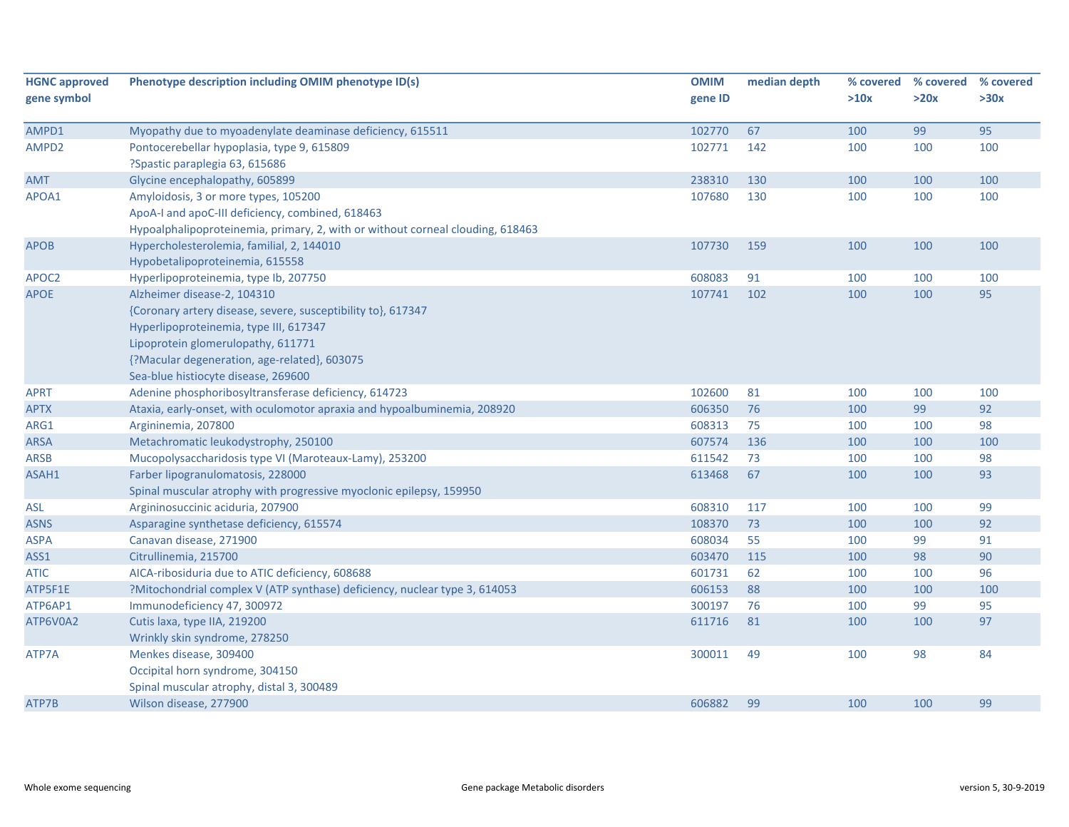| <b>HGNC approved</b> | Phenotype description including OMIM phenotype ID(s)                           | <b>OMIM</b> | median depth |      | % covered % covered | % covered |
|----------------------|--------------------------------------------------------------------------------|-------------|--------------|------|---------------------|-----------|
| gene symbol          |                                                                                | gene ID     |              | >10x | >20x                | >30x      |
| AMPD1                | Myopathy due to myoadenylate deaminase deficiency, 615511                      | 102770      | 67           | 100  | 99                  | 95        |
| AMPD2                | Pontocerebellar hypoplasia, type 9, 615809<br>?Spastic paraplegia 63, 615686   | 102771      | 142          | 100  | 100                 | 100       |
| AMT                  | Glycine encephalopathy, 605899                                                 | 238310      | 130          | 100  | 100                 | 100       |
| APOA1                | Amyloidosis, 3 or more types, 105200                                           | 107680      | 130          | 100  | 100                 | 100       |
|                      | ApoA-I and apoC-III deficiency, combined, 618463                               |             |              |      |                     |           |
|                      | Hypoalphalipoproteinemia, primary, 2, with or without corneal clouding, 618463 |             |              |      |                     |           |
| APOB                 | Hypercholesterolemia, familial, 2, 144010                                      | 107730      | 159          | 100  | 100                 | 100       |
|                      | Hypobetalipoproteinemia, 615558                                                |             |              |      |                     |           |
| APOC2                | Hyperlipoproteinemia, type lb, 207750                                          | 608083      | 91           | 100  | 100                 | 100       |
| <b>APOE</b>          | Alzheimer disease-2, 104310                                                    | 107741      | 102          | 100  | 100                 | 95        |
|                      | {Coronary artery disease, severe, susceptibility to}, 617347                   |             |              |      |                     |           |
|                      | Hyperlipoproteinemia, type III, 617347                                         |             |              |      |                     |           |
|                      | Lipoprotein glomerulopathy, 611771                                             |             |              |      |                     |           |
|                      | {?Macular degeneration, age-related}, 603075                                   |             |              |      |                     |           |
|                      | Sea-blue histiocyte disease, 269600                                            |             |              |      |                     |           |
| <b>APRT</b>          | Adenine phosphoribosyltransferase deficiency, 614723                           | 102600      | 81           | 100  | 100                 | 100       |
| <b>APTX</b>          | Ataxia, early-onset, with oculomotor apraxia and hypoalbuminemia, 208920       | 606350      | 76           | 100  | 99                  | 92        |
| ARG1                 | Argininemia, 207800                                                            | 608313      | 75           | 100  | 100                 | 98        |
| ARSA                 | Metachromatic leukodystrophy, 250100                                           | 607574      | 136          | 100  | 100                 | 100       |
| <b>ARSB</b>          | Mucopolysaccharidosis type VI (Maroteaux-Lamy), 253200                         | 611542      | 73           | 100  | 100                 | 98        |
| ASAH1                | Farber lipogranulomatosis, 228000                                              | 613468      | 67           | 100  | 100                 | 93        |
|                      | Spinal muscular atrophy with progressive myoclonic epilepsy, 159950            |             |              |      |                     |           |
| <b>ASL</b>           | Argininosuccinic aciduria, 207900                                              | 608310      | 117          | 100  | 100                 | 99        |
| <b>ASNS</b>          | Asparagine synthetase deficiency, 615574                                       | 108370      | 73           | 100  | 100                 | 92        |
| <b>ASPA</b>          | Canavan disease, 271900                                                        | 608034      | 55           | 100  | 99                  | 91        |
| ASS1                 | Citrullinemia, 215700                                                          | 603470      | 115          | 100  | 98                  | 90        |
| <b>ATIC</b>          | AICA-ribosiduria due to ATIC deficiency, 608688                                | 601731      | 62           | 100  | 100                 | 96        |
| ATP5F1E              | ?Mitochondrial complex V (ATP synthase) deficiency, nuclear type 3, 614053     | 606153      | 88           | 100  | 100                 | 100       |
| ATP6AP1              | Immunodeficiency 47, 300972                                                    | 300197      | 76           | 100  | 99                  | 95        |
| ATP6V0A2             | Cutis laxa, type IIA, 219200                                                   | 611716      | 81           | 100  | 100                 | 97        |
|                      | Wrinkly skin syndrome, 278250                                                  |             |              |      |                     |           |
| ATP7A                | Menkes disease, 309400                                                         | 300011      | 49           | 100  | 98                  | 84        |
|                      | Occipital horn syndrome, 304150                                                |             |              |      |                     |           |
|                      | Spinal muscular atrophy, distal 3, 300489                                      |             |              |      |                     |           |
| ATP7B                | Wilson disease, 277900                                                         | 606882      | 99           | 100  | 100                 | 99        |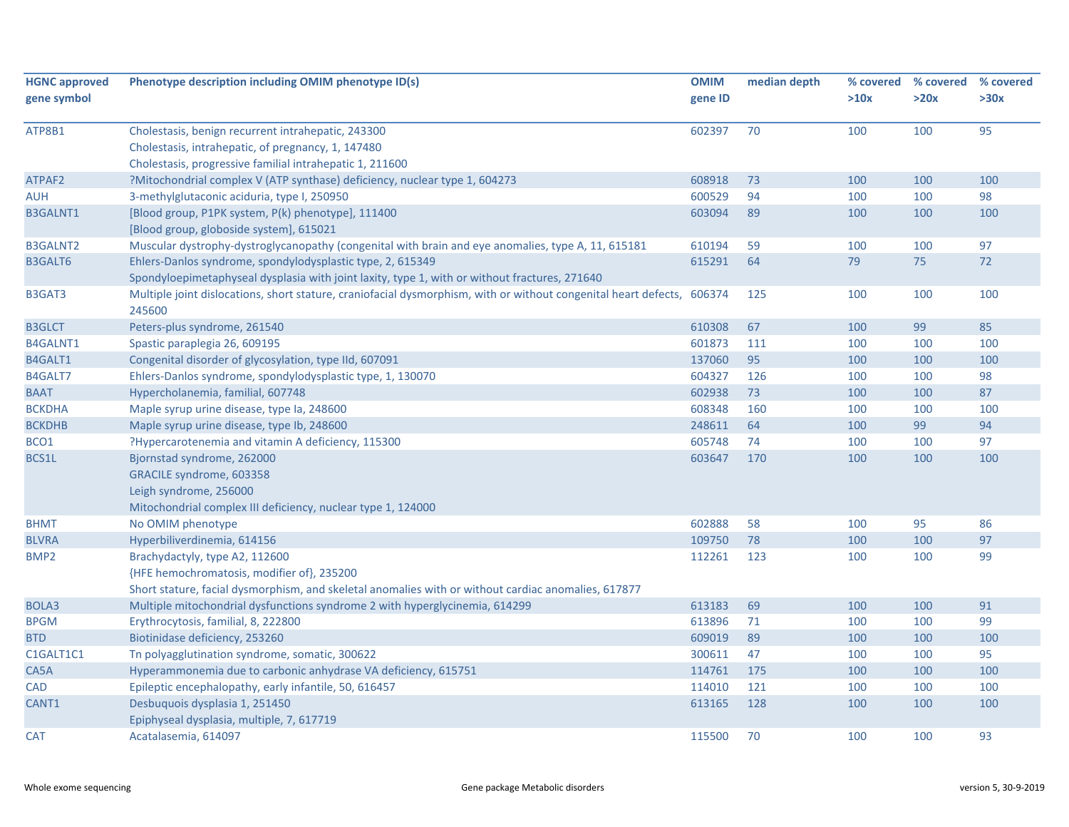| <b>HGNC approved</b><br>gene symbol | Phenotype description including OMIM phenotype ID(s)                                                                      | <b>OMIM</b><br>gene ID | median depth | % covered<br>>10x | % covered<br>>20x | % covered<br>>30x |
|-------------------------------------|---------------------------------------------------------------------------------------------------------------------------|------------------------|--------------|-------------------|-------------------|-------------------|
|                                     |                                                                                                                           |                        |              |                   |                   |                   |
| ATP8B1                              | Cholestasis, benign recurrent intrahepatic, 243300                                                                        | 602397                 | 70           | 100               | 100               | 95                |
|                                     | Cholestasis, intrahepatic, of pregnancy, 1, 147480                                                                        |                        |              |                   |                   |                   |
|                                     | Cholestasis, progressive familial intrahepatic 1, 211600                                                                  |                        |              |                   |                   |                   |
| ATPAF2                              | ?Mitochondrial complex V (ATP synthase) deficiency, nuclear type 1, 604273                                                | 608918                 | 73           | 100               | 100               | 100               |
| AUH                                 | 3-methylglutaconic aciduria, type I, 250950                                                                               | 600529                 | 94           | 100               | 100               | 98                |
| <b>B3GALNT1</b>                     | [Blood group, P1PK system, P(k) phenotype], 111400                                                                        | 603094                 | 89           | 100               | 100               | 100               |
|                                     | [Blood group, globoside system], 615021                                                                                   |                        |              |                   |                   |                   |
| <b>B3GALNT2</b>                     | Muscular dystrophy-dystroglycanopathy (congenital with brain and eye anomalies, type A, 11, 615181                        | 610194                 | 59           | 100               | 100               | 97                |
| <b>B3GALT6</b>                      | Ehlers-Danlos syndrome, spondylodysplastic type, 2, 615349                                                                | 615291                 | 64           | 79                | 75                | 72                |
|                                     | Spondyloepimetaphyseal dysplasia with joint laxity, type 1, with or without fractures, 271640                             |                        |              |                   |                   |                   |
| B3GAT3                              | Multiple joint dislocations, short stature, craniofacial dysmorphism, with or without congenital heart defects,<br>245600 | 606374                 | 125          | 100               | 100               | 100               |
| <b>B3GLCT</b>                       | Peters-plus syndrome, 261540                                                                                              | 610308                 | 67           | 100               | 99                | 85                |
| <b>B4GALNT1</b>                     | Spastic paraplegia 26, 609195                                                                                             | 601873                 | 111          | 100               | 100               | 100               |
| B4GALT1                             | Congenital disorder of glycosylation, type IId, 607091                                                                    | 137060                 | 95           | 100               | 100               | 100               |
| B4GALT7                             | Ehlers-Danlos syndrome, spondylodysplastic type, 1, 130070                                                                | 604327                 | 126          | 100               | 100               | 98                |
| <b>BAAT</b>                         | Hypercholanemia, familial, 607748                                                                                         | 602938                 | 73           | 100               | 100               | 87                |
| <b>BCKDHA</b>                       | Maple syrup urine disease, type Ia, 248600                                                                                | 608348                 | 160          | 100               | 100               | 100               |
| <b>BCKDHB</b>                       | Maple syrup urine disease, type Ib, 248600                                                                                | 248611                 | 64           | 100               | 99                | 94                |
| BCO1                                | ?Hypercarotenemia and vitamin A deficiency, 115300                                                                        | 605748                 | 74           | 100               | 100               | 97                |
| BCS1L                               | Bjornstad syndrome, 262000                                                                                                | 603647                 | 170          | 100               | 100               | 100               |
|                                     | GRACILE syndrome, 603358                                                                                                  |                        |              |                   |                   |                   |
|                                     | Leigh syndrome, 256000                                                                                                    |                        |              |                   |                   |                   |
|                                     | Mitochondrial complex III deficiency, nuclear type 1, 124000                                                              |                        |              |                   |                   |                   |
| <b>BHMT</b>                         | No OMIM phenotype                                                                                                         | 602888                 | 58           | 100               | 95                | 86                |
| <b>BLVRA</b>                        | Hyperbiliverdinemia, 614156                                                                                               | 109750                 | 78           | 100               | 100               | 97                |
| BMP <sub>2</sub>                    | Brachydactyly, type A2, 112600                                                                                            | 112261                 | 123          | 100               | 100               | 99                |
|                                     | {HFE hemochromatosis, modifier of}, 235200                                                                                |                        |              |                   |                   |                   |
|                                     | Short stature, facial dysmorphism, and skeletal anomalies with or without cardiac anomalies, 617877                       |                        |              |                   |                   |                   |
| BOLA3                               | Multiple mitochondrial dysfunctions syndrome 2 with hyperglycinemia, 614299                                               | 613183                 | 69           | 100               | 100               | 91                |
| <b>BPGM</b>                         | Erythrocytosis, familial, 8, 222800                                                                                       | 613896                 | 71           | 100               | 100               | 99                |
| <b>BTD</b>                          | Biotinidase deficiency, 253260                                                                                            | 609019                 | 89           | 100               | 100               | 100               |
| C1GALT1C1                           | Tn polyagglutination syndrome, somatic, 300622                                                                            | 300611                 | 47           | 100               | 100               | 95                |
| CA5A                                | Hyperammonemia due to carbonic anhydrase VA deficiency, 615751                                                            | 114761                 | 175          | 100               | 100               | 100               |
| CAD                                 | Epileptic encephalopathy, early infantile, 50, 616457                                                                     | 114010                 | 121          | 100               | 100               | 100               |
| CANT1                               | Desbuquois dysplasia 1, 251450                                                                                            | 613165                 | 128          | 100               | 100               | 100               |
|                                     | Epiphyseal dysplasia, multiple, 7, 617719                                                                                 |                        |              |                   |                   |                   |
| <b>CAT</b>                          | Acatalasemia, 614097                                                                                                      | 115500                 | 70           | 100               | 100               | 93                |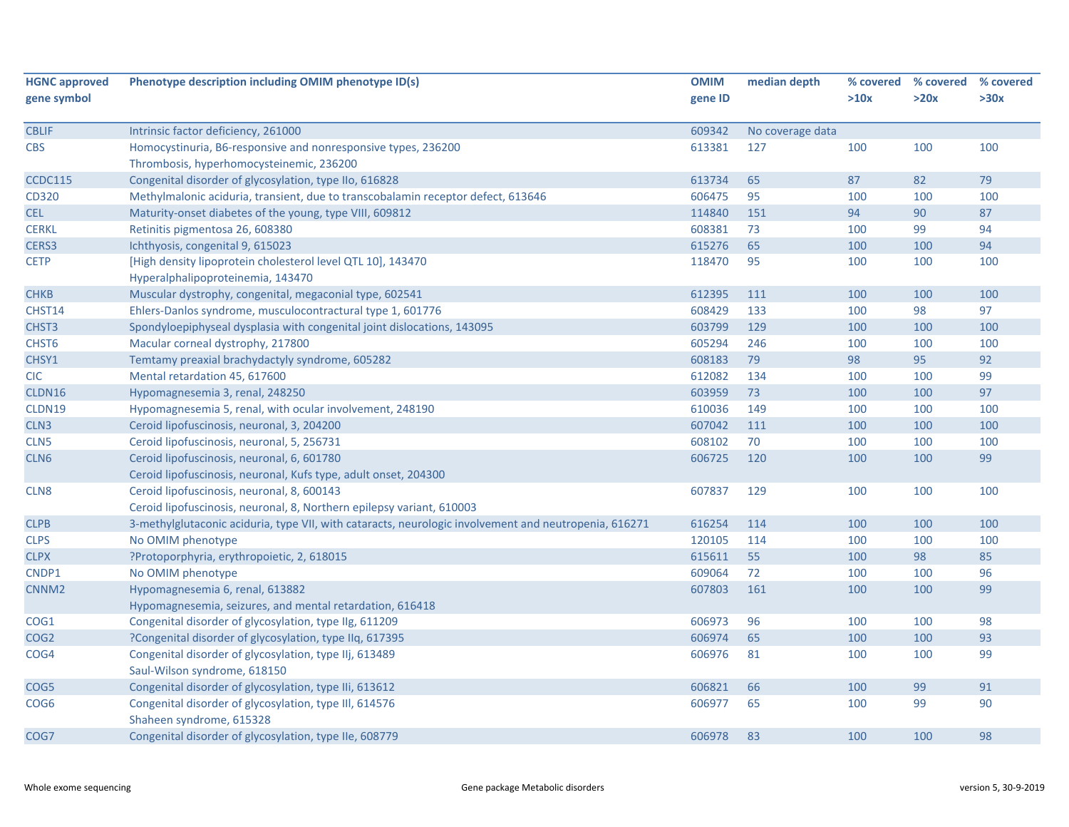| <b>HGNC approved</b> | Phenotype description including OMIM phenotype ID(s)                                                  | <b>OMIM</b> | median depth     | % covered | % covered | % covered |
|----------------------|-------------------------------------------------------------------------------------------------------|-------------|------------------|-----------|-----------|-----------|
| gene symbol          |                                                                                                       | gene ID     |                  | >10x      | >20x      | >30x      |
|                      |                                                                                                       |             |                  |           |           |           |
| <b>CBLIF</b>         | Intrinsic factor deficiency, 261000                                                                   | 609342      | No coverage data |           |           |           |
| <b>CBS</b>           | Homocystinuria, B6-responsive and nonresponsive types, 236200                                         | 613381      | 127              | 100       | 100       | 100       |
|                      | Thrombosis, hyperhomocysteinemic, 236200                                                              |             |                  |           |           |           |
| <b>CCDC115</b>       | Congenital disorder of glycosylation, type IIo, 616828                                                | 613734      | 65               | 87        | 82        | 79        |
| CD320                | Methylmalonic aciduria, transient, due to transcobalamin receptor defect, 613646                      | 606475      | 95               | 100       | 100       | 100       |
| <b>CEL</b>           | Maturity-onset diabetes of the young, type VIII, 609812                                               | 114840      | 151              | 94        | 90        | 87        |
| <b>CERKL</b>         | Retinitis pigmentosa 26, 608380                                                                       | 608381      | 73               | 100       | 99        | 94        |
| CERS3                | Ichthyosis, congenital 9, 615023                                                                      | 615276      | 65               | 100       | 100       | 94        |
| <b>CETP</b>          | [High density lipoprotein cholesterol level QTL 10], 143470                                           | 118470      | 95               | 100       | 100       | 100       |
|                      | Hyperalphalipoproteinemia, 143470                                                                     |             |                  |           |           |           |
| <b>CHKB</b>          | Muscular dystrophy, congenital, megaconial type, 602541                                               | 612395      | 111              | 100       | 100       | 100       |
| CHST14               | Ehlers-Danlos syndrome, musculocontractural type 1, 601776                                            | 608429      | 133              | 100       | 98        | 97        |
| CHST3                | Spondyloepiphyseal dysplasia with congenital joint dislocations, 143095                               | 603799      | 129              | 100       | 100       | 100       |
| CHST <sub>6</sub>    | Macular corneal dystrophy, 217800                                                                     | 605294      | 246              | 100       | 100       | 100       |
| CHSY1                | Temtamy preaxial brachydactyly syndrome, 605282                                                       | 608183      | 79               | 98        | 95        | 92        |
| <b>CIC</b>           | Mental retardation 45, 617600                                                                         | 612082      | 134              | 100       | 100       | 99        |
| CLDN16               | Hypomagnesemia 3, renal, 248250                                                                       | 603959      | 73               | 100       | 100       | 97        |
| CLDN19               | Hypomagnesemia 5, renal, with ocular involvement, 248190                                              | 610036      | 149              | 100       | 100       | 100       |
| CLN3                 | Ceroid lipofuscinosis, neuronal, 3, 204200                                                            | 607042      | 111              | 100       | 100       | 100       |
| CLN5                 | Ceroid lipofuscinosis, neuronal, 5, 256731                                                            | 608102      | 70               | 100       | 100       | 100       |
| CLN6                 | Ceroid lipofuscinosis, neuronal, 6, 601780                                                            | 606725      | 120              | 100       | 100       | 99        |
|                      | Ceroid lipofuscinosis, neuronal, Kufs type, adult onset, 204300                                       |             |                  |           |           |           |
| CLN <sub>8</sub>     | Ceroid lipofuscinosis, neuronal, 8, 600143                                                            | 607837      | 129              | 100       | 100       | 100       |
|                      | Ceroid lipofuscinosis, neuronal, 8, Northern epilepsy variant, 610003                                 |             |                  |           |           |           |
| <b>CLPB</b>          | 3-methylglutaconic aciduria, type VII, with cataracts, neurologic involvement and neutropenia, 616271 | 616254      | 114              | 100       | 100       | 100       |
| <b>CLPS</b>          | No OMIM phenotype                                                                                     | 120105      | 114              | 100       | 100       | 100       |
| <b>CLPX</b>          | ?Protoporphyria, erythropoietic, 2, 618015                                                            | 615611      | 55               | 100       | 98        | 85        |
| CNDP1                | No OMIM phenotype                                                                                     | 609064      | 72               | 100       | 100       | 96        |
| CNNM <sub>2</sub>    | Hypomagnesemia 6, renal, 613882                                                                       | 607803      | 161              | 100       | 100       | 99        |
|                      | Hypomagnesemia, seizures, and mental retardation, 616418                                              |             |                  |           |           |           |
| COG1                 | Congenital disorder of glycosylation, type IIg, 611209                                                | 606973      | 96               | 100       | 100       | 98        |
| COG <sub>2</sub>     | ?Congenital disorder of glycosylation, type IIq, 617395                                               | 606974      | 65               | 100       | 100       | 93        |
| COG4                 | Congenital disorder of glycosylation, type IIj, 613489                                                | 606976      | 81               | 100       | 100       | 99        |
|                      | Saul-Wilson syndrome, 618150                                                                          |             |                  |           |           |           |
| COG5                 | Congenital disorder of glycosylation, type IIi, 613612                                                | 606821      | 66               | 100       | 99        | 91        |
| COG <sub>6</sub>     | Congenital disorder of glycosylation, type III, 614576                                                | 606977      | 65               | 100       | 99        | 90        |
|                      | Shaheen syndrome, 615328                                                                              |             |                  |           |           |           |
| COG7                 | Congenital disorder of glycosylation, type IIe, 608779                                                | 606978      | 83               | 100       | 100       | 98        |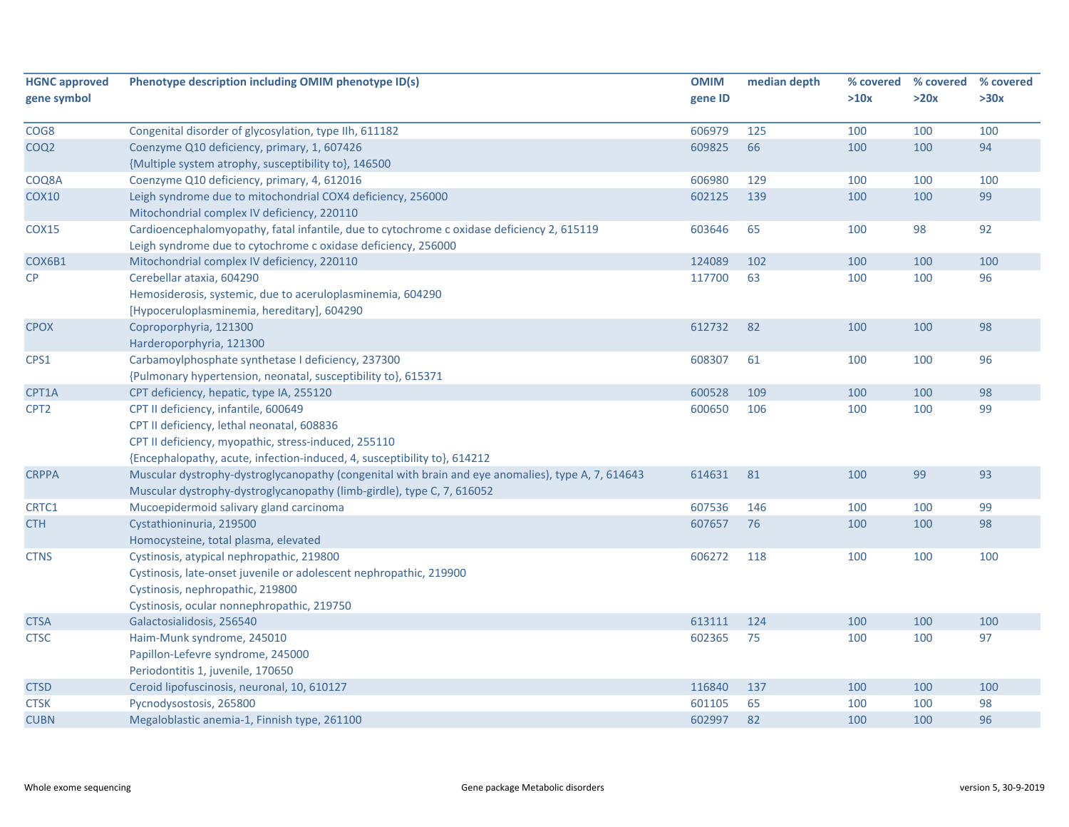| <b>HGNC approved</b> | Phenotype description including OMIM phenotype ID(s)                                               | <b>OMIM</b> | median depth | % covered | % covered | % covered |
|----------------------|----------------------------------------------------------------------------------------------------|-------------|--------------|-----------|-----------|-----------|
| gene symbol          |                                                                                                    | gene ID     |              | >10x      | >20x      | >30x      |
|                      |                                                                                                    |             |              |           |           |           |
| COG8                 | Congenital disorder of glycosylation, type IIh, 611182                                             | 606979      | 125          | 100       | 100       | 100       |
| COQ <sub>2</sub>     | Coenzyme Q10 deficiency, primary, 1, 607426                                                        | 609825      | 66           | 100       | 100       | 94        |
|                      | {Multiple system atrophy, susceptibility to}, 146500                                               |             |              |           |           |           |
| COQ8A                | Coenzyme Q10 deficiency, primary, 4, 612016                                                        | 606980      | 129          | 100       | 100       | 100       |
| <b>COX10</b>         | Leigh syndrome due to mitochondrial COX4 deficiency, 256000                                        | 602125      | 139          | 100       | 100       | 99        |
|                      | Mitochondrial complex IV deficiency, 220110                                                        |             |              |           |           |           |
| <b>COX15</b>         | Cardioencephalomyopathy, fatal infantile, due to cytochrome c oxidase deficiency 2, 615119         | 603646      | 65           | 100       | 98        | 92        |
|                      | Leigh syndrome due to cytochrome c oxidase deficiency, 256000                                      |             |              |           |           |           |
| COX6B1               | Mitochondrial complex IV deficiency, 220110                                                        | 124089      | 102          | 100       | 100       | 100       |
| CP                   | Cerebellar ataxia, 604290                                                                          | 117700      | 63           | 100       | 100       | 96        |
|                      | Hemosiderosis, systemic, due to aceruloplasminemia, 604290                                         |             |              |           |           |           |
|                      | [Hypoceruloplasminemia, hereditary], 604290                                                        |             |              |           |           |           |
| <b>CPOX</b>          | Coproporphyria, 121300                                                                             | 612732      | 82           | 100       | 100       | 98        |
|                      | Harderoporphyria, 121300                                                                           |             |              |           |           |           |
| CPS1                 | Carbamoylphosphate synthetase I deficiency, 237300                                                 | 608307      | 61           | 100       | 100       | 96        |
|                      | {Pulmonary hypertension, neonatal, susceptibility to}, 615371                                      |             |              |           |           |           |
| CPT1A                | CPT deficiency, hepatic, type IA, 255120                                                           | 600528      | 109          | 100       | 100       | 98        |
| CPT <sub>2</sub>     | CPT II deficiency, infantile, 600649                                                               | 600650      | 106          | 100       | 100       | 99        |
|                      | CPT II deficiency, lethal neonatal, 608836                                                         |             |              |           |           |           |
|                      | CPT II deficiency, myopathic, stress-induced, 255110                                               |             |              |           |           |           |
|                      | {Encephalopathy, acute, infection-induced, 4, susceptibility to}, 614212                           |             |              |           |           |           |
| <b>CRPPA</b>         | Muscular dystrophy-dystroglycanopathy (congenital with brain and eye anomalies), type A, 7, 614643 | 614631      | 81           | 100       | 99        | 93        |
|                      | Muscular dystrophy-dystroglycanopathy (limb-girdle), type C, 7, 616052                             |             |              |           |           |           |
| CRTC1                | Mucoepidermoid salivary gland carcinoma                                                            | 607536      | 146          | 100       | 100       | 99        |
| <b>CTH</b>           | Cystathioninuria, 219500                                                                           | 607657      | 76           | 100       | 100       | 98        |
|                      | Homocysteine, total plasma, elevated                                                               |             |              |           |           |           |
| <b>CTNS</b>          | Cystinosis, atypical nephropathic, 219800                                                          | 606272      | 118          | 100       | 100       | 100       |
|                      | Cystinosis, late-onset juvenile or adolescent nephropathic, 219900                                 |             |              |           |           |           |
|                      | Cystinosis, nephropathic, 219800                                                                   |             |              |           |           |           |
|                      | Cystinosis, ocular nonnephropathic, 219750                                                         |             |              |           |           |           |
| <b>CTSA</b>          | Galactosialidosis, 256540                                                                          | 613111      | 124          | 100       | 100       | 100       |
| <b>CTSC</b>          | Haim-Munk syndrome, 245010                                                                         | 602365      | 75           | 100       | 100       | 97        |
|                      | Papillon-Lefevre syndrome, 245000                                                                  |             |              |           |           |           |
|                      | Periodontitis 1, juvenile, 170650                                                                  |             |              |           |           |           |
| <b>CTSD</b>          | Ceroid lipofuscinosis, neuronal, 10, 610127                                                        | 116840      | 137          | 100       | 100       | 100       |
| <b>CTSK</b>          | Pycnodysostosis, 265800                                                                            | 601105      | 65           | 100       | 100       | 98        |
| <b>CUBN</b>          | Megaloblastic anemia-1, Finnish type, 261100                                                       | 602997      | 82           | 100       | 100       | 96        |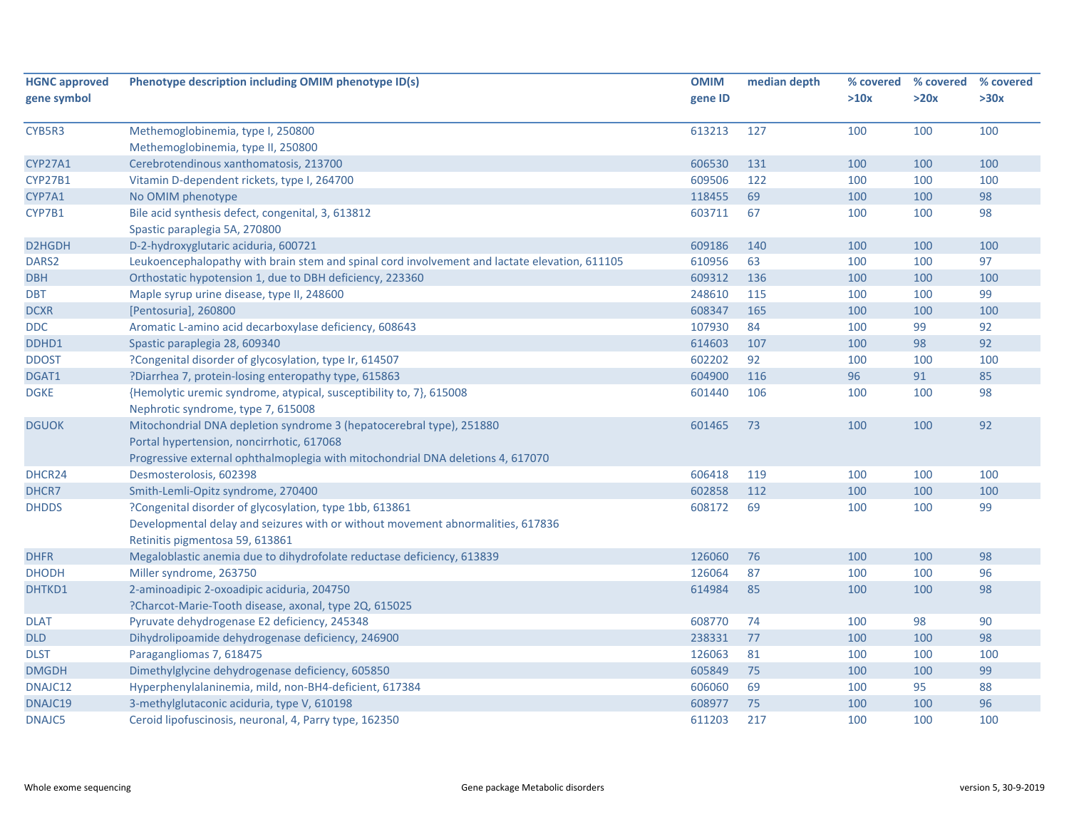| <b>HGNC approved</b> | Phenotype description including OMIM phenotype ID(s)                                          | <b>OMIM</b> | median depth |      | % covered % covered | % covered |
|----------------------|-----------------------------------------------------------------------------------------------|-------------|--------------|------|---------------------|-----------|
| gene symbol          |                                                                                               | gene ID     |              | >10x | >20x                | >30x      |
| CYB5R3               | Methemoglobinemia, type I, 250800                                                             | 613213      | 127          | 100  | 100                 | 100       |
|                      | Methemoglobinemia, type II, 250800                                                            |             |              |      |                     |           |
| <b>CYP27A1</b>       | Cerebrotendinous xanthomatosis, 213700                                                        | 606530      | 131          | 100  | 100                 | 100       |
| <b>CYP27B1</b>       | Vitamin D-dependent rickets, type I, 264700                                                   | 609506      | 122          | 100  | 100                 | 100       |
| CYP7A1               | No OMIM phenotype                                                                             | 118455      | 69           | 100  | 100                 | 98        |
| CYP7B1               | Bile acid synthesis defect, congenital, 3, 613812                                             | 603711      | 67           | 100  | 100                 | 98        |
|                      | Spastic paraplegia 5A, 270800                                                                 |             |              |      |                     |           |
| D2HGDH               | D-2-hydroxyglutaric aciduria, 600721                                                          | 609186      | 140          | 100  | 100                 | 100       |
| DARS <sub>2</sub>    | Leukoencephalopathy with brain stem and spinal cord involvement and lactate elevation, 611105 | 610956      | 63           | 100  | 100                 | 97        |
| <b>DBH</b>           | Orthostatic hypotension 1, due to DBH deficiency, 223360                                      | 609312      | 136          | 100  | 100                 | 100       |
| <b>DBT</b>           | Maple syrup urine disease, type II, 248600                                                    | 248610      | 115          | 100  | 100                 | 99        |
| <b>DCXR</b>          | [Pentosuria], 260800                                                                          | 608347      | 165          | 100  | 100                 | 100       |
| <b>DDC</b>           | Aromatic L-amino acid decarboxylase deficiency, 608643                                        | 107930      | 84           | 100  | 99                  | 92        |
| DDHD1                | Spastic paraplegia 28, 609340                                                                 | 614603      | 107          | 100  | 98                  | 92        |
| <b>DDOST</b>         | ?Congenital disorder of glycosylation, type Ir, 614507                                        | 602202      | 92           | 100  | 100                 | 100       |
| DGAT1                | ?Diarrhea 7, protein-losing enteropathy type, 615863                                          | 604900      | 116          | 96   | 91                  | 85        |
| <b>DGKE</b>          | {Hemolytic uremic syndrome, atypical, susceptibility to, 7}, 615008                           | 601440      | 106          | 100  | 100                 | 98        |
|                      | Nephrotic syndrome, type 7, 615008                                                            |             |              |      |                     |           |
| <b>DGUOK</b>         | Mitochondrial DNA depletion syndrome 3 (hepatocerebral type), 251880                          | 601465      | 73           | 100  | 100                 | 92        |
|                      | Portal hypertension, noncirrhotic, 617068                                                     |             |              |      |                     |           |
|                      | Progressive external ophthalmoplegia with mitochondrial DNA deletions 4, 617070               |             |              |      |                     |           |
| DHCR24               | Desmosterolosis, 602398                                                                       | 606418      | 119          | 100  | 100                 | 100       |
| DHCR7                | Smith-Lemli-Opitz syndrome, 270400                                                            | 602858      | 112          | 100  | 100                 | 100       |
| <b>DHDDS</b>         | ?Congenital disorder of glycosylation, type 1bb, 613861                                       | 608172      | 69           | 100  | 100                 | 99        |
|                      | Developmental delay and seizures with or without movement abnormalities, 617836               |             |              |      |                     |           |
|                      | Retinitis pigmentosa 59, 613861                                                               |             |              |      |                     |           |
| <b>DHFR</b>          | Megaloblastic anemia due to dihydrofolate reductase deficiency, 613839                        | 126060      | 76           | 100  | 100                 | 98        |
| <b>DHODH</b>         | Miller syndrome, 263750                                                                       | 126064      | 87           | 100  | 100                 | 96        |
| DHTKD1               | 2-aminoadipic 2-oxoadipic aciduria, 204750                                                    | 614984      | 85           | 100  | 100                 | 98        |
|                      | ?Charcot-Marie-Tooth disease, axonal, type 2Q, 615025                                         |             |              |      |                     |           |
| <b>DLAT</b>          | Pyruvate dehydrogenase E2 deficiency, 245348                                                  | 608770      | 74           | 100  | 98                  | 90        |
| <b>DLD</b>           | Dihydrolipoamide dehydrogenase deficiency, 246900                                             | 238331      | 77           | 100  | 100                 | 98        |
| <b>DLST</b>          | Paragangliomas 7, 618475                                                                      | 126063      | 81           | 100  | 100                 | 100       |
| <b>DMGDH</b>         | Dimethylglycine dehydrogenase deficiency, 605850                                              | 605849      | 75           | 100  | 100                 | 99        |
| DNAJC12              | Hyperphenylalaninemia, mild, non-BH4-deficient, 617384                                        | 606060      | 69           | 100  | 95                  | 88        |
| DNAJC19              | 3-methylglutaconic aciduria, type V, 610198                                                   | 608977      | 75           | 100  | 100                 | 96        |
| <b>DNAJC5</b>        | Ceroid lipofuscinosis, neuronal, 4, Parry type, 162350                                        | 611203      | 217          | 100  | 100                 | 100       |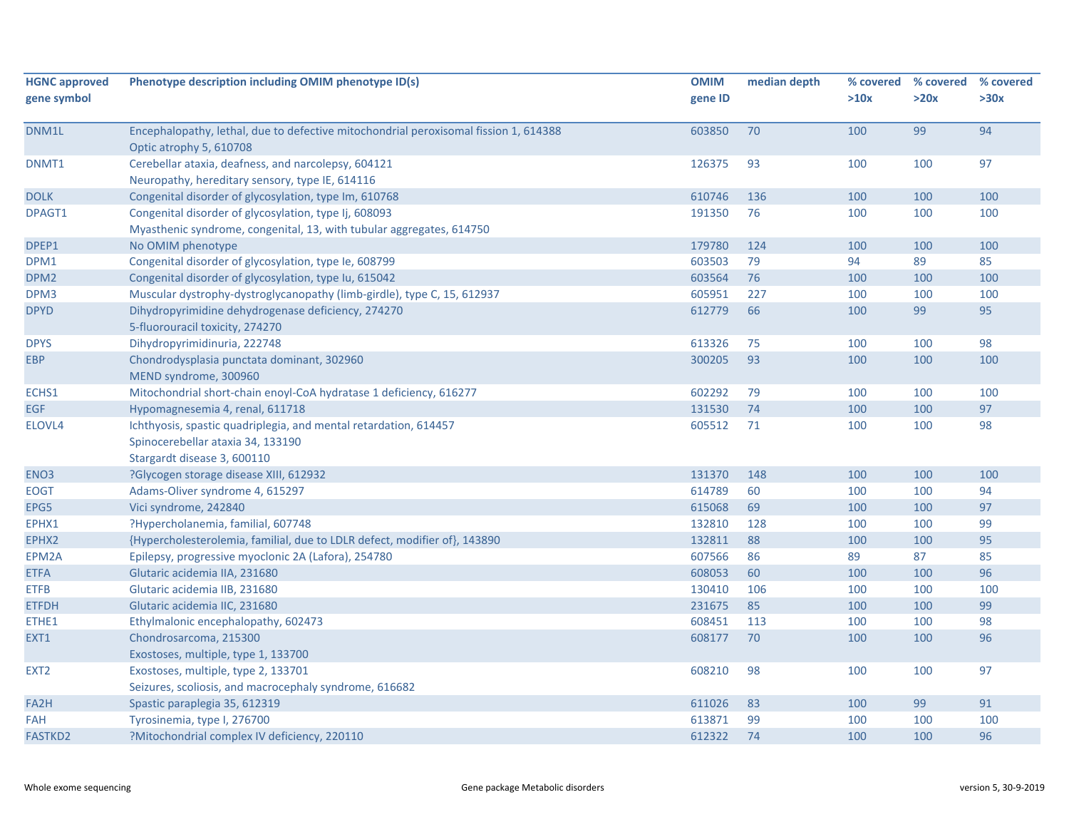| <b>HGNC approved</b> | Phenotype description including OMIM phenotype ID(s)                                                            | <b>OMIM</b> | median depth |      | % covered % covered | % covered |
|----------------------|-----------------------------------------------------------------------------------------------------------------|-------------|--------------|------|---------------------|-----------|
| gene symbol          |                                                                                                                 | gene ID     |              | >10x | >20x                | >30x      |
|                      |                                                                                                                 |             |              |      |                     |           |
| DNM1L                | Encephalopathy, lethal, due to defective mitochondrial peroxisomal fission 1, 614388<br>Optic atrophy 5, 610708 | 603850      | 70           | 100  | 99                  | 94        |
| DNMT1                | Cerebellar ataxia, deafness, and narcolepsy, 604121                                                             | 126375      | 93           | 100  | 100                 | 97        |
|                      | Neuropathy, hereditary sensory, type IE, 614116                                                                 |             |              |      |                     |           |
| <b>DOLK</b>          | Congenital disorder of glycosylation, type Im, 610768                                                           | 610746      | 136          | 100  | 100                 | 100       |
| DPAGT1               | Congenital disorder of glycosylation, type Ij, 608093                                                           | 191350      | 76           | 100  | 100                 | 100       |
|                      | Myasthenic syndrome, congenital, 13, with tubular aggregates, 614750                                            |             |              |      |                     |           |
| DPEP1                | No OMIM phenotype                                                                                               | 179780      | 124          | 100  | 100                 | 100       |
| DPM1                 | Congenital disorder of glycosylation, type Ie, 608799                                                           | 603503      | 79           | 94   | 89                  | 85        |
| DPM <sub>2</sub>     | Congenital disorder of glycosylation, type Iu, 615042                                                           | 603564      | 76           | 100  | 100                 | 100       |
| DPM3                 | Muscular dystrophy-dystroglycanopathy (limb-girdle), type C, 15, 612937                                         | 605951      | 227          | 100  | 100                 | 100       |
| <b>DPYD</b>          | Dihydropyrimidine dehydrogenase deficiency, 274270<br>5-fluorouracil toxicity, 274270                           | 612779      | 66           | 100  | 99                  | 95        |
| <b>DPYS</b>          | Dihydropyrimidinuria, 222748                                                                                    | 613326      | 75           | 100  | 100                 | 98        |
| <b>EBP</b>           | Chondrodysplasia punctata dominant, 302960<br>MEND syndrome, 300960                                             | 300205      | 93           | 100  | 100                 | 100       |
| ECHS1                | Mitochondrial short-chain enoyl-CoA hydratase 1 deficiency, 616277                                              | 602292      | 79           | 100  | 100                 | 100       |
| <b>EGF</b>           | Hypomagnesemia 4, renal, 611718                                                                                 | 131530      | 74           | 100  | 100                 | 97        |
| ELOVL4               | Ichthyosis, spastic quadriplegia, and mental retardation, 614457                                                | 605512      | 71           | 100  | 100                 | 98        |
|                      | Spinocerebellar ataxia 34, 133190                                                                               |             |              |      |                     |           |
|                      | Stargardt disease 3, 600110                                                                                     |             |              |      |                     |           |
| ENO <sub>3</sub>     | ?Glycogen storage disease XIII, 612932                                                                          | 131370      | 148          | 100  | 100                 | 100       |
| <b>EOGT</b>          | Adams-Oliver syndrome 4, 615297                                                                                 | 614789      | 60           | 100  | 100                 | 94        |
| EPG5                 | Vici syndrome, 242840                                                                                           | 615068      | 69           | 100  | 100                 | 97        |
| EPHX1                | ?Hypercholanemia, familial, 607748                                                                              | 132810      | 128          | 100  | 100                 | 99        |
| EPHX2                | {Hypercholesterolemia, familial, due to LDLR defect, modifier of}, 143890                                       | 132811      | 88           | 100  | 100                 | 95        |
| EPM2A                | Epilepsy, progressive myoclonic 2A (Lafora), 254780                                                             | 607566      | 86           | 89   | 87                  | 85        |
| <b>ETFA</b>          | Glutaric acidemia IIA, 231680                                                                                   | 608053      | 60           | 100  | 100                 | 96        |
| <b>ETFB</b>          | Glutaric acidemia IIB, 231680                                                                                   | 130410      | 106          | 100  | 100                 | 100       |
| <b>ETFDH</b>         | Glutaric acidemia IIC, 231680                                                                                   | 231675      | 85           | 100  | 100                 | 99        |
| ETHE1                | Ethylmalonic encephalopathy, 602473                                                                             | 608451      | 113          | 100  | 100                 | 98        |
| EXT1                 | Chondrosarcoma, 215300                                                                                          | 608177      | 70           | 100  | 100                 | 96        |
|                      | Exostoses, multiple, type 1, 133700                                                                             |             |              |      |                     |           |
| EXT <sub>2</sub>     | Exostoses, multiple, type 2, 133701                                                                             | 608210      | 98           | 100  | 100                 | 97        |
|                      | Seizures, scoliosis, and macrocephaly syndrome, 616682                                                          |             |              |      |                     |           |
| FA2H                 | Spastic paraplegia 35, 612319                                                                                   | 611026      | 83           | 100  | 99                  | 91        |
| <b>FAH</b>           | Tyrosinemia, type I, 276700                                                                                     | 613871      | 99           | 100  | 100                 | 100       |
| <b>FASTKD2</b>       | ?Mitochondrial complex IV deficiency, 220110                                                                    | 612322      | 74           | 100  | 100                 | 96        |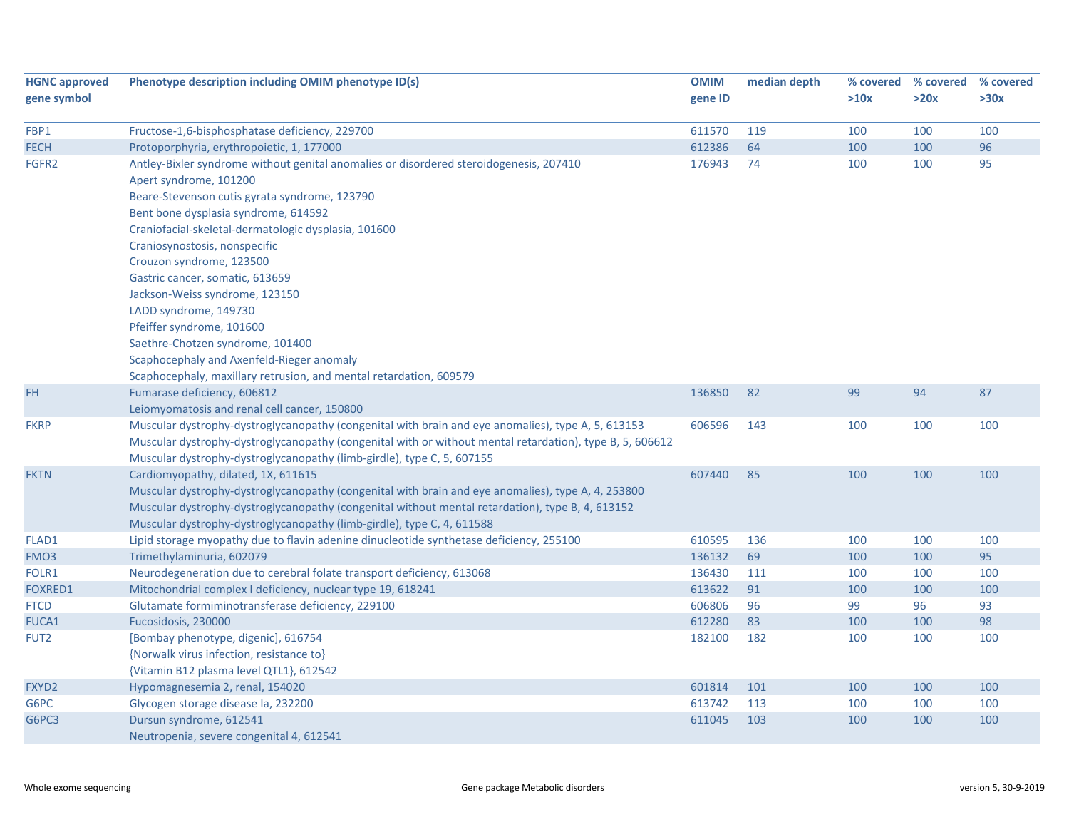| <b>HGNC approved</b><br>gene symbol | Phenotype description including OMIM phenotype ID(s)                                                     | <b>OMIM</b><br>gene ID | median depth | % covered<br>>10x | % covered<br>>20x | % covered<br>>30x |
|-------------------------------------|----------------------------------------------------------------------------------------------------------|------------------------|--------------|-------------------|-------------------|-------------------|
| FBP1                                | Fructose-1,6-bisphosphatase deficiency, 229700                                                           | 611570                 | 119          | 100               | 100               | 100               |
| <b>FECH</b>                         | Protoporphyria, erythropoietic, 1, 177000                                                                | 612386                 | 64           | 100               | 100               | 96                |
| FGFR2                               | Antley-Bixler syndrome without genital anomalies or disordered steroidogenesis, 207410                   | 176943                 | 74           | 100               | 100               | 95                |
|                                     | Apert syndrome, 101200                                                                                   |                        |              |                   |                   |                   |
|                                     | Beare-Stevenson cutis gyrata syndrome, 123790                                                            |                        |              |                   |                   |                   |
|                                     | Bent bone dysplasia syndrome, 614592                                                                     |                        |              |                   |                   |                   |
|                                     | Craniofacial-skeletal-dermatologic dysplasia, 101600                                                     |                        |              |                   |                   |                   |
|                                     | Craniosynostosis, nonspecific                                                                            |                        |              |                   |                   |                   |
|                                     | Crouzon syndrome, 123500                                                                                 |                        |              |                   |                   |                   |
|                                     | Gastric cancer, somatic, 613659                                                                          |                        |              |                   |                   |                   |
|                                     | Jackson-Weiss syndrome, 123150                                                                           |                        |              |                   |                   |                   |
|                                     | LADD syndrome, 149730                                                                                    |                        |              |                   |                   |                   |
|                                     | Pfeiffer syndrome, 101600                                                                                |                        |              |                   |                   |                   |
|                                     | Saethre-Chotzen syndrome, 101400                                                                         |                        |              |                   |                   |                   |
|                                     | Scaphocephaly and Axenfeld-Rieger anomaly                                                                |                        |              |                   |                   |                   |
|                                     | Scaphocephaly, maxillary retrusion, and mental retardation, 609579                                       |                        |              |                   |                   |                   |
| <b>FH</b>                           | Fumarase deficiency, 606812                                                                              | 136850                 | 82           | 99                | 94                | 87                |
|                                     | Leiomyomatosis and renal cell cancer, 150800                                                             |                        |              |                   |                   |                   |
| <b>FKRP</b>                         | Muscular dystrophy-dystroglycanopathy (congenital with brain and eye anomalies), type A, 5, 613153       | 606596                 | 143          | 100               | 100               | 100               |
|                                     | Muscular dystrophy-dystroglycanopathy (congenital with or without mental retardation), type B, 5, 606612 |                        |              |                   |                   |                   |
|                                     | Muscular dystrophy-dystroglycanopathy (limb-girdle), type C, 5, 607155                                   |                        |              |                   |                   |                   |
| <b>FKTN</b>                         | Cardiomyopathy, dilated, 1X, 611615                                                                      | 607440                 | 85           | 100               | 100               | 100               |
|                                     | Muscular dystrophy-dystroglycanopathy (congenital with brain and eye anomalies), type A, 4, 253800       |                        |              |                   |                   |                   |
|                                     | Muscular dystrophy-dystroglycanopathy (congenital without mental retardation), type B, 4, 613152         |                        |              |                   |                   |                   |
|                                     | Muscular dystrophy-dystroglycanopathy (limb-girdle), type C, 4, 611588                                   |                        |              |                   |                   |                   |
| FLAD1                               | Lipid storage myopathy due to flavin adenine dinucleotide synthetase deficiency, 255100                  | 610595                 | 136          | 100               | 100               | 100               |
| FMO <sub>3</sub>                    | Trimethylaminuria, 602079                                                                                | 136132                 | 69           | 100               | 100               | 95                |
| FOLR1                               | Neurodegeneration due to cerebral folate transport deficiency, 613068                                    | 136430                 | 111          | 100               | 100               | 100               |
| <b>FOXRED1</b>                      | Mitochondrial complex I deficiency, nuclear type 19, 618241                                              | 613622                 | 91           | 100               | 100               | 100               |
| <b>FTCD</b>                         | Glutamate formiminotransferase deficiency, 229100                                                        | 606806                 | 96           | 99                | 96                | 93                |
| FUCA1                               | Fucosidosis, 230000                                                                                      | 612280                 | 83           | 100               | 100               | 98                |
| FUT <sub>2</sub>                    | [Bombay phenotype, digenic], 616754                                                                      | 182100                 | 182          | 100               | 100               | 100               |
|                                     | {Norwalk virus infection, resistance to}                                                                 |                        |              |                   |                   |                   |
|                                     | {Vitamin B12 plasma level QTL1}, 612542                                                                  |                        |              |                   |                   |                   |
| FXYD2                               | Hypomagnesemia 2, renal, 154020                                                                          | 601814                 | 101          | 100               | 100               | 100               |
| G6PC                                | Glycogen storage disease Ia, 232200                                                                      | 613742                 | 113          | 100               | 100               | 100               |
| G6PC3                               | Dursun syndrome, 612541                                                                                  | 611045                 | 103          | 100               | 100               | 100               |
|                                     | Neutropenia, severe congenital 4, 612541                                                                 |                        |              |                   |                   |                   |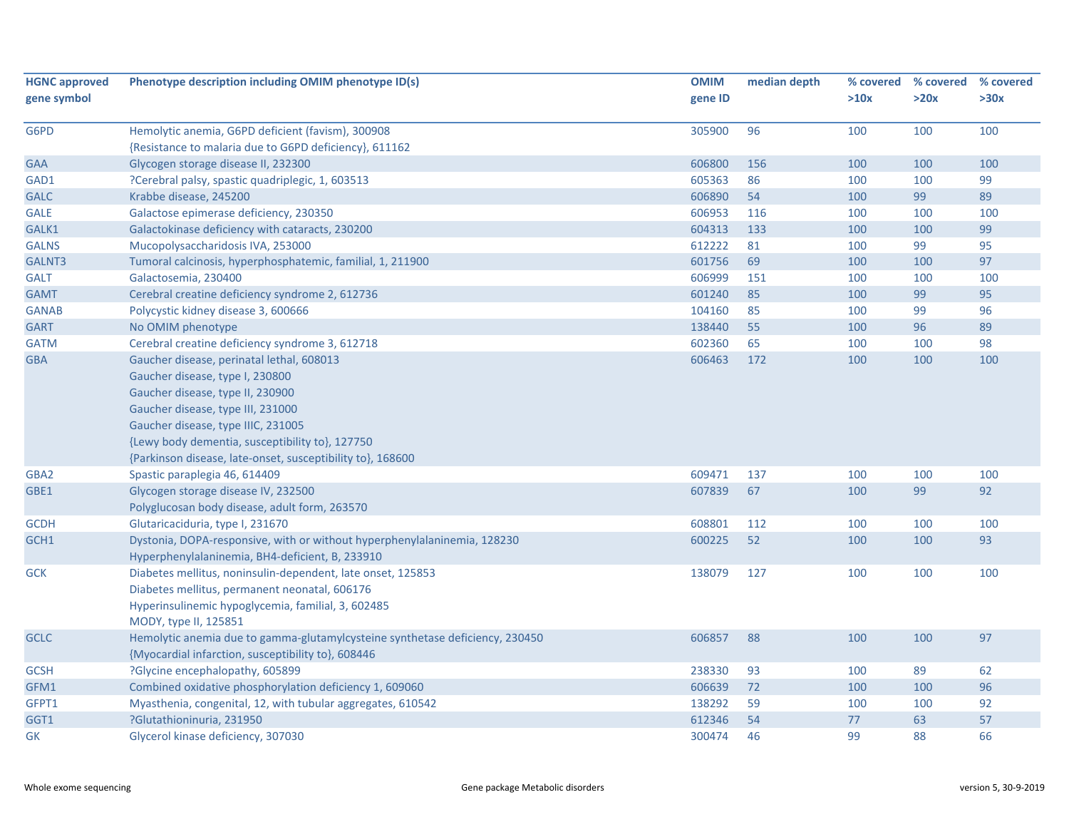| <b>HGNC approved</b> | Phenotype description including OMIM phenotype ID(s)                         | <b>OMIM</b> | median depth |      | % covered % covered | % covered |
|----------------------|------------------------------------------------------------------------------|-------------|--------------|------|---------------------|-----------|
| gene symbol          |                                                                              | gene ID     |              | >10x | >20x                | >30x      |
|                      |                                                                              |             |              |      |                     |           |
| G6PD                 | Hemolytic anemia, G6PD deficient (favism), 300908                            | 305900      | 96           | 100  | 100                 | 100       |
|                      | {Resistance to malaria due to G6PD deficiency}, 611162                       |             |              |      |                     |           |
| <b>GAA</b>           | Glycogen storage disease II, 232300                                          | 606800      | 156          | 100  | 100                 | 100       |
| GAD1                 | ?Cerebral palsy, spastic quadriplegic, 1, 603513                             | 605363      | 86           | 100  | 100                 | 99        |
| <b>GALC</b>          | Krabbe disease, 245200                                                       | 606890      | 54           | 100  | 99                  | 89        |
| <b>GALE</b>          | Galactose epimerase deficiency, 230350                                       | 606953      | 116          | 100  | 100                 | 100       |
| GALK1                | Galactokinase deficiency with cataracts, 230200                              | 604313      | 133          | 100  | 100                 | 99        |
| <b>GALNS</b>         | Mucopolysaccharidosis IVA, 253000                                            | 612222      | 81           | 100  | 99                  | 95        |
| GALNT3               | Tumoral calcinosis, hyperphosphatemic, familial, 1, 211900                   | 601756      | 69           | 100  | 100                 | 97        |
| <b>GALT</b>          | Galactosemia, 230400                                                         | 606999      | 151          | 100  | 100                 | 100       |
| <b>GAMT</b>          | Cerebral creatine deficiency syndrome 2, 612736                              | 601240      | 85           | 100  | 99                  | 95        |
| <b>GANAB</b>         | Polycystic kidney disease 3, 600666                                          | 104160      | 85           | 100  | 99                  | 96        |
| <b>GART</b>          | No OMIM phenotype                                                            | 138440      | 55           | 100  | 96                  | 89        |
| <b>GATM</b>          | Cerebral creatine deficiency syndrome 3, 612718                              | 602360      | 65           | 100  | 100                 | 98        |
| <b>GBA</b>           | Gaucher disease, perinatal lethal, 608013                                    | 606463      | 172          | 100  | 100                 | 100       |
|                      | Gaucher disease, type I, 230800                                              |             |              |      |                     |           |
|                      | Gaucher disease, type II, 230900                                             |             |              |      |                     |           |
|                      | Gaucher disease, type III, 231000                                            |             |              |      |                     |           |
|                      | Gaucher disease, type IIIC, 231005                                           |             |              |      |                     |           |
|                      | {Lewy body dementia, susceptibility to}, 127750                              |             |              |      |                     |           |
|                      | {Parkinson disease, late-onset, susceptibility to}, 168600                   |             |              |      |                     |           |
| GBA2                 | Spastic paraplegia 46, 614409                                                | 609471      | 137          | 100  | 100                 | 100       |
| GBE1                 | Glycogen storage disease IV, 232500                                          | 607839      | 67           | 100  | 99                  | 92        |
|                      | Polyglucosan body disease, adult form, 263570                                |             |              |      |                     |           |
| <b>GCDH</b>          | Glutaricaciduria, type I, 231670                                             | 608801      | 112          | 100  | 100                 | 100       |
| GCH1                 | Dystonia, DOPA-responsive, with or without hyperphenylalaninemia, 128230     | 600225      | 52           | 100  | 100                 | 93        |
|                      | Hyperphenylalaninemia, BH4-deficient, B, 233910                              |             |              |      |                     |           |
| <b>GCK</b>           | Diabetes mellitus, noninsulin-dependent, late onset, 125853                  | 138079      | 127          | 100  | 100                 | 100       |
|                      | Diabetes mellitus, permanent neonatal, 606176                                |             |              |      |                     |           |
|                      | Hyperinsulinemic hypoglycemia, familial, 3, 602485                           |             |              |      |                     |           |
|                      | MODY, type II, 125851                                                        |             |              |      |                     |           |
| <b>GCLC</b>          | Hemolytic anemia due to gamma-glutamylcysteine synthetase deficiency, 230450 | 606857      | 88           | 100  | 100                 | 97        |
|                      | {Myocardial infarction, susceptibility to}, 608446                           |             |              |      |                     |           |
| <b>GCSH</b>          | ?Glycine encephalopathy, 605899                                              | 238330      | 93           | 100  | 89                  | 62        |
| GFM1                 | Combined oxidative phosphorylation deficiency 1, 609060                      | 606639      | 72           | 100  | 100                 | 96        |
| GFPT1                | Myasthenia, congenital, 12, with tubular aggregates, 610542                  | 138292      | 59           | 100  | 100                 | 92        |
| GGT1                 | ?Glutathioninuria, 231950                                                    | 612346      | 54           | 77   | 63                  | 57        |
| GK                   | Glycerol kinase deficiency, 307030                                           | 300474      | 46           | 99   | 88                  | 66        |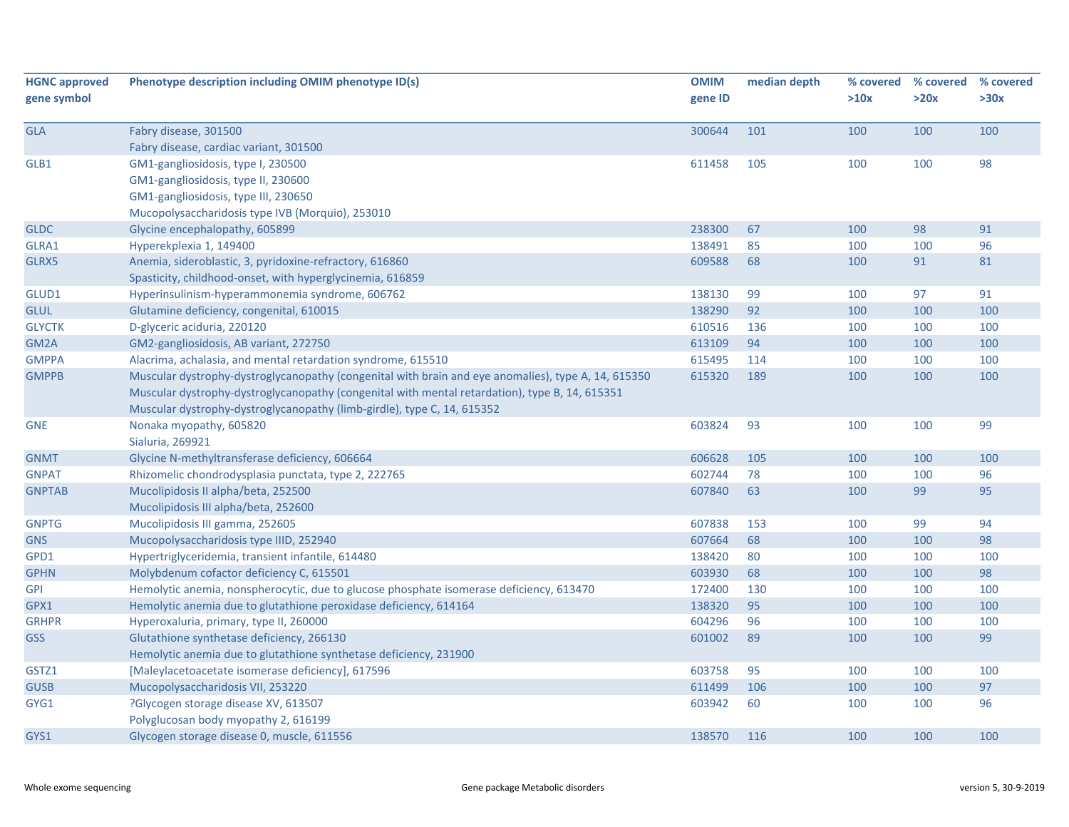| <b>HGNC approved</b><br>gene symbol | Phenotype description including OMIM phenotype ID(s)                                                | <b>OMIM</b><br>gene ID | median depth | >10x | % covered % covered<br>>20x | % covered<br>>30x |
|-------------------------------------|-----------------------------------------------------------------------------------------------------|------------------------|--------------|------|-----------------------------|-------------------|
| <b>GLA</b>                          | Fabry disease, 301500                                                                               | 300644                 | 101          | 100  | 100                         | 100               |
|                                     | Fabry disease, cardiac variant, 301500                                                              |                        |              |      |                             |                   |
| GLB1                                | GM1-gangliosidosis, type I, 230500                                                                  | 611458                 | 105          | 100  | 100                         | 98                |
|                                     | GM1-gangliosidosis, type II, 230600                                                                 |                        |              |      |                             |                   |
|                                     | GM1-gangliosidosis, type III, 230650                                                                |                        |              |      |                             |                   |
|                                     | Mucopolysaccharidosis type IVB (Morquio), 253010                                                    |                        |              |      |                             |                   |
| <b>GLDC</b>                         | Glycine encephalopathy, 605899                                                                      | 238300                 | 67           | 100  | 98                          | 91                |
| GLRA1                               | Hyperekplexia 1, 149400                                                                             | 138491                 | 85           | 100  | 100                         | 96                |
| GLRX5                               | Anemia, sideroblastic, 3, pyridoxine-refractory, 616860                                             | 609588                 | 68           | 100  | 91                          | 81                |
|                                     | Spasticity, childhood-onset, with hyperglycinemia, 616859                                           |                        |              |      |                             |                   |
| GLUD1                               | Hyperinsulinism-hyperammonemia syndrome, 606762                                                     | 138130                 | 99           | 100  | 97                          | 91                |
| <b>GLUL</b>                         | Glutamine deficiency, congenital, 610015                                                            | 138290                 | 92           | 100  | 100                         | 100               |
| <b>GLYCTK</b>                       | D-glyceric aciduria, 220120                                                                         | 610516                 | 136          | 100  | 100                         | 100               |
| GM2A                                | GM2-gangliosidosis, AB variant, 272750                                                              | 613109                 | 94           | 100  | 100                         | 100               |
| <b>GMPPA</b>                        | Alacrima, achalasia, and mental retardation syndrome, 615510                                        | 615495                 | 114          | 100  | 100                         | 100               |
| <b>GMPPB</b>                        | Muscular dystrophy-dystroglycanopathy (congenital with brain and eye anomalies), type A, 14, 615350 | 615320                 | 189          | 100  | 100                         | 100               |
|                                     | Muscular dystrophy-dystroglycanopathy (congenital with mental retardation), type B, 14, 615351      |                        |              |      |                             |                   |
|                                     | Muscular dystrophy-dystroglycanopathy (limb-girdle), type C, 14, 615352                             |                        |              |      |                             |                   |
| <b>GNE</b>                          | Nonaka myopathy, 605820                                                                             | 603824                 | 93           | 100  | 100                         | 99                |
|                                     | Sialuria, 269921                                                                                    |                        |              |      |                             |                   |
| <b>GNMT</b>                         | Glycine N-methyltransferase deficiency, 606664                                                      | 606628                 | 105          | 100  | 100                         | 100               |
| <b>GNPAT</b>                        | Rhizomelic chondrodysplasia punctata, type 2, 222765                                                | 602744                 | 78           | 100  | 100                         | 96                |
| <b>GNPTAB</b>                       | Mucolipidosis II alpha/beta, 252500                                                                 | 607840                 | 63           | 100  | 99                          | 95                |
|                                     | Mucolipidosis III alpha/beta, 252600                                                                |                        |              |      |                             |                   |
| <b>GNPTG</b>                        | Mucolipidosis III gamma, 252605                                                                     | 607838                 | 153          | 100  | 99                          | 94                |
| <b>GNS</b>                          | Mucopolysaccharidosis type IIID, 252940                                                             | 607664                 | 68           | 100  | 100                         | 98                |
| GPD1                                | Hypertriglyceridemia, transient infantile, 614480                                                   | 138420                 | 80           | 100  | 100                         | 100               |
| <b>GPHN</b>                         | Molybdenum cofactor deficiency C, 615501                                                            | 603930                 | 68           | 100  | 100                         | 98                |
| <b>GPI</b>                          | Hemolytic anemia, nonspherocytic, due to glucose phosphate isomerase deficiency, 613470             | 172400                 | 130          | 100  | 100                         | 100               |
| GPX1                                | Hemolytic anemia due to glutathione peroxidase deficiency, 614164                                   | 138320                 | 95           | 100  | 100                         | 100               |
| <b>GRHPR</b>                        | Hyperoxaluria, primary, type II, 260000                                                             | 604296                 | 96           | 100  | 100                         | 100               |
| <b>GSS</b>                          | Glutathione synthetase deficiency, 266130                                                           | 601002                 | 89           | 100  | 100                         | 99                |
|                                     | Hemolytic anemia due to glutathione synthetase deficiency, 231900                                   |                        |              |      |                             |                   |
| GSTZ1                               | [Maleylacetoacetate isomerase deficiency], 617596                                                   | 603758                 | 95           | 100  | 100                         | 100               |
| <b>GUSB</b>                         | Mucopolysaccharidosis VII, 253220                                                                   | 611499                 | 106          | 100  | 100                         | 97                |
| GYG1                                | ?Glycogen storage disease XV, 613507                                                                | 603942                 | 60           | 100  | 100                         | 96                |
|                                     | Polyglucosan body myopathy 2, 616199                                                                |                        |              |      |                             |                   |
| GYS1                                | Glycogen storage disease 0, muscle, 611556                                                          | 138570                 | 116          | 100  | 100                         | 100               |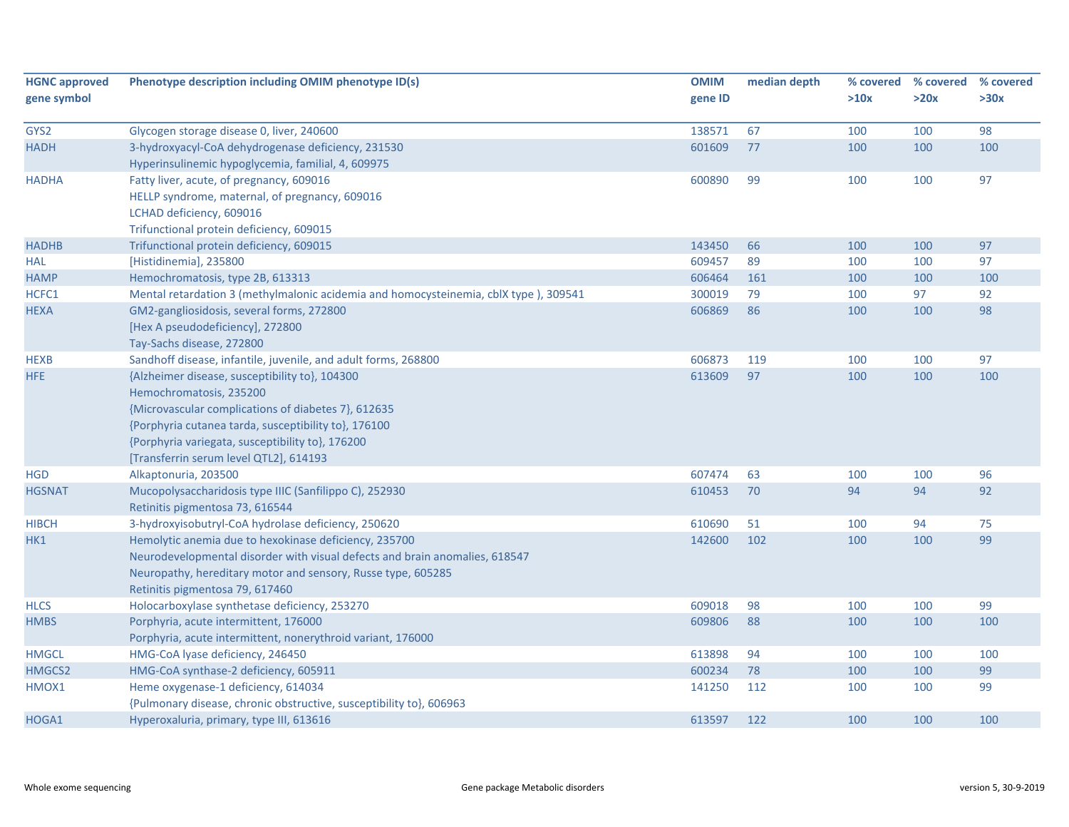| <b>HGNC approved</b> | Phenotype description including OMIM phenotype ID(s)                                 | <b>OMIM</b> | median depth | % covered | % covered | % covered |
|----------------------|--------------------------------------------------------------------------------------|-------------|--------------|-----------|-----------|-----------|
| gene symbol          |                                                                                      | gene ID     |              | >10x      | >20x      | >30x      |
| GYS2                 | Glycogen storage disease 0, liver, 240600                                            | 138571      | 67           | 100       | 100       | 98        |
| <b>HADH</b>          | 3-hydroxyacyl-CoA dehydrogenase deficiency, 231530                                   | 601609      | 77           | 100       | 100       | 100       |
|                      | Hyperinsulinemic hypoglycemia, familial, 4, 609975                                   |             |              |           |           |           |
| <b>HADHA</b>         | Fatty liver, acute, of pregnancy, 609016                                             | 600890      | 99           | 100       | 100       | 97        |
|                      | HELLP syndrome, maternal, of pregnancy, 609016                                       |             |              |           |           |           |
|                      | LCHAD deficiency, 609016                                                             |             |              |           |           |           |
|                      | Trifunctional protein deficiency, 609015                                             |             |              |           |           |           |
| <b>HADHB</b>         | Trifunctional protein deficiency, 609015                                             | 143450      | 66           | 100       | 100       | 97        |
| <b>HAL</b>           | [Histidinemia], 235800                                                               | 609457      | 89           | 100       | 100       | 97        |
| <b>HAMP</b>          | Hemochromatosis, type 2B, 613313                                                     | 606464      | 161          | 100       | 100       | 100       |
| HCFC1                | Mental retardation 3 (methylmalonic acidemia and homocysteinemia, cblX type), 309541 | 300019      | 79           | 100       | 97        | 92        |
| <b>HEXA</b>          | GM2-gangliosidosis, several forms, 272800                                            | 606869      | 86           | 100       | 100       | 98        |
|                      | [Hex A pseudodeficiency], 272800                                                     |             |              |           |           |           |
|                      | Tay-Sachs disease, 272800                                                            |             |              |           |           |           |
| <b>HEXB</b>          | Sandhoff disease, infantile, juvenile, and adult forms, 268800                       | 606873      | 119          | 100       | 100       | 97        |
| <b>HFE</b>           | {Alzheimer disease, susceptibility to}, 104300                                       | 613609      | 97           | 100       | 100       | 100       |
|                      | Hemochromatosis, 235200                                                              |             |              |           |           |           |
|                      | {Microvascular complications of diabetes 7}, 612635                                  |             |              |           |           |           |
|                      | {Porphyria cutanea tarda, susceptibility to}, 176100                                 |             |              |           |           |           |
|                      | {Porphyria variegata, susceptibility to}, 176200                                     |             |              |           |           |           |
|                      | [Transferrin serum level QTL2], 614193                                               |             |              |           |           |           |
| <b>HGD</b>           | Alkaptonuria, 203500                                                                 | 607474      | 63           | 100       | 100       | 96        |
| <b>HGSNAT</b>        | Mucopolysaccharidosis type IIIC (Sanfilippo C), 252930                               | 610453      | 70           | 94        | 94        | 92        |
|                      | Retinitis pigmentosa 73, 616544                                                      |             |              |           |           |           |
| <b>HIBCH</b>         | 3-hydroxyisobutryl-CoA hydrolase deficiency, 250620                                  | 610690      | 51           | 100       | 94        | 75        |
| HK1                  | Hemolytic anemia due to hexokinase deficiency, 235700                                | 142600      | 102          | 100       | 100       | 99        |
|                      | Neurodevelopmental disorder with visual defects and brain anomalies, 618547          |             |              |           |           |           |
|                      | Neuropathy, hereditary motor and sensory, Russe type, 605285                         |             |              |           |           |           |
|                      | Retinitis pigmentosa 79, 617460                                                      |             |              |           |           |           |
| <b>HLCS</b>          | Holocarboxylase synthetase deficiency, 253270                                        | 609018      | 98           | 100       | 100       | 99        |
| <b>HMBS</b>          | Porphyria, acute intermittent, 176000                                                | 609806      | 88           | 100       | 100       | 100       |
|                      | Porphyria, acute intermittent, nonerythroid variant, 176000                          |             |              |           |           |           |
| <b>HMGCL</b>         | HMG-CoA lyase deficiency, 246450                                                     | 613898      | 94           | 100       | 100       | 100       |
| HMGCS2               | HMG-CoA synthase-2 deficiency, 605911                                                | 600234      | 78           | 100       | 100       | 99        |
| HMOX1                | Heme oxygenase-1 deficiency, 614034                                                  | 141250      | 112          | 100       | 100       | 99        |
|                      | {Pulmonary disease, chronic obstructive, susceptibility to}, 606963                  |             |              |           |           |           |
| HOGA1                | Hyperoxaluria, primary, type III, 613616                                             | 613597      | 122          | 100       | 100       | 100       |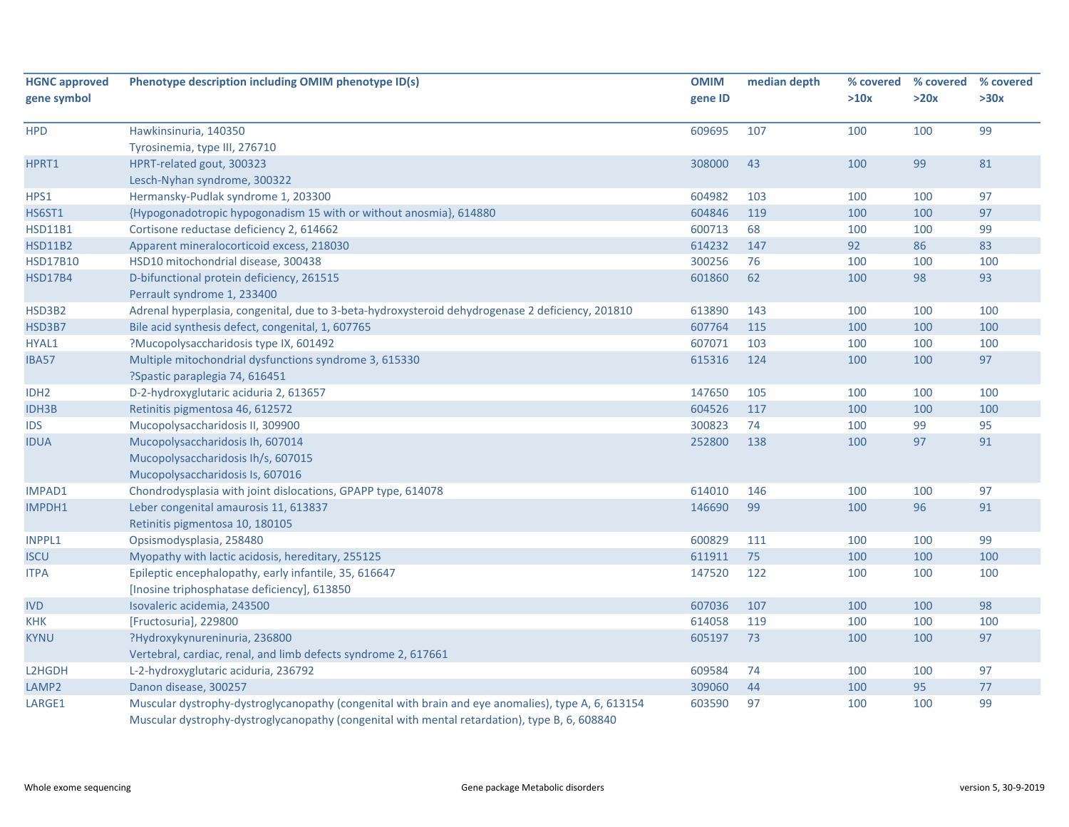| <b>HGNC approved</b> | Phenotype description including OMIM phenotype ID(s)                                               | <b>OMIM</b> | median depth | % covered | % covered | % covered |
|----------------------|----------------------------------------------------------------------------------------------------|-------------|--------------|-----------|-----------|-----------|
| gene symbol          |                                                                                                    | gene ID     |              | >10x      | >20x      | >30x      |
| <b>HPD</b>           | Hawkinsinuria, 140350                                                                              | 609695      | 107          | 100       | 100       | 99        |
|                      | Tyrosinemia, type III, 276710                                                                      |             |              |           |           |           |
| HPRT1                | HPRT-related gout, 300323                                                                          | 308000      | 43           | 100       | 99        | 81        |
|                      | Lesch-Nyhan syndrome, 300322                                                                       |             |              |           |           |           |
| HPS1                 | Hermansky-Pudlak syndrome 1, 203300                                                                | 604982      | 103          | 100       | 100       | 97        |
| <b>HS6ST1</b>        | {Hypogonadotropic hypogonadism 15 with or without anosmia}, 614880                                 | 604846      | 119          | 100       | 100       | 97        |
| <b>HSD11B1</b>       | Cortisone reductase deficiency 2, 614662                                                           | 600713      | 68           | 100       | 100       | 99        |
| <b>HSD11B2</b>       | Apparent mineralocorticoid excess, 218030                                                          | 614232      | 147          | 92        | 86        | 83        |
| <b>HSD17B10</b>      | HSD10 mitochondrial disease, 300438                                                                | 300256      | 76           | 100       | 100       | 100       |
| <b>HSD17B4</b>       | D-bifunctional protein deficiency, 261515<br>Perrault syndrome 1, 233400                           | 601860      | 62           | 100       | 98        | 93        |
| HSD3B2               | Adrenal hyperplasia, congenital, due to 3-beta-hydroxysteroid dehydrogenase 2 deficiency, 201810   | 613890      | 143          | 100       | 100       | 100       |
| HSD3B7               | Bile acid synthesis defect, congenital, 1, 607765                                                  | 607764      | 115          | 100       | 100       | 100       |
| HYAL1                | ?Mucopolysaccharidosis type IX, 601492                                                             | 607071      | 103          | 100       | 100       | 100       |
| IBA57                | Multiple mitochondrial dysfunctions syndrome 3, 615330<br>?Spastic paraplegia 74, 616451           | 615316      | 124          | 100       | 100       | 97        |
| IDH <sub>2</sub>     | D-2-hydroxyglutaric aciduria 2, 613657                                                             | 147650      | 105          | 100       | 100       | 100       |
| <b>IDH3B</b>         | Retinitis pigmentosa 46, 612572                                                                    | 604526      | 117          | 100       | 100       | 100       |
| <b>IDS</b>           | Mucopolysaccharidosis II, 309900                                                                   | 300823      | 74           | 100       | 99        | 95        |
| <b>IDUA</b>          | Mucopolysaccharidosis Ih, 607014                                                                   | 252800      | 138          | 100       | 97        | 91        |
|                      | Mucopolysaccharidosis Ih/s, 607015                                                                 |             |              |           |           |           |
|                      | Mucopolysaccharidosis Is, 607016                                                                   |             |              |           |           |           |
| IMPAD1               | Chondrodysplasia with joint dislocations, GPAPP type, 614078                                       | 614010      | 146          | 100       | 100       | 97        |
| IMPDH1               | Leber congenital amaurosis 11, 613837                                                              | 146690      | 99           | 100       | 96        | 91        |
|                      | Retinitis pigmentosa 10, 180105                                                                    |             |              |           |           |           |
| <b>INPPL1</b>        | Opsismodysplasia, 258480                                                                           | 600829      | 111          | 100       | 100       | 99        |
| <b>ISCU</b>          | Myopathy with lactic acidosis, hereditary, 255125                                                  | 611911      | 75           | 100       | 100       | 100       |
| <b>ITPA</b>          | Epileptic encephalopathy, early infantile, 35, 616647                                              | 147520      | 122          | 100       | 100       | 100       |
|                      | [Inosine triphosphatase deficiency], 613850                                                        |             |              |           |           |           |
| <b>IVD</b>           | Isovaleric acidemia, 243500                                                                        | 607036      | 107          | 100       | 100       | 98        |
| <b>KHK</b>           | [Fructosuria], 229800                                                                              | 614058      | 119          | 100       | 100       | 100       |
| <b>KYNU</b>          | ?Hydroxykynureninuria, 236800                                                                      | 605197      | 73           | 100       | 100       | 97        |
|                      | Vertebral, cardiac, renal, and limb defects syndrome 2, 617661                                     |             |              |           |           |           |
| L2HGDH               | L-2-hydroxyglutaric aciduria, 236792                                                               | 609584      | 74           | 100       | 100       | 97        |
| LAMP2                | Danon disease, 300257                                                                              | 309060      | 44           | 100       | 95        | $77\,$    |
| LARGE1               | Muscular dystrophy-dystroglycanopathy (congenital with brain and eye anomalies), type A, 6, 613154 | 603590      | 97           | 100       | 100       | 99        |
|                      | Muscular dystrophy-dystroglycanopathy (congenital with mental retardation), type B, 6, 608840      |             |              |           |           |           |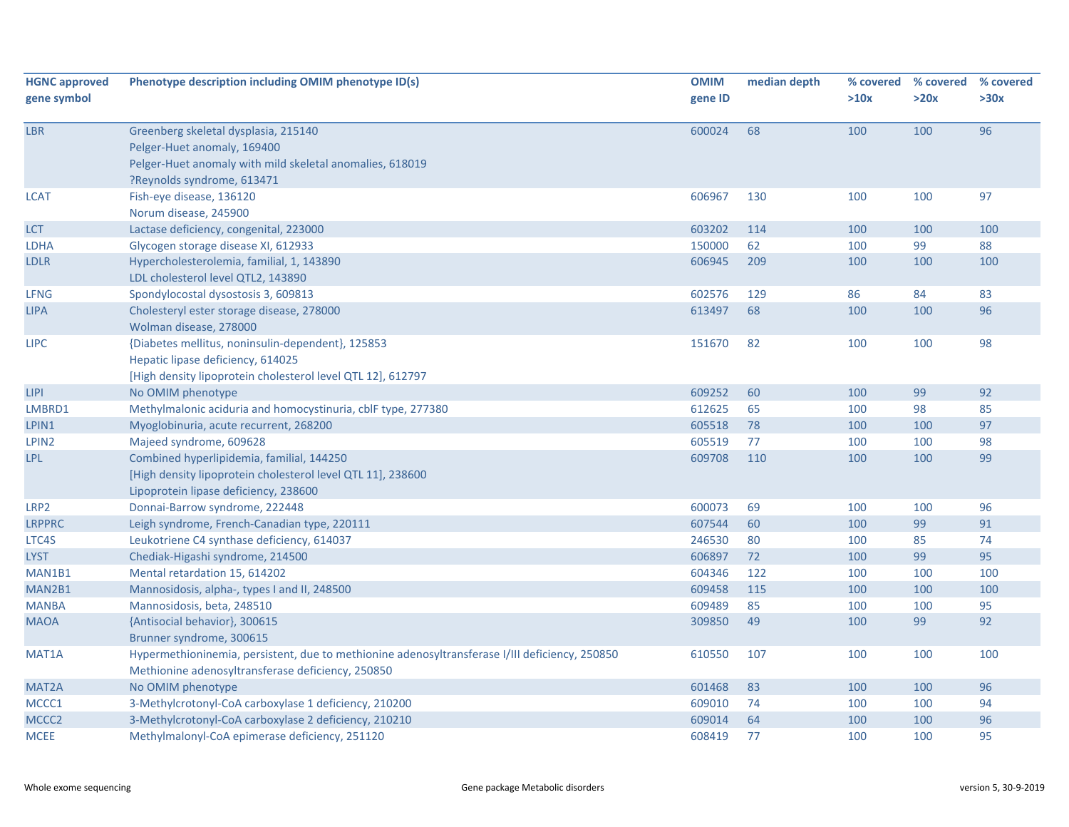| <b>HGNC approved</b> | Phenotype description including OMIM phenotype ID(s)                                           | <b>OMIM</b> | median depth |      | % covered % covered | % covered |
|----------------------|------------------------------------------------------------------------------------------------|-------------|--------------|------|---------------------|-----------|
| gene symbol          |                                                                                                | gene ID     |              | >10x | >20x                | >30x      |
| <b>LBR</b>           | Greenberg skeletal dysplasia, 215140                                                           | 600024      | 68           | 100  | 100                 | 96        |
|                      | Pelger-Huet anomaly, 169400                                                                    |             |              |      |                     |           |
|                      | Pelger-Huet anomaly with mild skeletal anomalies, 618019                                       |             |              |      |                     |           |
|                      | ?Reynolds syndrome, 613471                                                                     |             |              |      |                     |           |
| <b>LCAT</b>          | Fish-eye disease, 136120                                                                       | 606967      | 130          | 100  | 100                 | 97        |
|                      | Norum disease, 245900                                                                          |             |              |      |                     |           |
| <b>LCT</b>           | Lactase deficiency, congenital, 223000                                                         | 603202      | 114          | 100  | 100                 | 100       |
| LDHA                 | Glycogen storage disease XI, 612933                                                            | 150000      | 62           | 100  | 99                  | 88        |
| LDLR                 | Hypercholesterolemia, familial, 1, 143890                                                      | 606945      | 209          | 100  | 100                 | 100       |
|                      | LDL cholesterol level QTL2, 143890                                                             |             |              |      |                     |           |
| <b>LFNG</b>          | Spondylocostal dysostosis 3, 609813                                                            | 602576      | 129          | 86   | 84                  | 83        |
| <b>LIPA</b>          | Cholesteryl ester storage disease, 278000                                                      | 613497      | 68           | 100  | 100                 | 96        |
|                      | Wolman disease, 278000                                                                         |             |              |      |                     |           |
| <b>LIPC</b>          | {Diabetes mellitus, noninsulin-dependent}, 125853                                              | 151670      | 82           | 100  | 100                 | 98        |
|                      | Hepatic lipase deficiency, 614025                                                              |             |              |      |                     |           |
|                      | [High density lipoprotein cholesterol level QTL 12], 612797                                    |             |              |      |                     |           |
| <b>LIPI</b>          | No OMIM phenotype                                                                              | 609252      | 60           | 100  | 99                  | 92        |
| LMBRD1               | Methylmalonic aciduria and homocystinuria, cblF type, 277380                                   | 612625      | 65           | 100  | 98                  | 85        |
| LPIN1                | Myoglobinuria, acute recurrent, 268200                                                         | 605518      | 78           | 100  | 100                 | 97        |
| LPIN <sub>2</sub>    | Majeed syndrome, 609628                                                                        | 605519      | 77           | 100  | 100                 | 98        |
| LPL                  | Combined hyperlipidemia, familial, 144250                                                      | 609708      | 110          | 100  | 100                 | 99        |
|                      | [High density lipoprotein cholesterol level QTL 11], 238600                                    |             |              |      |                     |           |
|                      | Lipoprotein lipase deficiency, 238600                                                          |             |              |      |                     |           |
| LRP2                 | Donnai-Barrow syndrome, 222448                                                                 | 600073      | 69           | 100  | 100                 | 96        |
| <b>LRPPRC</b>        | Leigh syndrome, French-Canadian type, 220111                                                   | 607544      | 60           | 100  | 99                  | 91        |
| LTC4S                | Leukotriene C4 synthase deficiency, 614037                                                     | 246530      | 80           | 100  | 85                  | 74        |
| <b>LYST</b>          | Chediak-Higashi syndrome, 214500                                                               | 606897      | 72           | 100  | 99                  | 95        |
| MAN1B1               | Mental retardation 15, 614202                                                                  | 604346      | 122          | 100  | 100                 | 100       |
| MAN2B1               | Mannosidosis, alpha-, types I and II, 248500                                                   | 609458      | 115          | 100  | 100                 | 100       |
| <b>MANBA</b>         | Mannosidosis, beta, 248510                                                                     | 609489      | 85           | 100  | 100                 | 95        |
| <b>MAOA</b>          | {Antisocial behavior}, 300615                                                                  | 309850      | 49           | 100  | 99                  | 92        |
|                      | Brunner syndrome, 300615                                                                       |             |              |      |                     |           |
| MAT1A                | Hypermethioninemia, persistent, due to methionine adenosyltransferase I/III deficiency, 250850 | 610550      | 107          | 100  | 100                 | 100       |
|                      | Methionine adenosyltransferase deficiency, 250850                                              |             |              |      |                     |           |
| MAT2A                | No OMIM phenotype                                                                              | 601468      | 83           | 100  | 100                 | 96        |
| MCCC1                | 3-Methylcrotonyl-CoA carboxylase 1 deficiency, 210200                                          | 609010      | 74           | 100  | 100                 | 94        |
| MCCC2                | 3-Methylcrotonyl-CoA carboxylase 2 deficiency, 210210                                          | 609014      | 64           | 100  | 100                 | 96        |
| <b>MCEE</b>          | Methylmalonyl-CoA epimerase deficiency, 251120                                                 | 608419      | 77           | 100  | 100                 | 95        |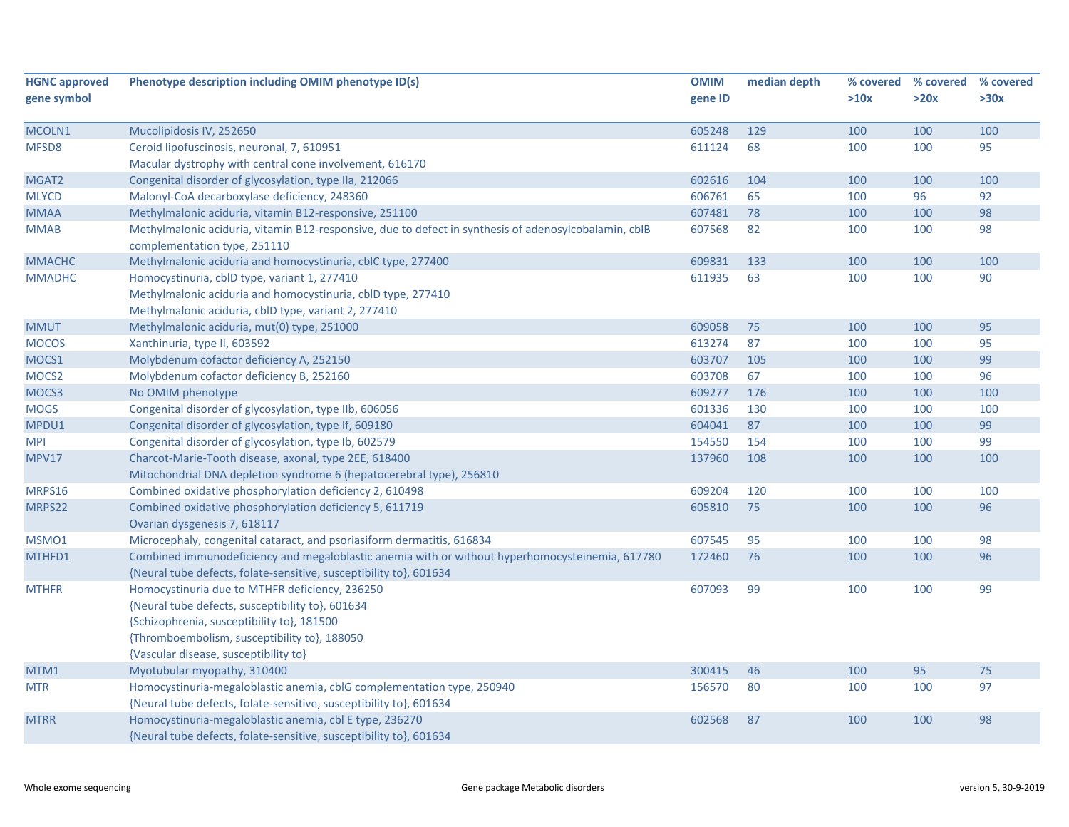| <b>HGNC approved</b> | Phenotype description including OMIM phenotype ID(s)                                                                                  | <b>OMIM</b> | median depth |      | % covered % covered % covered |      |
|----------------------|---------------------------------------------------------------------------------------------------------------------------------------|-------------|--------------|------|-------------------------------|------|
| gene symbol          |                                                                                                                                       | gene ID     |              | >10x | >20x                          | >30x |
|                      |                                                                                                                                       |             |              |      |                               |      |
| MCOLN1               | Mucolipidosis IV, 252650                                                                                                              | 605248      | 129          | 100  | 100                           | 100  |
| MFSD8                | Ceroid lipofuscinosis, neuronal, 7, 610951                                                                                            | 611124      | 68           | 100  | 100                           | 95   |
|                      | Macular dystrophy with central cone involvement, 616170                                                                               |             |              |      |                               |      |
| MGAT2                | Congenital disorder of glycosylation, type IIa, 212066                                                                                | 602616      | 104          | 100  | 100                           | 100  |
| <b>MLYCD</b>         | Malonyl-CoA decarboxylase deficiency, 248360                                                                                          | 606761      | 65           | 100  | 96                            | 92   |
| <b>MMAA</b>          | Methylmalonic aciduria, vitamin B12-responsive, 251100                                                                                | 607481      | 78           | 100  | 100                           | 98   |
| <b>MMAB</b>          | Methylmalonic aciduria, vitamin B12-responsive, due to defect in synthesis of adenosylcobalamin, cblB<br>complementation type, 251110 | 607568      | 82           | 100  | 100                           | 98   |
| <b>MMACHC</b>        | Methylmalonic aciduria and homocystinuria, cblC type, 277400                                                                          | 609831      | 133          | 100  | 100                           | 100  |
| <b>MMADHC</b>        | Homocystinuria, cblD type, variant 1, 277410                                                                                          | 611935      | 63           | 100  | 100                           | 90   |
|                      | Methylmalonic aciduria and homocystinuria, cblD type, 277410                                                                          |             |              |      |                               |      |
|                      | Methylmalonic aciduria, cblD type, variant 2, 277410                                                                                  |             |              |      |                               |      |
| <b>MMUT</b>          | Methylmalonic aciduria, mut(0) type, 251000                                                                                           | 609058      | 75           | 100  | 100                           | 95   |
| <b>MOCOS</b>         | Xanthinuria, type II, 603592                                                                                                          | 613274      | 87           | 100  | 100                           | 95   |
| MOCS1                | Molybdenum cofactor deficiency A, 252150                                                                                              | 603707      | 105          | 100  | 100                           | 99   |
| MOCS <sub>2</sub>    | Molybdenum cofactor deficiency B, 252160                                                                                              | 603708      | 67           | 100  | 100                           | 96   |
| MOCS3                | No OMIM phenotype                                                                                                                     | 609277      | 176          | 100  | 100                           | 100  |
| <b>MOGS</b>          | Congenital disorder of glycosylation, type IIb, 606056                                                                                | 601336      | 130          | 100  | 100                           | 100  |
| MPDU1                | Congenital disorder of glycosylation, type If, 609180                                                                                 | 604041      | 87           | 100  | 100                           | 99   |
| <b>MPI</b>           | Congenital disorder of glycosylation, type Ib, 602579                                                                                 | 154550      | 154          | 100  | 100                           | 99   |
| <b>MPV17</b>         | Charcot-Marie-Tooth disease, axonal, type 2EE, 618400                                                                                 | 137960      | 108          | 100  | 100                           | 100  |
|                      | Mitochondrial DNA depletion syndrome 6 (hepatocerebral type), 256810                                                                  |             |              |      |                               |      |
| MRPS16               | Combined oxidative phosphorylation deficiency 2, 610498                                                                               | 609204      | 120          | 100  | 100                           | 100  |
| MRPS22               | Combined oxidative phosphorylation deficiency 5, 611719                                                                               | 605810      | 75           | 100  | 100                           | 96   |
|                      | Ovarian dysgenesis 7, 618117                                                                                                          |             |              |      |                               |      |
| MSMO1                | Microcephaly, congenital cataract, and psoriasiform dermatitis, 616834                                                                | 607545      | 95           | 100  | 100                           | 98   |
| MTHFD1               | Combined immunodeficiency and megaloblastic anemia with or without hyperhomocysteinemia, 617780                                       | 172460      | 76           | 100  | 100                           | 96   |
|                      | {Neural tube defects, folate-sensitive, susceptibility to}, 601634                                                                    |             |              |      |                               |      |
| <b>MTHFR</b>         | Homocystinuria due to MTHFR deficiency, 236250                                                                                        | 607093      | 99           | 100  | 100                           | 99   |
|                      | {Neural tube defects, susceptibility to}, 601634                                                                                      |             |              |      |                               |      |
|                      | {Schizophrenia, susceptibility to}, 181500                                                                                            |             |              |      |                               |      |
|                      | {Thromboembolism, susceptibility to}, 188050                                                                                          |             |              |      |                               |      |
|                      | {Vascular disease, susceptibility to}                                                                                                 |             |              |      |                               |      |
| MTM1                 | Myotubular myopathy, 310400                                                                                                           | 300415      | 46           | 100  | 95                            | 75   |
| <b>MTR</b>           | Homocystinuria-megaloblastic anemia, cblG complementation type, 250940                                                                | 156570      | 80           | 100  | 100                           | 97   |
|                      | {Neural tube defects, folate-sensitive, susceptibility to}, 601634                                                                    |             |              |      |                               |      |
| <b>MTRR</b>          | Homocystinuria-megaloblastic anemia, cbl E type, 236270                                                                               | 602568      | 87           | 100  | 100                           | 98   |
|                      | {Neural tube defects, folate-sensitive, susceptibility to}, 601634                                                                    |             |              |      |                               |      |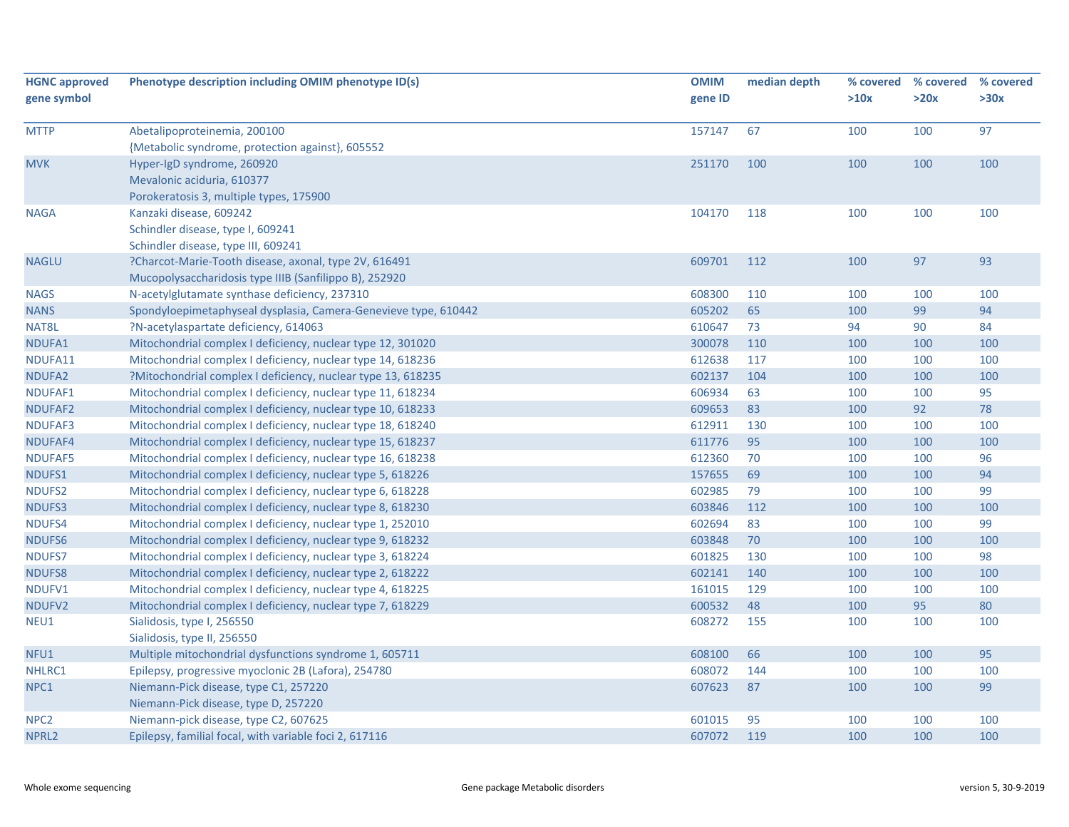| <b>HGNC approved</b><br>gene symbol | Phenotype description including OMIM phenotype ID(s)            | <b>OMIM</b><br>gene ID | median depth | % covered<br>>10x | % covered<br>>20x | % covered<br>>30x |
|-------------------------------------|-----------------------------------------------------------------|------------------------|--------------|-------------------|-------------------|-------------------|
| <b>MTTP</b>                         | Abetalipoproteinemia, 200100                                    | 157147                 | 67           | 100               | 100               | 97                |
|                                     | {Metabolic syndrome, protection against}, 605552                |                        |              |                   |                   |                   |
| <b>MVK</b>                          | Hyper-IgD syndrome, 260920                                      | 251170                 | 100          | 100               | 100               | 100               |
|                                     | Mevalonic aciduria, 610377                                      |                        |              |                   |                   |                   |
|                                     | Porokeratosis 3, multiple types, 175900                         |                        |              |                   |                   |                   |
| <b>NAGA</b>                         | Kanzaki disease, 609242                                         | 104170                 | 118          | 100               | 100               | 100               |
|                                     | Schindler disease, type I, 609241                               |                        |              |                   |                   |                   |
|                                     | Schindler disease, type III, 609241                             |                        |              |                   |                   |                   |
| <b>NAGLU</b>                        | ?Charcot-Marie-Tooth disease, axonal, type 2V, 616491           | 609701                 | 112          | 100               | 97                | 93                |
|                                     | Mucopolysaccharidosis type IIIB (Sanfilippo B), 252920          |                        |              |                   |                   |                   |
| <b>NAGS</b>                         | N-acetylglutamate synthase deficiency, 237310                   | 608300                 | 110          | 100               | 100               | 100               |
| <b>NANS</b>                         | Spondyloepimetaphyseal dysplasia, Camera-Genevieve type, 610442 | 605202                 | 65           | 100               | 99                | 94                |
| NAT8L                               | ?N-acetylaspartate deficiency, 614063                           | 610647                 | 73           | 94                | 90                | 84                |
| NDUFA1                              | Mitochondrial complex I deficiency, nuclear type 12, 301020     | 300078                 | 110          | 100               | 100               | 100               |
| NDUFA11                             | Mitochondrial complex I deficiency, nuclear type 14, 618236     | 612638                 | 117          | 100               | 100               | 100               |
| NDUFA2                              | ?Mitochondrial complex I deficiency, nuclear type 13, 618235    | 602137                 | 104          | 100               | 100               | 100               |
| NDUFAF1                             | Mitochondrial complex I deficiency, nuclear type 11, 618234     | 606934                 | 63           | 100               | 100               | 95                |
| NDUFAF2                             | Mitochondrial complex I deficiency, nuclear type 10, 618233     | 609653                 | 83           | 100               | 92                | 78                |
| NDUFAF3                             | Mitochondrial complex I deficiency, nuclear type 18, 618240     | 612911                 | 130          | 100               | 100               | 100               |
| NDUFAF4                             | Mitochondrial complex I deficiency, nuclear type 15, 618237     | 611776                 | 95           | 100               | 100               | 100               |
| NDUFAF5                             | Mitochondrial complex I deficiency, nuclear type 16, 618238     | 612360                 | 70           | 100               | 100               | 96                |
| NDUFS1                              | Mitochondrial complex I deficiency, nuclear type 5, 618226      | 157655                 | 69           | 100               | 100               | 94                |
| NDUFS2                              | Mitochondrial complex I deficiency, nuclear type 6, 618228      | 602985                 | 79           | 100               | 100               | 99                |
| NDUFS3                              | Mitochondrial complex I deficiency, nuclear type 8, 618230      | 603846                 | 112          | 100               | 100               | 100               |
| NDUFS4                              | Mitochondrial complex I deficiency, nuclear type 1, 252010      | 602694                 | 83           | 100               | 100               | 99                |
| NDUFS6                              | Mitochondrial complex I deficiency, nuclear type 9, 618232      | 603848                 | 70           | 100               | 100               | 100               |
| <b>NDUFS7</b>                       | Mitochondrial complex I deficiency, nuclear type 3, 618224      | 601825                 | 130          | 100               | 100               | 98                |
| NDUFS8                              | Mitochondrial complex I deficiency, nuclear type 2, 618222      | 602141                 | 140          | 100               | 100               | 100               |
| NDUFV1                              | Mitochondrial complex I deficiency, nuclear type 4, 618225      | 161015                 | 129          | 100               | 100               | 100               |
| NDUFV2                              | Mitochondrial complex I deficiency, nuclear type 7, 618229      | 600532                 | 48           | 100               | 95                | 80                |
| NEU1                                | Sialidosis, type I, 256550                                      | 608272                 | 155          | 100               | 100               | 100               |
|                                     | Sialidosis, type II, 256550                                     |                        |              |                   |                   |                   |
| NFU1                                | Multiple mitochondrial dysfunctions syndrome 1, 605711          | 608100                 | 66           | 100               | 100               | 95                |
| NHLRC1                              | Epilepsy, progressive myoclonic 2B (Lafora), 254780             | 608072                 | 144          | 100               | 100               | 100               |
| NPC1                                | Niemann-Pick disease, type C1, 257220                           | 607623                 | 87           | 100               | 100               | 99                |
|                                     | Niemann-Pick disease, type D, 257220                            |                        |              |                   |                   |                   |
| NPC <sub>2</sub>                    | Niemann-pick disease, type C2, 607625                           | 601015                 | 95           | 100               | 100               | 100               |
| NPRL2                               | Epilepsy, familial focal, with variable foci 2, 617116          | 607072                 | 119          | 100               | 100               | 100               |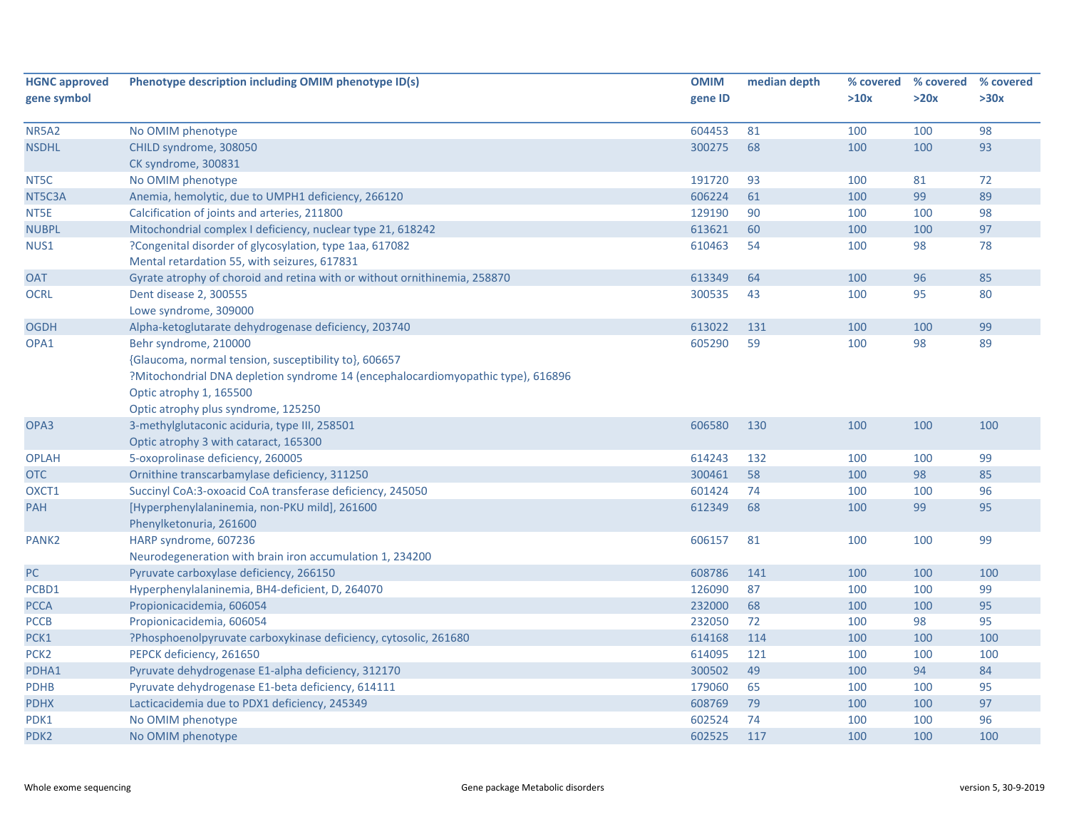| <b>HGNC approved</b> | Phenotype description including OMIM phenotype ID(s)                             | <b>OMIM</b> | median depth |      | % covered % covered | % covered |
|----------------------|----------------------------------------------------------------------------------|-------------|--------------|------|---------------------|-----------|
| gene symbol          |                                                                                  | gene ID     |              | >10x | >20x                | >30x      |
|                      |                                                                                  |             |              |      |                     |           |
| <b>NR5A2</b>         | No OMIM phenotype                                                                | 604453      | 81           | 100  | 100                 | 98        |
| <b>NSDHL</b>         | CHILD syndrome, 308050                                                           | 300275      | 68           | 100  | 100                 | 93        |
|                      | CK syndrome, 300831                                                              |             |              |      |                     |           |
| NT5C                 | No OMIM phenotype                                                                | 191720      | 93           | 100  | 81                  | 72        |
| NT5C3A               | Anemia, hemolytic, due to UMPH1 deficiency, 266120                               | 606224      | 61           | 100  | 99                  | 89        |
| NT5E                 | Calcification of joints and arteries, 211800                                     | 129190      | 90           | 100  | 100                 | 98        |
| <b>NUBPL</b>         | Mitochondrial complex I deficiency, nuclear type 21, 618242                      | 613621      | 60           | 100  | 100                 | 97        |
| NUS1                 | ?Congenital disorder of glycosylation, type 1aa, 617082                          | 610463      | 54           | 100  | 98                  | 78        |
|                      | Mental retardation 55, with seizures, 617831                                     |             |              |      |                     |           |
| <b>OAT</b>           | Gyrate atrophy of choroid and retina with or without ornithinemia, 258870        | 613349      | 64           | 100  | 96                  | 85        |
| <b>OCRL</b>          | Dent disease 2, 300555                                                           | 300535      | 43           | 100  | 95                  | 80        |
|                      | Lowe syndrome, 309000                                                            |             |              |      |                     |           |
| <b>OGDH</b>          | Alpha-ketoglutarate dehydrogenase deficiency, 203740                             | 613022      | 131          | 100  | 100                 | 99        |
| OPA1                 | Behr syndrome, 210000                                                            | 605290      | 59           | 100  | 98                  | 89        |
|                      | {Glaucoma, normal tension, susceptibility to}, 606657                            |             |              |      |                     |           |
|                      | ?Mitochondrial DNA depletion syndrome 14 (encephalocardiomyopathic type), 616896 |             |              |      |                     |           |
|                      | Optic atrophy 1, 165500                                                          |             |              |      |                     |           |
|                      | Optic atrophy plus syndrome, 125250                                              |             |              |      |                     |           |
| OPA3                 | 3-methylglutaconic aciduria, type III, 258501                                    | 606580      | 130          | 100  | 100                 | 100       |
|                      | Optic atrophy 3 with cataract, 165300                                            |             |              |      |                     |           |
| <b>OPLAH</b>         | 5-oxoprolinase deficiency, 260005                                                | 614243      | 132          | 100  | 100                 | 99        |
| <b>OTC</b>           | Ornithine transcarbamylase deficiency, 311250                                    | 300461      | 58           | 100  | 98                  | 85        |
| OXCT1                | Succinyl CoA:3-oxoacid CoA transferase deficiency, 245050                        | 601424      | 74           | 100  | 100                 | 96        |
| PAH                  | [Hyperphenylalaninemia, non-PKU mild], 261600                                    | 612349      | 68           | 100  | 99                  | 95        |
|                      | Phenylketonuria, 261600                                                          |             |              |      |                     |           |
| PANK <sub>2</sub>    | HARP syndrome, 607236                                                            | 606157      | 81           | 100  | 100                 | 99        |
|                      | Neurodegeneration with brain iron accumulation 1, 234200                         |             |              |      |                     |           |
| PC                   | Pyruvate carboxylase deficiency, 266150                                          | 608786      | 141          | 100  | 100                 | 100       |
| PCBD1                | Hyperphenylalaninemia, BH4-deficient, D, 264070                                  | 126090      | 87           | 100  | 100                 | 99        |
| <b>PCCA</b>          | Propionicacidemia, 606054                                                        | 232000      | 68           | 100  | 100                 | 95        |
| <b>PCCB</b>          | Propionicacidemia, 606054                                                        | 232050      | 72           | 100  | 98                  | 95        |
| PCK1                 | ?Phosphoenolpyruvate carboxykinase deficiency, cytosolic, 261680                 | 614168      | 114          | 100  | 100                 | 100       |
| PCK <sub>2</sub>     | PEPCK deficiency, 261650                                                         | 614095      | 121          | 100  | 100                 | 100       |
| PDHA1                | Pyruvate dehydrogenase E1-alpha deficiency, 312170                               | 300502      | 49           | 100  | 94                  | 84        |
| <b>PDHB</b>          | Pyruvate dehydrogenase E1-beta deficiency, 614111                                | 179060      | 65           | 100  | 100                 | 95        |
| <b>PDHX</b>          | Lacticacidemia due to PDX1 deficiency, 245349                                    | 608769      | 79           | 100  | 100                 | 97        |
| PDK1                 | No OMIM phenotype                                                                | 602524      | 74           | 100  | 100                 | 96        |
| PDK <sub>2</sub>     | No OMIM phenotype                                                                | 602525      | 117          | 100  | 100                 | 100       |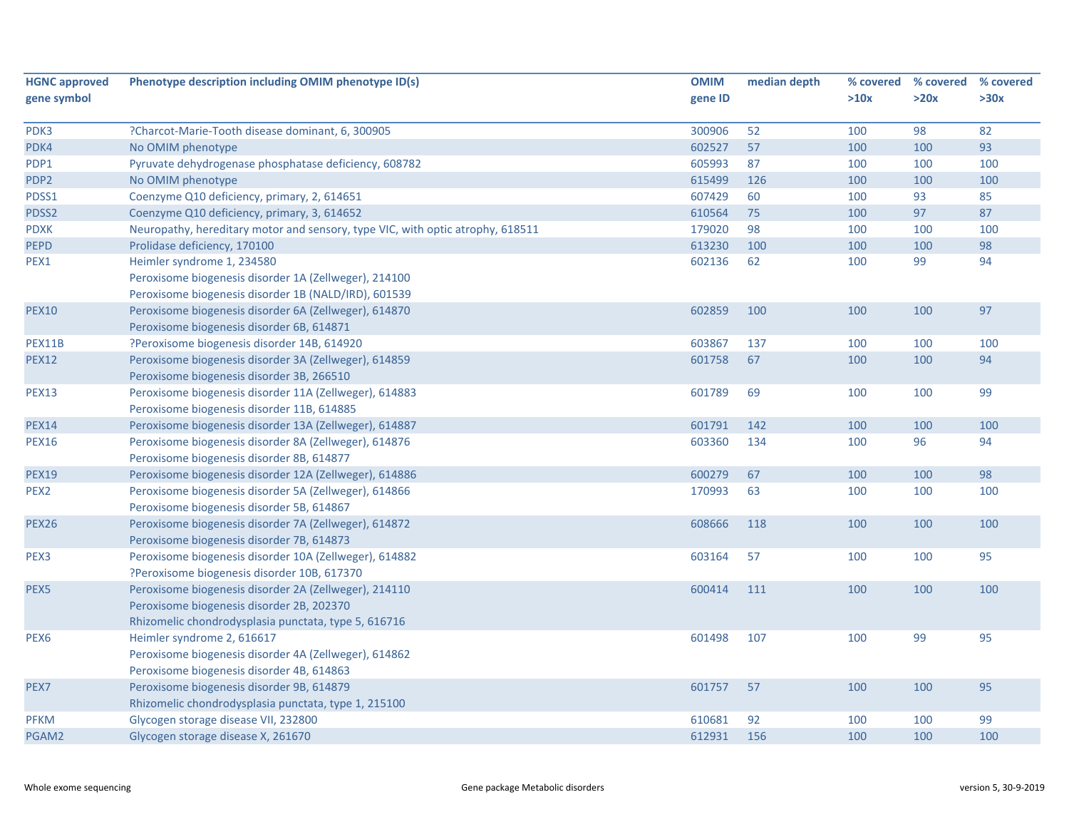| <b>HGNC approved</b> | Phenotype description including OMIM phenotype ID(s)                           | <b>OMIM</b> | median depth | % covered | % covered | % covered |
|----------------------|--------------------------------------------------------------------------------|-------------|--------------|-----------|-----------|-----------|
| gene symbol          |                                                                                | gene ID     |              | >10x      | >20x      | >30x      |
|                      |                                                                                |             |              |           |           |           |
| PDK3                 | ?Charcot-Marie-Tooth disease dominant, 6, 300905                               | 300906      | 52           | 100       | 98        | 82        |
| PDK4                 | No OMIM phenotype                                                              | 602527      | 57           | 100       | 100       | 93        |
| PDP1                 | Pyruvate dehydrogenase phosphatase deficiency, 608782                          | 605993      | 87           | 100       | 100       | 100       |
| PDP <sub>2</sub>     | No OMIM phenotype                                                              | 615499      | 126          | 100       | 100       | 100       |
| PDSS1                | Coenzyme Q10 deficiency, primary, 2, 614651                                    | 607429      | 60           | 100       | 93        | 85        |
| PDSS2                | Coenzyme Q10 deficiency, primary, 3, 614652                                    | 610564      | 75           | 100       | 97        | 87        |
| <b>PDXK</b>          | Neuropathy, hereditary motor and sensory, type VIC, with optic atrophy, 618511 | 179020      | 98           | 100       | 100       | 100       |
| <b>PEPD</b>          | Prolidase deficiency, 170100                                                   | 613230      | 100          | 100       | 100       | 98        |
| PEX1                 | Heimler syndrome 1, 234580                                                     | 602136      | 62           | 100       | 99        | 94        |
|                      | Peroxisome biogenesis disorder 1A (Zellweger), 214100                          |             |              |           |           |           |
|                      | Peroxisome biogenesis disorder 1B (NALD/IRD), 601539                           |             |              |           |           |           |
| <b>PEX10</b>         | Peroxisome biogenesis disorder 6A (Zellweger), 614870                          | 602859      | 100          | 100       | 100       | 97        |
|                      | Peroxisome biogenesis disorder 6B, 614871                                      |             |              |           |           |           |
| PEX11B               | ?Peroxisome biogenesis disorder 14B, 614920                                    | 603867      | 137          | 100       | 100       | 100       |
| <b>PEX12</b>         | Peroxisome biogenesis disorder 3A (Zellweger), 614859                          | 601758      | 67           | 100       | 100       | 94        |
|                      | Peroxisome biogenesis disorder 3B, 266510                                      |             |              |           |           |           |
| <b>PEX13</b>         | Peroxisome biogenesis disorder 11A (Zellweger), 614883                         | 601789      | 69           | 100       | 100       | 99        |
|                      | Peroxisome biogenesis disorder 11B, 614885                                     |             |              |           |           |           |
| <b>PEX14</b>         | Peroxisome biogenesis disorder 13A (Zellweger), 614887                         | 601791      | 142          | 100       | 100       | 100       |
| <b>PEX16</b>         | Peroxisome biogenesis disorder 8A (Zellweger), 614876                          | 603360      | 134          | 100       | 96        | 94        |
|                      | Peroxisome biogenesis disorder 8B, 614877                                      |             |              |           |           |           |
| <b>PEX19</b>         | Peroxisome biogenesis disorder 12A (Zellweger), 614886                         | 600279      | 67           | 100       | 100       | 98        |
| PEX <sub>2</sub>     | Peroxisome biogenesis disorder 5A (Zellweger), 614866                          | 170993      | 63           | 100       | 100       | 100       |
|                      | Peroxisome biogenesis disorder 5B, 614867                                      |             |              |           |           |           |
| <b>PEX26</b>         | Peroxisome biogenesis disorder 7A (Zellweger), 614872                          | 608666      | 118          | 100       | 100       | 100       |
|                      | Peroxisome biogenesis disorder 7B, 614873                                      |             |              |           |           |           |
| PEX3                 | Peroxisome biogenesis disorder 10A (Zellweger), 614882                         | 603164      | 57           | 100       | 100       | 95        |
|                      | ?Peroxisome biogenesis disorder 10B, 617370                                    |             |              |           |           |           |
| PEX5                 | Peroxisome biogenesis disorder 2A (Zellweger), 214110                          | 600414      | 111          | 100       | 100       | 100       |
|                      | Peroxisome biogenesis disorder 2B, 202370                                      |             |              |           |           |           |
|                      | Rhizomelic chondrodysplasia punctata, type 5, 616716                           |             |              |           |           |           |
| PEX <sub>6</sub>     | Heimler syndrome 2, 616617                                                     | 601498      | 107          | 100       | 99        | 95        |
|                      | Peroxisome biogenesis disorder 4A (Zellweger), 614862                          |             |              |           |           |           |
|                      | Peroxisome biogenesis disorder 4B, 614863                                      |             |              |           |           |           |
| PEX7                 | Peroxisome biogenesis disorder 9B, 614879                                      | 601757      | 57           | 100       | 100       | 95        |
|                      | Rhizomelic chondrodysplasia punctata, type 1, 215100                           |             |              |           |           |           |
| <b>PFKM</b>          | Glycogen storage disease VII, 232800                                           | 610681      | 92           | 100       | 100       | 99        |
| PGAM2                | Glycogen storage disease X, 261670                                             | 612931      | 156          | 100       | 100       | 100       |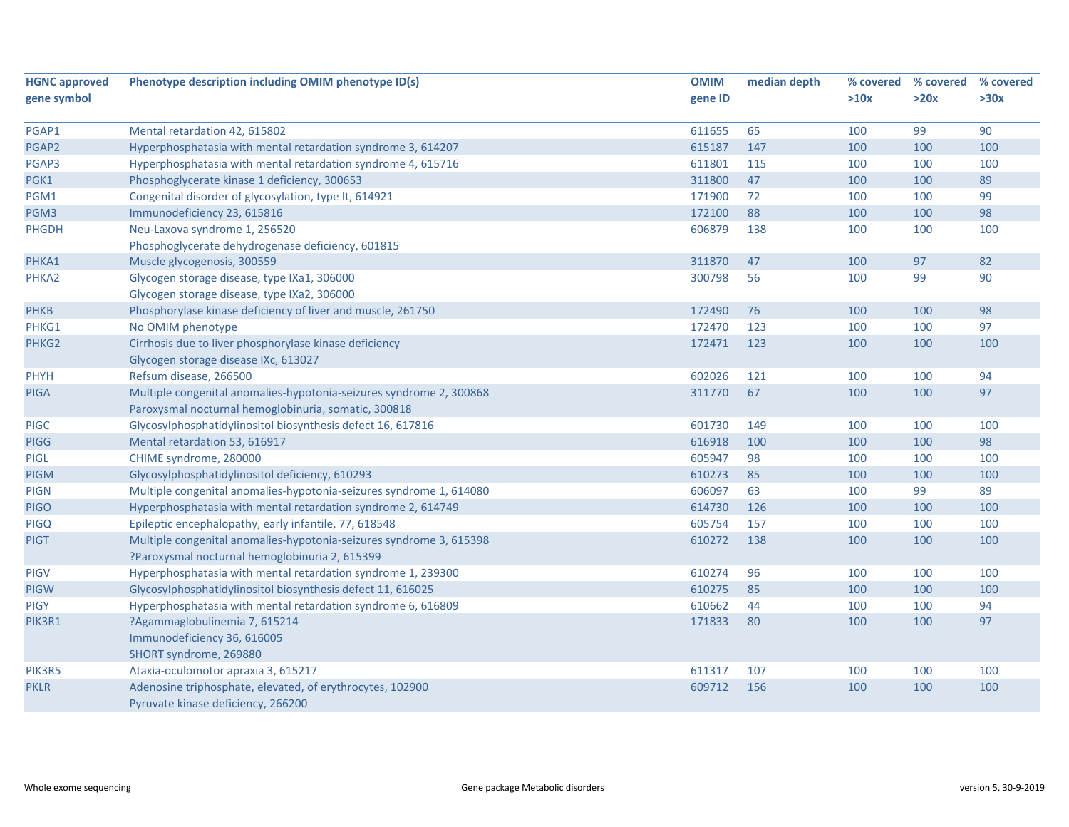| <b>HGNC approved</b> | Phenotype description including OMIM phenotype ID(s)                | <b>OMIM</b> | median depth | % covered | % covered | % covered |
|----------------------|---------------------------------------------------------------------|-------------|--------------|-----------|-----------|-----------|
| gene symbol          |                                                                     | gene ID     |              | >10x      | >20x      | >30x      |
|                      |                                                                     |             |              |           |           |           |
| PGAP1                | Mental retardation 42, 615802                                       | 611655      | 65           | 100       | 99        | 90        |
| PGAP2                | Hyperphosphatasia with mental retardation syndrome 3, 614207        | 615187      | 147          | 100       | 100       | 100       |
| PGAP3                | Hyperphosphatasia with mental retardation syndrome 4, 615716        | 611801      | 115          | 100       | 100       | 100       |
| PGK1                 | Phosphoglycerate kinase 1 deficiency, 300653                        | 311800      | 47           | 100       | 100       | 89        |
| PGM1                 | Congenital disorder of glycosylation, type It, 614921               | 171900      | 72           | 100       | 100       | 99        |
| PGM3                 | Immunodeficiency 23, 615816                                         | 172100      | 88           | 100       | 100       | 98        |
| PHGDH                | Neu-Laxova syndrome 1, 256520                                       | 606879      | 138          | 100       | 100       | 100       |
|                      | Phosphoglycerate dehydrogenase deficiency, 601815                   |             |              |           |           |           |
| PHKA1                | Muscle glycogenosis, 300559                                         | 311870      | 47           | 100       | 97        | 82        |
| PHKA2                | Glycogen storage disease, type IXa1, 306000                         | 300798      | 56           | 100       | 99        | 90        |
|                      | Glycogen storage disease, type IXa2, 306000                         |             |              |           |           |           |
| <b>PHKB</b>          | Phosphorylase kinase deficiency of liver and muscle, 261750         | 172490      | 76           | 100       | 100       | 98        |
| PHKG1                | No OMIM phenotype                                                   | 172470      | 123          | 100       | 100       | 97        |
| PHKG2                | Cirrhosis due to liver phosphorylase kinase deficiency              | 172471      | 123          | 100       | 100       | 100       |
|                      | Glycogen storage disease IXc, 613027                                |             |              |           |           |           |
| PHYH                 | Refsum disease, 266500                                              | 602026      | 121          | 100       | 100       | 94        |
| <b>PIGA</b>          | Multiple congenital anomalies-hypotonia-seizures syndrome 2, 300868 | 311770      | 67           | 100       | 100       | 97        |
|                      | Paroxysmal nocturnal hemoglobinuria, somatic, 300818                |             |              |           |           |           |
| <b>PIGC</b>          | Glycosylphosphatidylinositol biosynthesis defect 16, 617816         | 601730      | 149          | 100       | 100       | 100       |
| <b>PIGG</b>          | Mental retardation 53, 616917                                       | 616918      | 100          | 100       | 100       | 98        |
| PIGL                 | CHIME syndrome, 280000                                              | 605947      | 98           | 100       | 100       | 100       |
| <b>PIGM</b>          | Glycosylphosphatidylinositol deficiency, 610293                     | 610273      | 85           | 100       | 100       | 100       |
| <b>PIGN</b>          | Multiple congenital anomalies-hypotonia-seizures syndrome 1, 614080 | 606097      | 63           | 100       | 99        | 89        |
| <b>PIGO</b>          | Hyperphosphatasia with mental retardation syndrome 2, 614749        | 614730      | 126          | 100       | 100       | 100       |
| <b>PIGQ</b>          | Epileptic encephalopathy, early infantile, 77, 618548               | 605754      | 157          | 100       | 100       | 100       |
| <b>PIGT</b>          | Multiple congenital anomalies-hypotonia-seizures syndrome 3, 615398 | 610272      | 138          | 100       | 100       | 100       |
|                      | ?Paroxysmal nocturnal hemoglobinuria 2, 615399                      |             |              |           |           |           |
| <b>PIGV</b>          | Hyperphosphatasia with mental retardation syndrome 1, 239300        | 610274      | 96           | 100       | 100       | 100       |
| <b>PIGW</b>          | Glycosylphosphatidylinositol biosynthesis defect 11, 616025         | 610275      | 85           | 100       | 100       | 100       |
| <b>PIGY</b>          | Hyperphosphatasia with mental retardation syndrome 6, 616809        | 610662      | 44           | 100       | 100       | 94        |
| PIK3R1               | ?Agammaglobulinemia 7, 615214                                       | 171833      | 80           | 100       | 100       | 97        |
|                      | Immunodeficiency 36, 616005                                         |             |              |           |           |           |
|                      | SHORT syndrome, 269880                                              |             |              |           |           |           |
| PIK3R5               | Ataxia-oculomotor apraxia 3, 615217                                 | 611317      | 107          | 100       | 100       | 100       |
| <b>PKLR</b>          | Adenosine triphosphate, elevated, of erythrocytes, 102900           | 609712      | 156          | 100       | 100       | 100       |
|                      | Pyruvate kinase deficiency, 266200                                  |             |              |           |           |           |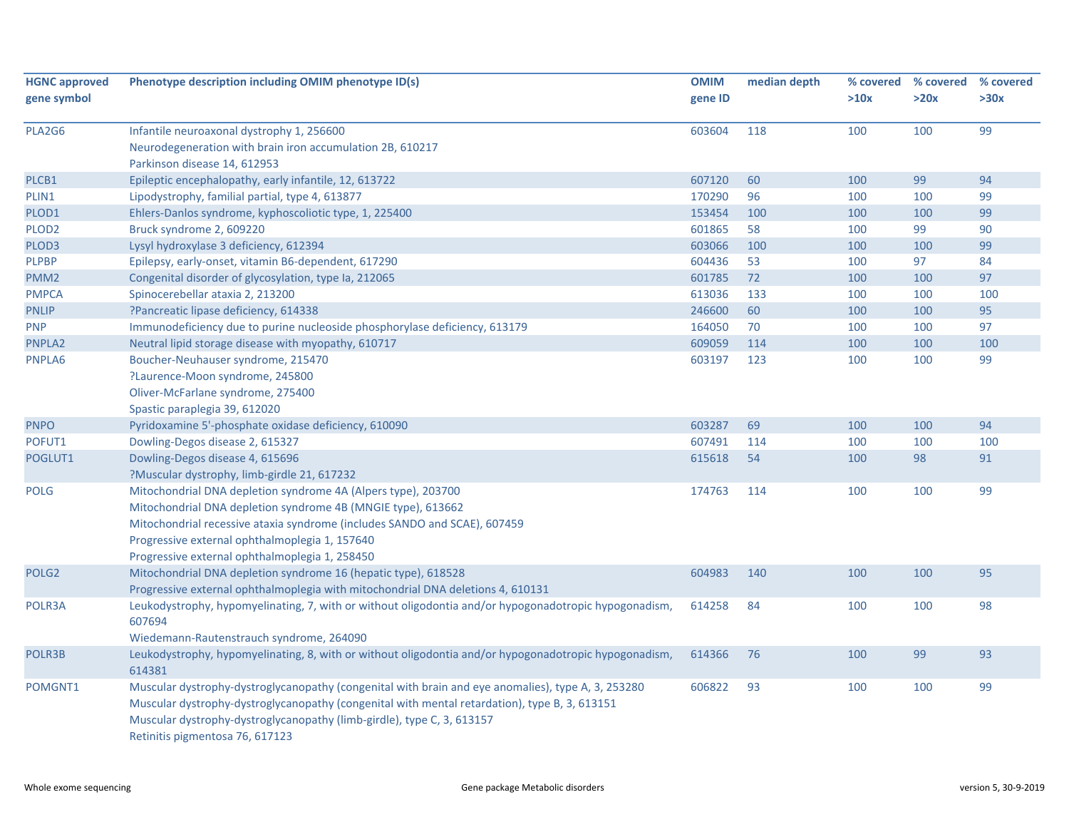| <b>HGNC approved</b><br>gene symbol | Phenotype description including OMIM phenotype ID(s)                                                            | <b>OMIM</b><br>gene ID | median depth | >10x | % covered % covered<br>>20x | % covered<br>>30x |
|-------------------------------------|-----------------------------------------------------------------------------------------------------------------|------------------------|--------------|------|-----------------------------|-------------------|
|                                     |                                                                                                                 |                        |              |      |                             |                   |
| PLA2G6                              | Infantile neuroaxonal dystrophy 1, 256600                                                                       | 603604                 | 118          | 100  | 100                         | 99                |
|                                     | Neurodegeneration with brain iron accumulation 2B, 610217<br>Parkinson disease 14, 612953                       |                        |              |      |                             |                   |
| PLCB1                               | Epileptic encephalopathy, early infantile, 12, 613722                                                           | 607120                 | 60           | 100  | 99                          | 94                |
| PLIN1                               | Lipodystrophy, familial partial, type 4, 613877                                                                 | 170290                 | 96           | 100  | 100                         | 99                |
| PLOD1                               | Ehlers-Danlos syndrome, kyphoscoliotic type, 1, 225400                                                          | 153454                 | 100          | 100  | 100                         | 99                |
| PLOD <sub>2</sub>                   | Bruck syndrome 2, 609220                                                                                        | 601865                 | 58           | 100  | 99                          | 90                |
| PLOD3                               | Lysyl hydroxylase 3 deficiency, 612394                                                                          | 603066                 | 100          | 100  | 100                         | 99                |
| <b>PLPBP</b>                        | Epilepsy, early-onset, vitamin B6-dependent, 617290                                                             | 604436                 | 53           | 100  | 97                          | 84                |
| PMM <sub>2</sub>                    | Congenital disorder of glycosylation, type Ia, 212065                                                           | 601785                 | 72           | 100  | 100                         | 97                |
| <b>PMPCA</b>                        | Spinocerebellar ataxia 2, 213200                                                                                | 613036                 | 133          | 100  | 100                         | 100               |
| <b>PNLIP</b>                        | ?Pancreatic lipase deficiency, 614338                                                                           | 246600                 | 60           | 100  | 100                         | 95                |
| <b>PNP</b>                          | Immunodeficiency due to purine nucleoside phosphorylase deficiency, 613179                                      | 164050                 | 70           | 100  | 100                         | 97                |
| PNPLA2                              | Neutral lipid storage disease with myopathy, 610717                                                             | 609059                 | 114          | 100  | 100                         | 100               |
| PNPLA6                              | Boucher-Neuhauser syndrome, 215470                                                                              | 603197                 | 123          | 100  | 100                         | 99                |
|                                     | ?Laurence-Moon syndrome, 245800                                                                                 |                        |              |      |                             |                   |
|                                     | Oliver-McFarlane syndrome, 275400                                                                               |                        |              |      |                             |                   |
|                                     | Spastic paraplegia 39, 612020                                                                                   |                        |              |      |                             |                   |
| <b>PNPO</b>                         | Pyridoxamine 5'-phosphate oxidase deficiency, 610090                                                            | 603287                 | 69           | 100  | 100                         | 94                |
| POFUT1                              | Dowling-Degos disease 2, 615327                                                                                 | 607491                 | 114          | 100  | 100                         | 100               |
| POGLUT1                             | Dowling-Degos disease 4, 615696                                                                                 | 615618                 | 54           | 100  | 98                          | 91                |
|                                     | ?Muscular dystrophy, limb-girdle 21, 617232                                                                     |                        |              |      |                             |                   |
| <b>POLG</b>                         | Mitochondrial DNA depletion syndrome 4A (Alpers type), 203700                                                   | 174763                 | 114          | 100  | 100                         | 99                |
|                                     | Mitochondrial DNA depletion syndrome 4B (MNGIE type), 613662                                                    |                        |              |      |                             |                   |
|                                     | Mitochondrial recessive ataxia syndrome (includes SANDO and SCAE), 607459                                       |                        |              |      |                             |                   |
|                                     | Progressive external ophthalmoplegia 1, 157640                                                                  |                        |              |      |                             |                   |
|                                     | Progressive external ophthalmoplegia 1, 258450                                                                  |                        |              |      |                             |                   |
| POLG <sub>2</sub>                   | Mitochondrial DNA depletion syndrome 16 (hepatic type), 618528                                                  | 604983                 | 140          | 100  | 100                         | 95                |
|                                     | Progressive external ophthalmoplegia with mitochondrial DNA deletions 4, 610131                                 |                        |              |      |                             |                   |
| POLR3A                              | Leukodystrophy, hypomyelinating, 7, with or without oligodontia and/or hypogonadotropic hypogonadism,           | 614258                 | 84           | 100  | 100                         | 98                |
|                                     | 607694                                                                                                          |                        |              |      |                             |                   |
|                                     | Wiedemann-Rautenstrauch syndrome, 264090                                                                        |                        |              |      |                             |                   |
| POLR3B                              | Leukodystrophy, hypomyelinating, 8, with or without oligodontia and/or hypogonadotropic hypogonadism,<br>614381 | 614366                 | 76           | 100  | 99                          | 93                |
| POMGNT1                             | Muscular dystrophy-dystroglycanopathy (congenital with brain and eye anomalies), type A, 3, 253280              | 606822                 | 93           | 100  | 100                         | 99                |
|                                     | Muscular dystrophy-dystroglycanopathy (congenital with mental retardation), type B, 3, 613151                   |                        |              |      |                             |                   |
|                                     | Muscular dystrophy-dystroglycanopathy (limb-girdle), type C, 3, 613157                                          |                        |              |      |                             |                   |
|                                     | Retinitis pigmentosa 76, 617123                                                                                 |                        |              |      |                             |                   |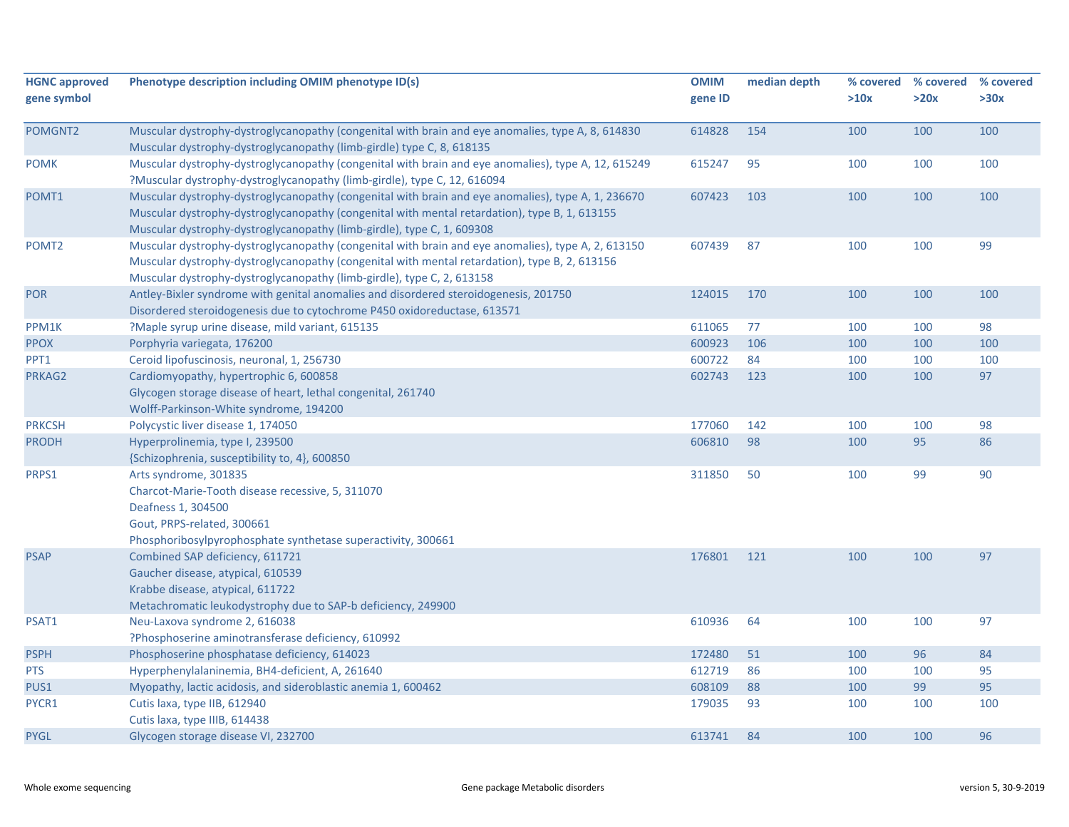| <b>HGNC approved</b><br>gene symbol | Phenotype description including OMIM phenotype ID(s)                                                                                                                                                                                                                          | <b>OMIM</b><br>gene ID | median depth | % covered<br>>10x | % covered<br>>20x | % covered<br>>30x |
|-------------------------------------|-------------------------------------------------------------------------------------------------------------------------------------------------------------------------------------------------------------------------------------------------------------------------------|------------------------|--------------|-------------------|-------------------|-------------------|
| POMGNT2                             | Muscular dystrophy-dystroglycanopathy (congenital with brain and eye anomalies, type A, 8, 614830<br>Muscular dystrophy-dystroglycanopathy (limb-girdle) type C, 8, 618135                                                                                                    | 614828                 | 154          | 100               | 100               | 100               |
| <b>POMK</b>                         | Muscular dystrophy-dystroglycanopathy (congenital with brain and eye anomalies), type A, 12, 615249<br>?Muscular dystrophy-dystroglycanopathy (limb-girdle), type C, 12, 616094                                                                                               | 615247                 | 95           | 100               | 100               | 100               |
| POMT1                               | Muscular dystrophy-dystroglycanopathy (congenital with brain and eye anomalies), type A, 1, 236670<br>Muscular dystrophy-dystroglycanopathy (congenital with mental retardation), type B, 1, 613155<br>Muscular dystrophy-dystroglycanopathy (limb-girdle), type C, 1, 609308 | 607423                 | 103          | 100               | 100               | 100               |
| POMT <sub>2</sub>                   | Muscular dystrophy-dystroglycanopathy (congenital with brain and eye anomalies), type A, 2, 613150<br>Muscular dystrophy-dystroglycanopathy (congenital with mental retardation), type B, 2, 613156<br>Muscular dystrophy-dystroglycanopathy (limb-girdle), type C, 2, 613158 | 607439                 | 87           | 100               | 100               | 99                |
| <b>POR</b>                          | Antley-Bixler syndrome with genital anomalies and disordered steroidogenesis, 201750<br>Disordered steroidogenesis due to cytochrome P450 oxidoreductase, 613571                                                                                                              | 124015                 | 170          | 100               | 100               | 100               |
| PPM1K                               | ?Maple syrup urine disease, mild variant, 615135                                                                                                                                                                                                                              | 611065                 | 77           | 100               | 100               | 98                |
| <b>PPOX</b>                         | Porphyria variegata, 176200                                                                                                                                                                                                                                                   | 600923                 | 106          | 100               | 100               | 100               |
| PPT1                                | Ceroid lipofuscinosis, neuronal, 1, 256730                                                                                                                                                                                                                                    | 600722                 | 84           | 100               | 100               | 100               |
| PRKAG2                              | Cardiomyopathy, hypertrophic 6, 600858<br>Glycogen storage disease of heart, lethal congenital, 261740<br>Wolff-Parkinson-White syndrome, 194200                                                                                                                              | 602743                 | 123          | 100               | 100               | 97                |
| <b>PRKCSH</b>                       | Polycystic liver disease 1, 174050                                                                                                                                                                                                                                            | 177060                 | 142          | 100               | 100               | 98                |
| <b>PRODH</b>                        | Hyperprolinemia, type I, 239500<br>{Schizophrenia, susceptibility to, 4}, 600850                                                                                                                                                                                              | 606810                 | 98           | 100               | 95                | 86                |
| PRPS1                               | Arts syndrome, 301835<br>Charcot-Marie-Tooth disease recessive, 5, 311070<br>Deafness 1, 304500<br>Gout, PRPS-related, 300661<br>Phosphoribosylpyrophosphate synthetase superactivity, 300661                                                                                 | 311850                 | 50           | 100               | 99                | 90                |
| <b>PSAP</b>                         | Combined SAP deficiency, 611721<br>Gaucher disease, atypical, 610539<br>Krabbe disease, atypical, 611722<br>Metachromatic leukodystrophy due to SAP-b deficiency, 249900                                                                                                      | 176801                 | 121          | 100               | 100               | 97                |
| PSAT1                               | Neu-Laxova syndrome 2, 616038<br>?Phosphoserine aminotransferase deficiency, 610992                                                                                                                                                                                           | 610936                 | 64           | 100               | 100               | 97                |
| <b>PSPH</b>                         | Phosphoserine phosphatase deficiency, 614023                                                                                                                                                                                                                                  | 172480                 | 51           | 100               | 96                | 84                |
| <b>PTS</b>                          | Hyperphenylalaninemia, BH4-deficient, A, 261640                                                                                                                                                                                                                               | 612719                 | 86           | 100               | 100               | 95                |
| PUS1                                | Myopathy, lactic acidosis, and sideroblastic anemia 1, 600462                                                                                                                                                                                                                 | 608109                 | 88           | 100               | 99                | 95                |
| PYCR1                               | Cutis laxa, type IIB, 612940<br>Cutis laxa, type IIIB, 614438                                                                                                                                                                                                                 | 179035                 | 93           | 100               | 100               | 100               |
| <b>PYGL</b>                         | Glycogen storage disease VI, 232700                                                                                                                                                                                                                                           | 613741                 | 84           | 100               | 100               | 96                |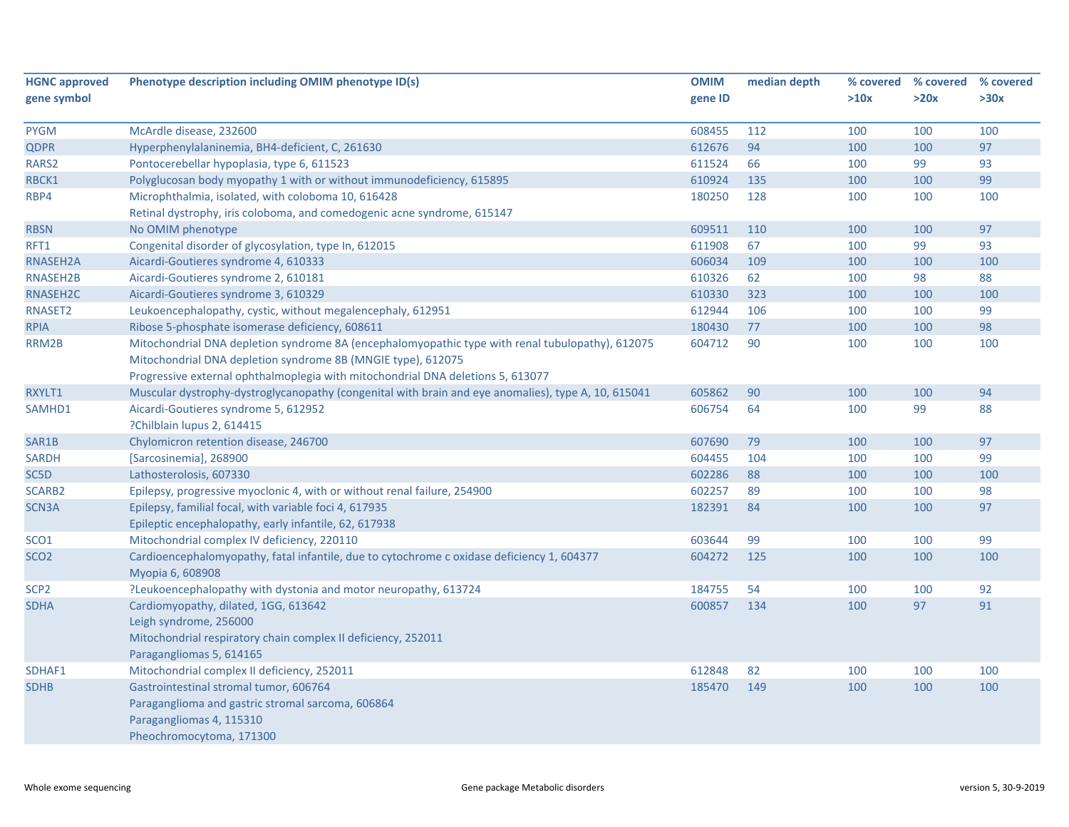| <b>HGNC approved</b> | Phenotype description including OMIM phenotype ID(s)                                                | <b>OMIM</b> | median depth | % covered | % covered % covered |      |
|----------------------|-----------------------------------------------------------------------------------------------------|-------------|--------------|-----------|---------------------|------|
| gene symbol          |                                                                                                     | gene ID     |              | >10x      | >20x                | >30x |
|                      |                                                                                                     |             |              |           |                     |      |
| <b>PYGM</b>          | McArdle disease, 232600                                                                             | 608455      | 112          | 100       | 100                 | 100  |
| <b>QDPR</b>          | Hyperphenylalaninemia, BH4-deficient, C, 261630                                                     | 612676      | 94           | 100       | 100                 | 97   |
| RARS2                | Pontocerebellar hypoplasia, type 6, 611523                                                          | 611524      | 66           | 100       | 99                  | 93   |
| RBCK1                | Polyglucosan body myopathy 1 with or without immunodeficiency, 615895                               | 610924      | 135          | 100       | 100                 | 99   |
| RBP4                 | Microphthalmia, isolated, with coloboma 10, 616428                                                  | 180250      | 128          | 100       | 100                 | 100  |
|                      | Retinal dystrophy, iris coloboma, and comedogenic acne syndrome, 615147                             |             |              |           |                     |      |
| <b>RBSN</b>          | No OMIM phenotype                                                                                   | 609511      | 110          | 100       | 100                 | 97   |
| RFT1                 | Congenital disorder of glycosylation, type In, 612015                                               | 611908      | 67           | 100       | 99                  | 93   |
| RNASEH2A             | Aicardi-Goutieres syndrome 4, 610333                                                                | 606034      | 109          | 100       | 100                 | 100  |
| RNASEH2B             | Aicardi-Goutieres syndrome 2, 610181                                                                | 610326      | 62           | 100       | 98                  | 88   |
| RNASEH2C             | Aicardi-Goutieres syndrome 3, 610329                                                                | 610330      | 323          | 100       | 100                 | 100  |
| RNASET2              | Leukoencephalopathy, cystic, without megalencephaly, 612951                                         | 612944      | 106          | 100       | 100                 | 99   |
| <b>RPIA</b>          | Ribose 5-phosphate isomerase deficiency, 608611                                                     | 180430      | 77           | 100       | 100                 | 98   |
| RRM2B                | Mitochondrial DNA depletion syndrome 8A (encephalomyopathic type with renal tubulopathy), 612075    | 604712      | 90           | 100       | 100                 | 100  |
|                      | Mitochondrial DNA depletion syndrome 8B (MNGIE type), 612075                                        |             |              |           |                     |      |
|                      | Progressive external ophthalmoplegia with mitochondrial DNA deletions 5, 613077                     |             |              |           |                     |      |
| RXYLT1               | Muscular dystrophy-dystroglycanopathy (congenital with brain and eye anomalies), type A, 10, 615041 | 605862      | 90           | 100       | 100                 | 94   |
| SAMHD1               | Aicardi-Goutieres syndrome 5, 612952                                                                | 606754      | 64           | 100       | 99                  | 88   |
|                      | ?Chilblain lupus 2, 614415                                                                          |             |              |           |                     |      |
| SAR1B                | Chylomicron retention disease, 246700                                                               | 607690      | 79           | 100       | 100                 | 97   |
| <b>SARDH</b>         | [Sarcosinemia], 268900                                                                              | 604455      | 104          | 100       | 100                 | 99   |
| SC5D                 | Lathosterolosis, 607330                                                                             | 602286      | 88           | 100       | 100                 | 100  |
| SCARB2               | Epilepsy, progressive myoclonic 4, with or without renal failure, 254900                            | 602257      | 89           | 100       | 100                 | 98   |
| SCN3A                | Epilepsy, familial focal, with variable foci 4, 617935                                              | 182391      | 84           | 100       | 100                 | 97   |
|                      | Epileptic encephalopathy, early infantile, 62, 617938                                               |             |              |           |                     |      |
| SCO1                 | Mitochondrial complex IV deficiency, 220110                                                         | 603644      | 99           | 100       | 100                 | 99   |
| SCO <sub>2</sub>     | Cardioencephalomyopathy, fatal infantile, due to cytochrome c oxidase deficiency 1, 604377          | 604272      | 125          | 100       | 100                 | 100  |
|                      | Myopia 6, 608908                                                                                    |             |              |           |                     |      |
| SCP <sub>2</sub>     | ?Leukoencephalopathy with dystonia and motor neuropathy, 613724                                     | 184755      | 54           | 100       | 100                 | 92   |
| <b>SDHA</b>          | Cardiomyopathy, dilated, 1GG, 613642                                                                | 600857      | 134          | 100       | 97                  | 91   |
|                      | Leigh syndrome, 256000                                                                              |             |              |           |                     |      |
|                      | Mitochondrial respiratory chain complex II deficiency, 252011                                       |             |              |           |                     |      |
|                      | Paragangliomas 5, 614165                                                                            |             |              |           |                     |      |
| SDHAF1               | Mitochondrial complex II deficiency, 252011                                                         | 612848      | 82           | 100       | 100                 | 100  |
| <b>SDHB</b>          | Gastrointestinal stromal tumor, 606764                                                              | 185470      | 149          | 100       | 100                 | 100  |
|                      | Paraganglioma and gastric stromal sarcoma, 606864                                                   |             |              |           |                     |      |
|                      | Paragangliomas 4, 115310                                                                            |             |              |           |                     |      |
|                      | Pheochromocytoma, 171300                                                                            |             |              |           |                     |      |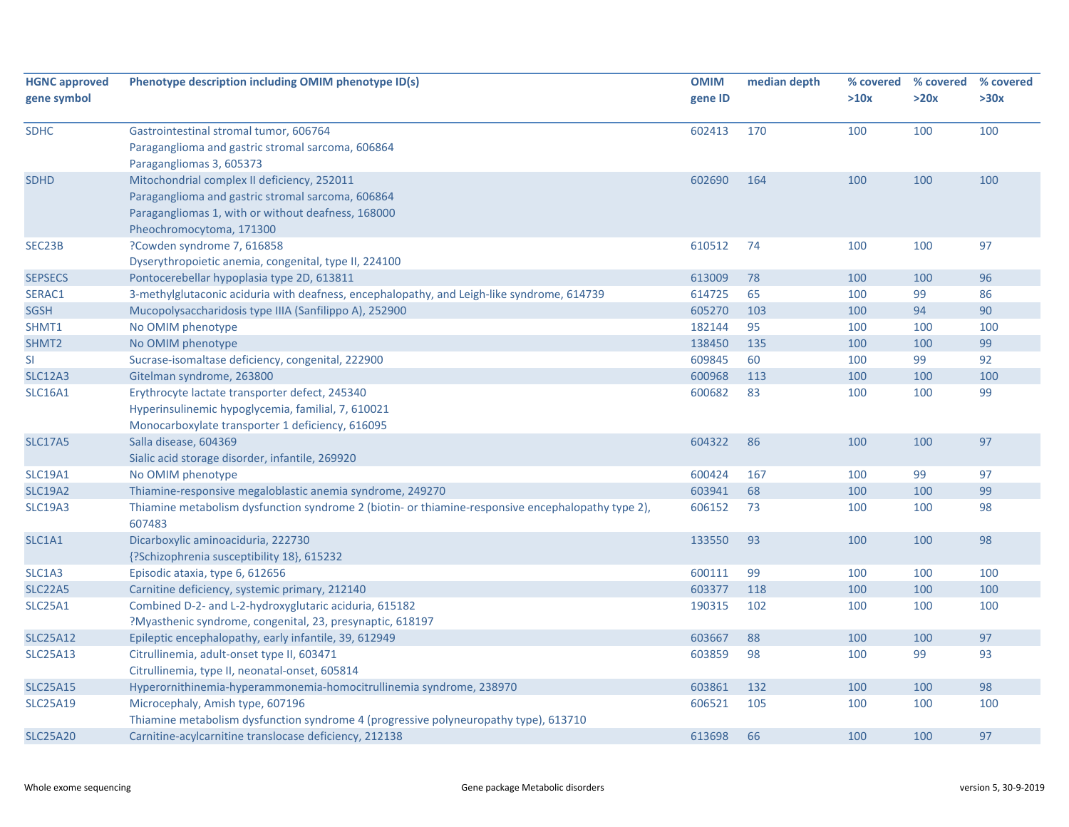| <b>HGNC approved</b><br>gene symbol | Phenotype description including OMIM phenotype ID(s)                                                                                                                               | <b>OMIM</b><br>gene ID | median depth | % covered<br>>10x | % covered<br>>20x | % covered<br>>30x |
|-------------------------------------|------------------------------------------------------------------------------------------------------------------------------------------------------------------------------------|------------------------|--------------|-------------------|-------------------|-------------------|
| <b>SDHC</b>                         | Gastrointestinal stromal tumor, 606764<br>Paraganglioma and gastric stromal sarcoma, 606864<br>Paragangliomas 3, 605373                                                            | 602413                 | 170          | 100               | 100               | 100               |
| <b>SDHD</b>                         | Mitochondrial complex II deficiency, 252011<br>Paraganglioma and gastric stromal sarcoma, 606864<br>Paragangliomas 1, with or without deafness, 168000<br>Pheochromocytoma, 171300 | 602690                 | 164          | 100               | 100               | 100               |
| SEC23B                              | ?Cowden syndrome 7, 616858<br>Dyserythropoietic anemia, congenital, type II, 224100                                                                                                | 610512                 | 74           | 100               | 100               | 97                |
| <b>SEPSECS</b>                      | Pontocerebellar hypoplasia type 2D, 613811                                                                                                                                         | 613009                 | 78           | 100               | 100               | 96                |
| SERAC1                              | 3-methylglutaconic aciduria with deafness, encephalopathy, and Leigh-like syndrome, 614739                                                                                         | 614725                 | 65           | 100               | 99                | 86                |
| <b>SGSH</b>                         | Mucopolysaccharidosis type IIIA (Sanfilippo A), 252900                                                                                                                             | 605270                 | 103          | 100               | 94                | 90                |
| SHMT1                               | No OMIM phenotype                                                                                                                                                                  | 182144                 | 95           | 100               | 100               | 100               |
| SHMT2                               | No OMIM phenotype                                                                                                                                                                  | 138450                 | 135          | 100               | 100               | 99                |
| SI                                  | Sucrase-isomaltase deficiency, congenital, 222900                                                                                                                                  | 609845                 | 60           | 100               | 99                | 92                |
| <b>SLC12A3</b>                      | Gitelman syndrome, 263800                                                                                                                                                          | 600968                 | 113          | 100               | 100               | 100               |
| <b>SLC16A1</b>                      | Erythrocyte lactate transporter defect, 245340<br>Hyperinsulinemic hypoglycemia, familial, 7, 610021<br>Monocarboxylate transporter 1 deficiency, 616095                           | 600682                 | 83           | 100               | 100               | 99                |
| <b>SLC17A5</b>                      | Salla disease, 604369<br>Sialic acid storage disorder, infantile, 269920                                                                                                           | 604322                 | 86           | 100               | 100               | 97                |
| <b>SLC19A1</b>                      | No OMIM phenotype                                                                                                                                                                  | 600424                 | 167          | 100               | 99                | 97                |
| <b>SLC19A2</b>                      | Thiamine-responsive megaloblastic anemia syndrome, 249270                                                                                                                          | 603941                 | 68           | 100               | 100               | 99                |
| <b>SLC19A3</b>                      | Thiamine metabolism dysfunction syndrome 2 (biotin- or thiamine-responsive encephalopathy type 2),<br>607483                                                                       | 606152                 | 73           | 100               | 100               | 98                |
| SLC1A1                              | Dicarboxylic aminoaciduria, 222730<br>{?Schizophrenia susceptibility 18}, 615232                                                                                                   | 133550                 | 93           | 100               | 100               | 98                |
| SLC1A3                              | Episodic ataxia, type 6, 612656                                                                                                                                                    | 600111                 | 99           | 100               | 100               | 100               |
| <b>SLC22A5</b>                      | Carnitine deficiency, systemic primary, 212140                                                                                                                                     | 603377                 | 118          | 100               | 100               | 100               |
| <b>SLC25A1</b>                      | Combined D-2- and L-2-hydroxyglutaric aciduria, 615182<br>?Myasthenic syndrome, congenital, 23, presynaptic, 618197                                                                | 190315                 | 102          | 100               | 100               | 100               |
| <b>SLC25A12</b>                     | Epileptic encephalopathy, early infantile, 39, 612949                                                                                                                              | 603667                 | 88           | 100               | 100               | 97                |
| <b>SLC25A13</b>                     | Citrullinemia, adult-onset type II, 603471<br>Citrullinemia, type II, neonatal-onset, 605814                                                                                       | 603859                 | 98           | 100               | 99                | 93                |
| <b>SLC25A15</b>                     | Hyperornithinemia-hyperammonemia-homocitrullinemia syndrome, 238970                                                                                                                | 603861                 | 132          | 100               | 100               | 98                |
| <b>SLC25A19</b>                     | Microcephaly, Amish type, 607196                                                                                                                                                   | 606521                 | 105          | 100               | 100               | 100               |
|                                     | Thiamine metabolism dysfunction syndrome 4 (progressive polyneuropathy type), 613710                                                                                               |                        |              |                   |                   |                   |
| <b>SLC25A20</b>                     | Carnitine-acylcarnitine translocase deficiency, 212138                                                                                                                             | 613698                 | 66           | 100               | 100               | 97                |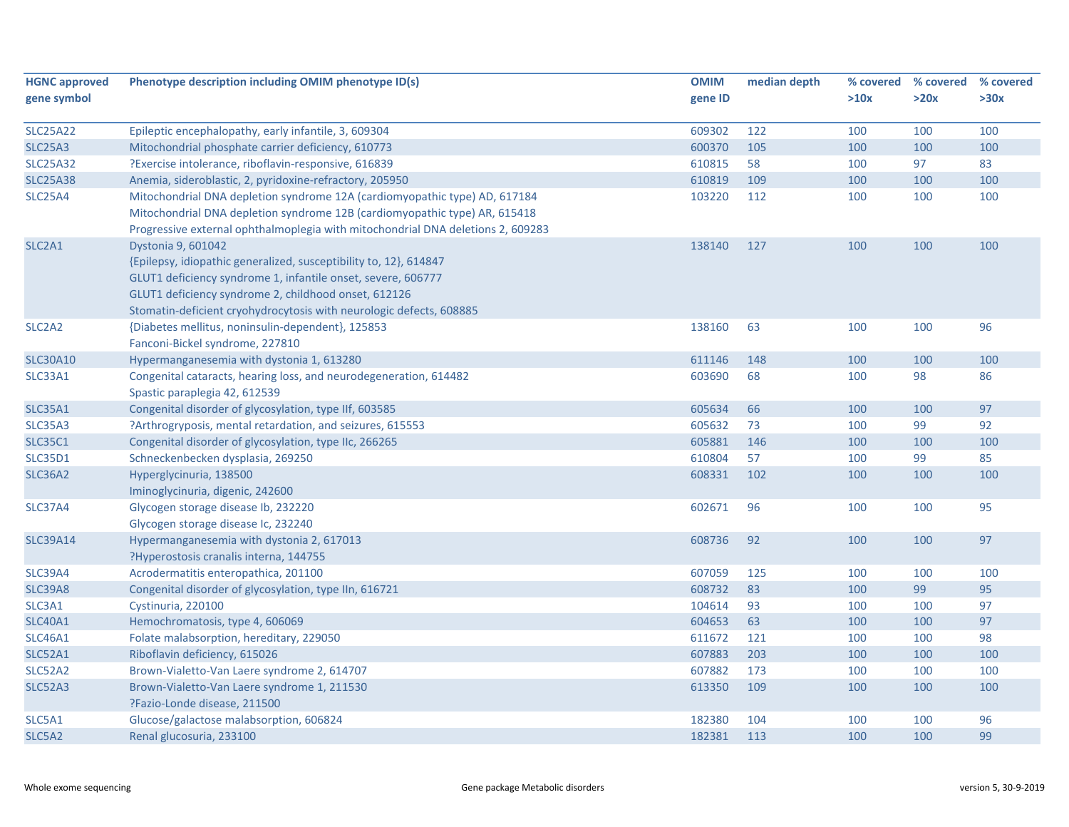| <b>HGNC approved</b>            | Phenotype description including OMIM phenotype ID(s)                            | <b>OMIM</b> | median depth | % covered | % covered % covered |      |
|---------------------------------|---------------------------------------------------------------------------------|-------------|--------------|-----------|---------------------|------|
| gene symbol                     |                                                                                 | gene ID     |              | >10x      | >20x                | >30x |
|                                 |                                                                                 |             |              |           |                     |      |
| <b>SLC25A22</b>                 | Epileptic encephalopathy, early infantile, 3, 609304                            | 609302      | 122          | 100       | 100                 | 100  |
| <b>SLC25A3</b>                  | Mitochondrial phosphate carrier deficiency, 610773                              | 600370      | 105          | 100       | 100                 | 100  |
| <b>SLC25A32</b>                 | ?Exercise intolerance, riboflavin-responsive, 616839                            | 610815      | 58           | 100       | 97                  | 83   |
| <b>SLC25A38</b>                 | Anemia, sideroblastic, 2, pyridoxine-refractory, 205950                         | 610819      | 109          | 100       | 100                 | 100  |
| <b>SLC25A4</b>                  | Mitochondrial DNA depletion syndrome 12A (cardiomyopathic type) AD, 617184      | 103220      | 112          | 100       | 100                 | 100  |
|                                 | Mitochondrial DNA depletion syndrome 12B (cardiomyopathic type) AR, 615418      |             |              |           |                     |      |
|                                 | Progressive external ophthalmoplegia with mitochondrial DNA deletions 2, 609283 |             |              |           |                     |      |
| SLC <sub>2</sub> A <sub>1</sub> | Dystonia 9, 601042                                                              | 138140      | 127          | 100       | 100                 | 100  |
|                                 | {Epilepsy, idiopathic generalized, susceptibility to, 12}, 614847               |             |              |           |                     |      |
|                                 | GLUT1 deficiency syndrome 1, infantile onset, severe, 606777                    |             |              |           |                     |      |
|                                 | GLUT1 deficiency syndrome 2, childhood onset, 612126                            |             |              |           |                     |      |
|                                 | Stomatin-deficient cryohydrocytosis with neurologic defects, 608885             |             |              |           |                     |      |
| SLC <sub>2</sub> A <sub>2</sub> | {Diabetes mellitus, noninsulin-dependent}, 125853                               | 138160      | 63           | 100       | 100                 | 96   |
|                                 | Fanconi-Bickel syndrome, 227810                                                 |             |              |           |                     |      |
| <b>SLC30A10</b>                 | Hypermanganesemia with dystonia 1, 613280                                       | 611146      | 148          | 100       | 100                 | 100  |
| SLC33A1                         | Congenital cataracts, hearing loss, and neurodegeneration, 614482               | 603690      | 68           | 100       | 98                  | 86   |
|                                 | Spastic paraplegia 42, 612539                                                   |             |              |           |                     |      |
| <b>SLC35A1</b>                  | Congenital disorder of glycosylation, type IIf, 603585                          | 605634      | 66           | 100       | 100                 | 97   |
| <b>SLC35A3</b>                  | ?Arthrogryposis, mental retardation, and seizures, 615553                       | 605632      | 73           | 100       | 99                  | 92   |
| <b>SLC35C1</b>                  | Congenital disorder of glycosylation, type IIc, 266265                          | 605881      | 146          | 100       | 100                 | 100  |
| <b>SLC35D1</b>                  | Schneckenbecken dysplasia, 269250                                               | 610804      | 57           | 100       | 99                  | 85   |
| <b>SLC36A2</b>                  | Hyperglycinuria, 138500                                                         | 608331      | 102          | 100       | 100                 | 100  |
|                                 | Iminoglycinuria, digenic, 242600                                                |             |              |           |                     |      |
| <b>SLC37A4</b>                  | Glycogen storage disease Ib, 232220                                             | 602671      | 96           | 100       | 100                 | 95   |
|                                 | Glycogen storage disease Ic, 232240                                             |             |              |           |                     |      |
| <b>SLC39A14</b>                 | Hypermanganesemia with dystonia 2, 617013                                       | 608736      | 92           | 100       | 100                 | 97   |
|                                 | ?Hyperostosis cranalis interna, 144755                                          |             |              |           |                     |      |
| <b>SLC39A4</b>                  | Acrodermatitis enteropathica, 201100                                            | 607059      | 125          | 100       | 100                 | 100  |
| <b>SLC39A8</b>                  | Congenital disorder of glycosylation, type IIn, 616721                          | 608732      | 83           | 100       | 99                  | 95   |
| SLC3A1                          | Cystinuria, 220100                                                              | 104614      | 93           | 100       | 100                 | 97   |
| <b>SLC40A1</b>                  | Hemochromatosis, type 4, 606069                                                 | 604653      | 63           | 100       | 100                 | 97   |
| <b>SLC46A1</b>                  | Folate malabsorption, hereditary, 229050                                        | 611672      | 121          | 100       | 100                 | 98   |
| SLC52A1                         | Riboflavin deficiency, 615026                                                   | 607883      | 203          | 100       | 100                 | 100  |
| <b>SLC52A2</b>                  | Brown-Vialetto-Van Laere syndrome 2, 614707                                     | 607882      | 173          | 100       | 100                 | 100  |
| SLC52A3                         | Brown-Vialetto-Van Laere syndrome 1, 211530                                     | 613350      | 109          | 100       | 100                 | 100  |
|                                 | ?Fazio-Londe disease, 211500                                                    |             |              |           |                     |      |
| SLC5A1                          | Glucose/galactose malabsorption, 606824                                         | 182380      | 104          | 100       | 100                 | 96   |
| SLC5A2                          | Renal glucosuria, 233100                                                        | 182381      | 113          | 100       | 100                 | 99   |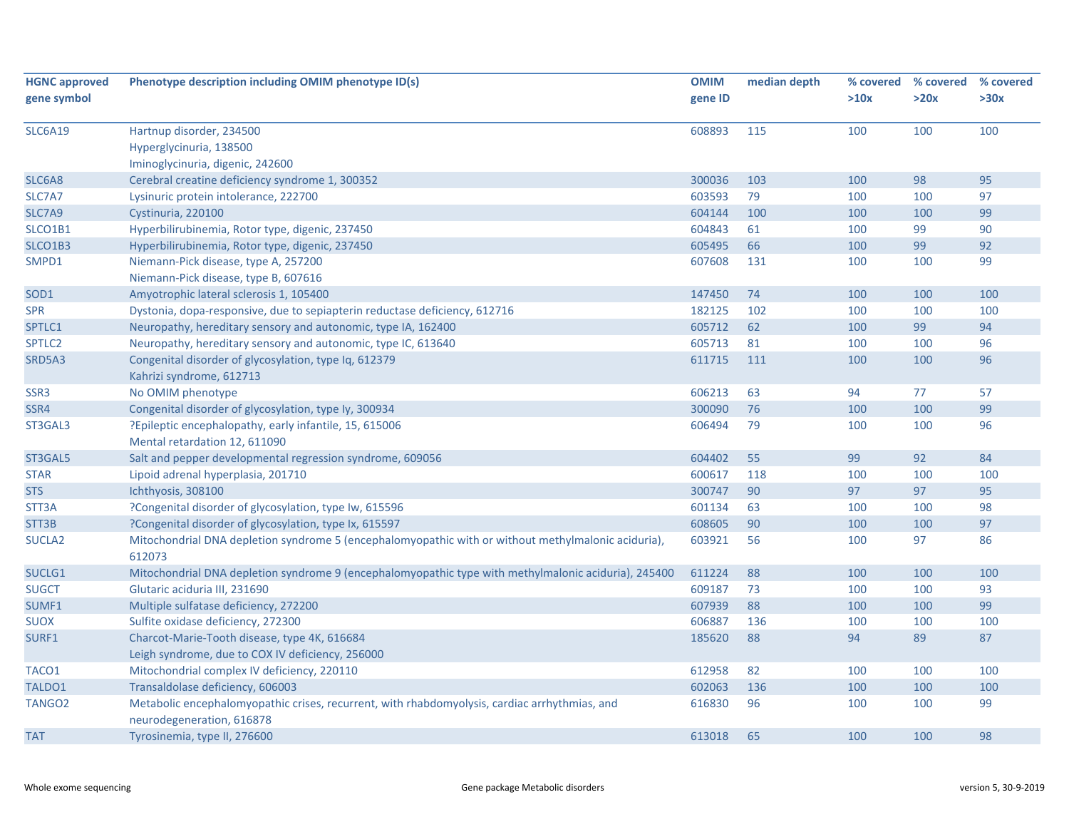| <b>HGNC approved</b> | Phenotype description including OMIM phenotype ID(s)                                                 | <b>OMIM</b> | median depth |      | % covered % covered | % covered |
|----------------------|------------------------------------------------------------------------------------------------------|-------------|--------------|------|---------------------|-----------|
| gene symbol          |                                                                                                      | gene ID     |              | >10x | >20x                | >30x      |
| <b>SLC6A19</b>       | Hartnup disorder, 234500                                                                             | 608893      | 115          | 100  | 100                 | 100       |
|                      | Hyperglycinuria, 138500                                                                              |             |              |      |                     |           |
|                      | Iminoglycinuria, digenic, 242600                                                                     |             |              |      |                     |           |
| SLC6A8               | Cerebral creatine deficiency syndrome 1, 300352                                                      | 300036      | 103          | 100  | 98                  | 95        |
| SLC7A7               | Lysinuric protein intolerance, 222700                                                                | 603593      | 79           | 100  | 100                 | 97        |
| SLC7A9               | Cystinuria, 220100                                                                                   | 604144      | 100          | 100  | 100                 | 99        |
| SLCO1B1              | Hyperbilirubinemia, Rotor type, digenic, 237450                                                      | 604843      | 61           | 100  | 99                  | 90        |
| SLCO1B3              | Hyperbilirubinemia, Rotor type, digenic, 237450                                                      | 605495      | 66           | 100  | 99                  | 92        |
| SMPD1                | Niemann-Pick disease, type A, 257200                                                                 | 607608      | 131          | 100  | 100                 | 99        |
|                      | Niemann-Pick disease, type B, 607616                                                                 |             |              |      |                     |           |
| SOD <sub>1</sub>     | Amyotrophic lateral sclerosis 1, 105400                                                              | 147450      | 74           | 100  | 100                 | 100       |
| <b>SPR</b>           | Dystonia, dopa-responsive, due to sepiapterin reductase deficiency, 612716                           | 182125      | 102          | 100  | 100                 | 100       |
| SPTLC1               | Neuropathy, hereditary sensory and autonomic, type IA, 162400                                        | 605712      | 62           | 100  | 99                  | 94        |
| SPTLC2               | Neuropathy, hereditary sensory and autonomic, type IC, 613640                                        | 605713      | 81           | 100  | 100                 | 96        |
| SRD5A3               | Congenital disorder of glycosylation, type Iq, 612379                                                | 611715      | 111          | 100  | 100                 | 96        |
|                      | Kahrizi syndrome, 612713                                                                             |             |              |      |                     |           |
| SSR3                 | No OMIM phenotype                                                                                    | 606213      | 63           | 94   | 77                  | 57        |
| SSR4                 | Congenital disorder of glycosylation, type Iy, 300934                                                | 300090      | 76           | 100  | 100                 | 99        |
| ST3GAL3              | ?Epileptic encephalopathy, early infantile, 15, 615006                                               | 606494      | 79           | 100  | 100                 | 96        |
|                      | Mental retardation 12, 611090                                                                        |             |              |      |                     |           |
| ST3GAL5              | Salt and pepper developmental regression syndrome, 609056                                            | 604402      | 55           | 99   | 92                  | 84        |
| <b>STAR</b>          | Lipoid adrenal hyperplasia, 201710                                                                   | 600617      | 118          | 100  | 100                 | 100       |
| <b>STS</b>           | Ichthyosis, 308100                                                                                   | 300747      | 90           | 97   | 97                  | 95        |
| STT3A                | ?Congenital disorder of glycosylation, type Iw, 615596                                               | 601134      | 63           | 100  | 100                 | 98        |
| STT3B                | ?Congenital disorder of glycosylation, type Ix, 615597                                               | 608605      | 90           | 100  | 100                 | 97        |
| SUCLA <sub>2</sub>   | Mitochondrial DNA depletion syndrome 5 (encephalomyopathic with or without methylmalonic aciduria),  | 603921      | 56           | 100  | 97                  | 86        |
|                      | 612073                                                                                               |             |              |      |                     |           |
| SUCLG1               | Mitochondrial DNA depletion syndrome 9 (encephalomyopathic type with methylmalonic aciduria), 245400 | 611224      | 88           | 100  | 100                 | 100       |
| <b>SUGCT</b>         | Glutaric aciduria III, 231690                                                                        | 609187      | 73           | 100  | 100                 | 93        |
| SUMF1                | Multiple sulfatase deficiency, 272200                                                                | 607939      | 88           | 100  | 100                 | 99        |
| <b>SUOX</b>          | Sulfite oxidase deficiency, 272300                                                                   | 606887      | 136          | 100  | 100                 | 100       |
| SURF1                | Charcot-Marie-Tooth disease, type 4K, 616684                                                         | 185620      | 88           | 94   | 89                  | 87        |
|                      | Leigh syndrome, due to COX IV deficiency, 256000                                                     |             |              |      |                     |           |
| TACO1                | Mitochondrial complex IV deficiency, 220110                                                          | 612958      | 82           | 100  | 100                 | 100       |
| TALDO1               | Transaldolase deficiency, 606003                                                                     | 602063      | 136          | 100  | 100                 | 100       |
| TANGO <sub>2</sub>   | Metabolic encephalomyopathic crises, recurrent, with rhabdomyolysis, cardiac arrhythmias, and        | 616830      | 96           | 100  | 100                 | 99        |
|                      | neurodegeneration, 616878                                                                            |             |              |      |                     |           |
| <b>TAT</b>           | Tyrosinemia, type II, 276600                                                                         | 613018      | 65           | 100  | 100                 | 98        |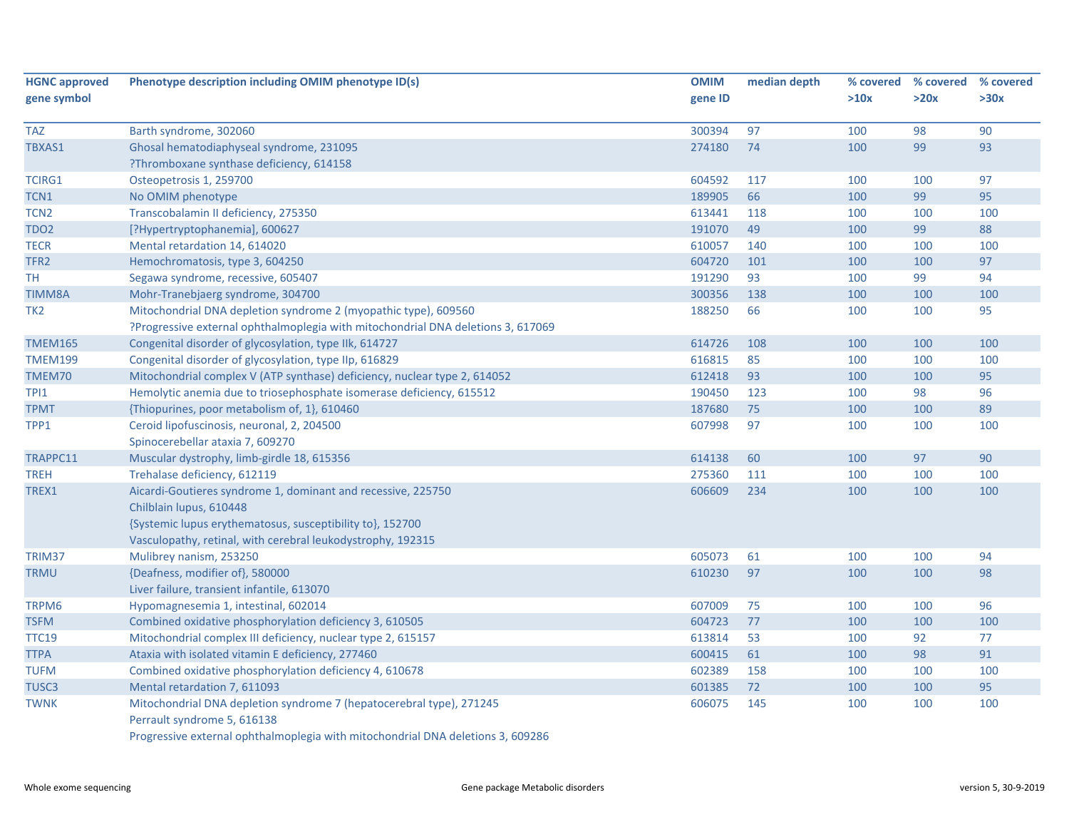| <b>HGNC approved</b> | Phenotype description including OMIM phenotype ID(s)                             | <b>OMIM</b> | median depth |      | % covered % covered | % covered |
|----------------------|----------------------------------------------------------------------------------|-------------|--------------|------|---------------------|-----------|
| gene symbol          |                                                                                  | gene ID     |              | >10x | >20x                | >30x      |
| <b>TAZ</b>           | Barth syndrome, 302060                                                           | 300394      | 97           | 100  | 98                  | 90        |
| TBXAS1               | Ghosal hematodiaphyseal syndrome, 231095                                         | 274180      | 74           | 100  | 99                  | 93        |
|                      | ?Thromboxane synthase deficiency, 614158                                         |             |              |      |                     |           |
| <b>TCIRG1</b>        | Osteopetrosis 1, 259700                                                          | 604592      | 117          | 100  | 100                 | 97        |
| TCN1                 | No OMIM phenotype                                                                | 189905      | 66           | 100  | 99                  | 95        |
| TCN <sub>2</sub>     | Transcobalamin II deficiency, 275350                                             | 613441      | 118          | 100  | 100                 | 100       |
| TDO <sub>2</sub>     | [?Hypertryptophanemia], 600627                                                   | 191070      | 49           | 100  | 99                  | 88        |
| <b>TECR</b>          | Mental retardation 14, 614020                                                    | 610057      | 140          | 100  | 100                 | 100       |
| TFR <sub>2</sub>     | Hemochromatosis, type 3, 604250                                                  | 604720      | 101          | 100  | 100                 | 97        |
| TH.                  | Segawa syndrome, recessive, 605407                                               | 191290      | 93           | 100  | 99                  | 94        |
| <b>TIMM8A</b>        | Mohr-Tranebjaerg syndrome, 304700                                                | 300356      | 138          | 100  | 100                 | 100       |
| TK <sub>2</sub>      | Mitochondrial DNA depletion syndrome 2 (myopathic type), 609560                  | 188250      | 66           | 100  | 100                 | 95        |
|                      | ?Progressive external ophthalmoplegia with mitochondrial DNA deletions 3, 617069 |             |              |      |                     |           |
| <b>TMEM165</b>       | Congenital disorder of glycosylation, type IIk, 614727                           | 614726      | 108          | 100  | 100                 | 100       |
| <b>TMEM199</b>       | Congenital disorder of glycosylation, type IIp, 616829                           | 616815      | 85           | 100  | 100                 | 100       |
| TMEM70               | Mitochondrial complex V (ATP synthase) deficiency, nuclear type 2, 614052        | 612418      | 93           | 100  | 100                 | 95        |
| <b>TPI1</b>          | Hemolytic anemia due to triosephosphate isomerase deficiency, 615512             | 190450      | 123          | 100  | 98                  | 96        |
| <b>TPMT</b>          | {Thiopurines, poor metabolism of, 1}, 610460                                     | 187680      | 75           | 100  | 100                 | 89        |
| TPP1                 | Ceroid lipofuscinosis, neuronal, 2, 204500                                       | 607998      | 97           | 100  | 100                 | 100       |
|                      | Spinocerebellar ataxia 7, 609270                                                 |             |              |      |                     |           |
| TRAPPC11             | Muscular dystrophy, limb-girdle 18, 615356                                       | 614138      | 60           | 100  | 97                  | 90        |
| <b>TREH</b>          | Trehalase deficiency, 612119                                                     | 275360      | 111          | 100  | 100                 | 100       |
| TREX1                | Aicardi-Goutieres syndrome 1, dominant and recessive, 225750                     | 606609      | 234          | 100  | 100                 | 100       |
|                      | Chilblain lupus, 610448                                                          |             |              |      |                     |           |
|                      | {Systemic lupus erythematosus, susceptibility to}, 152700                        |             |              |      |                     |           |
|                      | Vasculopathy, retinal, with cerebral leukodystrophy, 192315                      |             |              |      |                     |           |
| TRIM37               | Mulibrey nanism, 253250                                                          | 605073      | 61           | 100  | 100                 | 94        |
| <b>TRMU</b>          | {Deafness, modifier of}, 580000                                                  | 610230      | 97           | 100  | 100                 | 98        |
|                      | Liver failure, transient infantile, 613070                                       |             |              |      |                     |           |
| TRPM6                | Hypomagnesemia 1, intestinal, 602014                                             | 607009      | 75           | 100  | 100                 | 96        |
| <b>TSFM</b>          | Combined oxidative phosphorylation deficiency 3, 610505                          | 604723      | 77           | 100  | 100                 | 100       |
| <b>TTC19</b>         | Mitochondrial complex III deficiency, nuclear type 2, 615157                     | 613814      | 53           | 100  | 92                  | $77\,$    |
| <b>TTPA</b>          | Ataxia with isolated vitamin E deficiency, 277460                                | 600415      | 61           | 100  | 98                  | 91        |
| <b>TUFM</b>          | Combined oxidative phosphorylation deficiency 4, 610678                          | 602389      | 158          | 100  | 100                 | 100       |
| TUSC <sub>3</sub>    | Mental retardation 7, 611093                                                     | 601385      | 72           | 100  | 100                 | 95        |
| <b>TWNK</b>          | Mitochondrial DNA depletion syndrome 7 (hepatocerebral type), 271245             | 606075      | 145          | 100  | 100                 | 100       |
|                      | Perrault syndrome 5, 616138                                                      |             |              |      |                     |           |
|                      | Progressive external ophthalmoplegia with mitochondrial DNA deletions 3, 609286  |             |              |      |                     |           |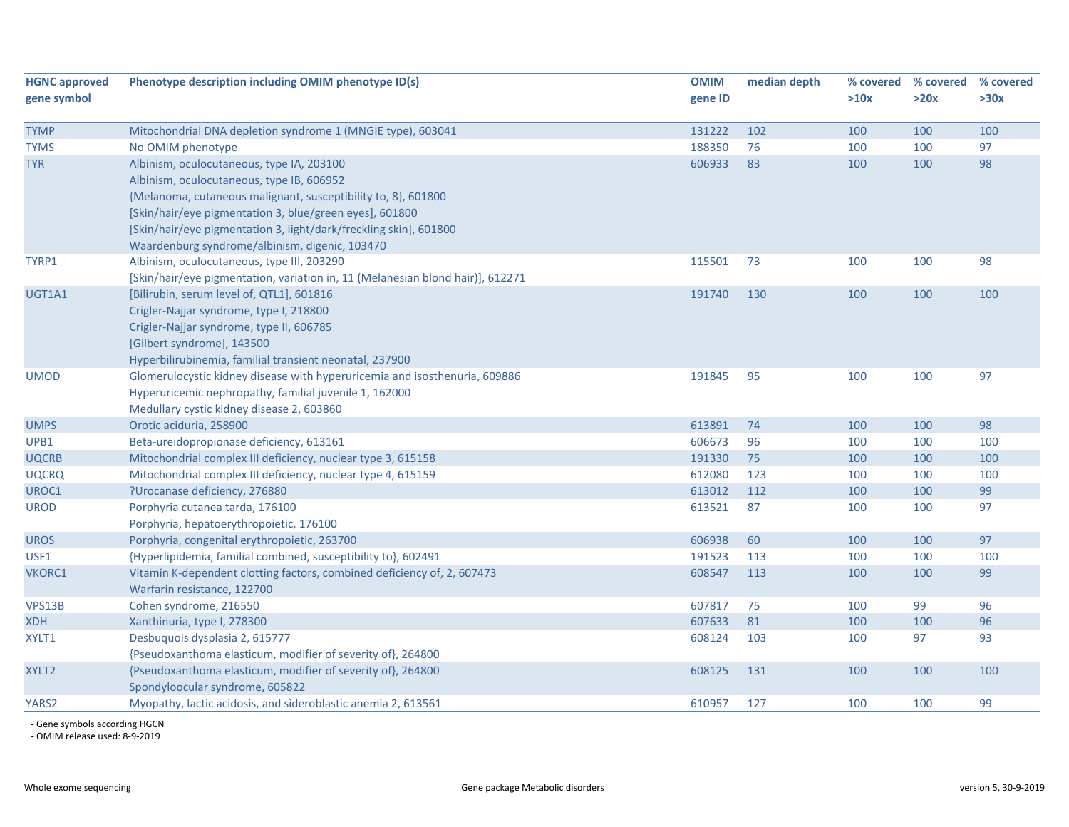| <b>HGNC approved</b><br>gene symbol | Phenotype description including OMIM phenotype ID(s)                                                                                  | <b>OMIM</b><br>gene ID | median depth | % covered<br>>10x | % covered<br>>20x | % covered<br>>30x |
|-------------------------------------|---------------------------------------------------------------------------------------------------------------------------------------|------------------------|--------------|-------------------|-------------------|-------------------|
| <b>TYMP</b>                         | Mitochondrial DNA depletion syndrome 1 (MNGIE type), 603041                                                                           | 131222                 | 102          | 100               | 100               | 100               |
| <b>TYMS</b>                         | No OMIM phenotype                                                                                                                     | 188350                 | 76           | 100               | 100               | 97                |
| <b>TYR</b>                          | Albinism, oculocutaneous, type IA, 203100                                                                                             | 606933                 | 83           | 100               | 100               | 98                |
|                                     | Albinism, oculocutaneous, type IB, 606952                                                                                             |                        |              |                   |                   |                   |
|                                     | {Melanoma, cutaneous malignant, susceptibility to, 8}, 601800                                                                         |                        |              |                   |                   |                   |
|                                     | [Skin/hair/eye pigmentation 3, blue/green eyes], 601800                                                                               |                        |              |                   |                   |                   |
|                                     | [Skin/hair/eye pigmentation 3, light/dark/freckling skin], 601800                                                                     |                        |              |                   |                   |                   |
|                                     | Waardenburg syndrome/albinism, digenic, 103470                                                                                        |                        |              |                   |                   |                   |
| TYRP1                               | Albinism, oculocutaneous, type III, 203290                                                                                            | 115501                 | 73           | 100               | 100               | 98                |
|                                     | [Skin/hair/eye pigmentation, variation in, 11 (Melanesian blond hair)], 612271                                                        |                        |              |                   |                   |                   |
| UGT1A1                              | [Bilirubin, serum level of, QTL1], 601816                                                                                             | 191740                 | 130          | 100               | 100               | 100               |
|                                     | Crigler-Najjar syndrome, type I, 218800                                                                                               |                        |              |                   |                   |                   |
|                                     | Crigler-Najjar syndrome, type II, 606785                                                                                              |                        |              |                   |                   |                   |
|                                     | [Gilbert syndrome], 143500                                                                                                            |                        |              |                   |                   |                   |
| <b>UMOD</b>                         | Hyperbilirubinemia, familial transient neonatal, 237900<br>Glomerulocystic kidney disease with hyperuricemia and isosthenuria, 609886 | 191845                 | 95           | 100               | 100               | 97                |
|                                     | Hyperuricemic nephropathy, familial juvenile 1, 162000                                                                                |                        |              |                   |                   |                   |
|                                     | Medullary cystic kidney disease 2, 603860                                                                                             |                        |              |                   |                   |                   |
| <b>UMPS</b>                         | Orotic aciduria, 258900                                                                                                               | 613891                 | 74           | 100               | 100               | 98                |
| UPB1                                | Beta-ureidopropionase deficiency, 613161                                                                                              | 606673                 | 96           | 100               | 100               | 100               |
| <b>UQCRB</b>                        | Mitochondrial complex III deficiency, nuclear type 3, 615158                                                                          | 191330                 | 75           | 100               | 100               | 100               |
| <b>UQCRQ</b>                        | Mitochondrial complex III deficiency, nuclear type 4, 615159                                                                          | 612080                 | 123          | 100               | 100               | 100               |
| UROC1                               | ?Urocanase deficiency, 276880                                                                                                         | 613012                 | 112          | 100               | 100               | 99                |
| <b>UROD</b>                         | Porphyria cutanea tarda, 176100                                                                                                       | 613521                 | 87           | 100               | 100               | 97                |
|                                     | Porphyria, hepatoerythropoietic, 176100                                                                                               |                        |              |                   |                   |                   |
| <b>UROS</b>                         | Porphyria, congenital erythropoietic, 263700                                                                                          | 606938                 | 60           | 100               | 100               | 97                |
| USF1                                | {Hyperlipidemia, familial combined, susceptibility to}, 602491                                                                        | 191523                 | 113          | 100               | 100               | 100               |
| VKORC1                              | Vitamin K-dependent clotting factors, combined deficiency of, 2, 607473                                                               | 608547                 | 113          | 100               | 100               | 99                |
|                                     | Warfarin resistance, 122700                                                                                                           |                        |              |                   |                   |                   |
| VPS13B                              | Cohen syndrome, 216550                                                                                                                | 607817                 | 75           | 100               | 99                | 96                |
| <b>XDH</b>                          | Xanthinuria, type I, 278300                                                                                                           | 607633                 | 81           | 100               | 100               | 96                |
| XYLT1                               | Desbuquois dysplasia 2, 615777                                                                                                        | 608124                 | 103          | 100               | 97                | 93                |
|                                     | {Pseudoxanthoma elasticum, modifier of severity of}, 264800                                                                           |                        |              |                   |                   |                   |
| XYLT2                               | {Pseudoxanthoma elasticum, modifier of severity of}, 264800                                                                           | 608125                 | 131          | 100               | 100               | 100               |
|                                     | Spondyloocular syndrome, 605822                                                                                                       |                        |              |                   |                   |                   |
| YARS2                               | Myopathy, lactic acidosis, and sideroblastic anemia 2, 613561                                                                         | 610957                 | 127          | 100               | 100               | 99                |

‐ Gene symbols according HGCN ‐ OMIM release used: 8‐9‐2019